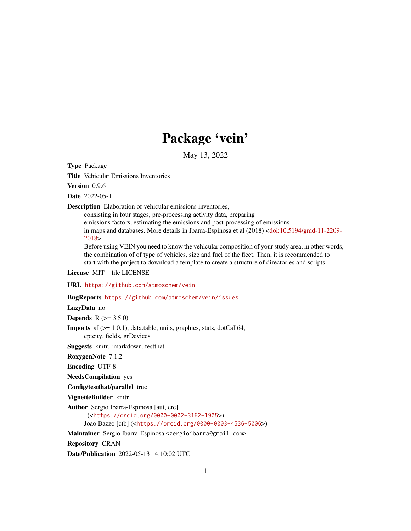# Package 'vein'

May 13, 2022

<span id="page-0-0"></span>Type Package

Title Vehicular Emissions Inventories

Version 0.9.6

Date 2022-05-1

Description Elaboration of vehicular emissions inventories,

consisting in four stages, pre-processing activity data, preparing emissions factors, estimating the emissions and post-processing of emissions in maps and databases. More details in Ibarra-Espinosa et al (2018) [<doi:10.5194/gmd-11-2209-](https://doi.org/10.5194/gmd-11-2209-2018) [2018>](https://doi.org/10.5194/gmd-11-2209-2018).

Before using VEIN you need to know the vehicular composition of your study area, in other words, the combination of of type of vehicles, size and fuel of the fleet. Then, it is recommended to start with the project to download a template to create a structure of directories and scripts.

License MIT + file LICENSE

URL <https://github.com/atmoschem/vein>

BugReports <https://github.com/atmoschem/vein/issues>

LazyData no

**Depends** R  $(>= 3.5.0)$ 

**Imports** sf  $(>= 1.0.1)$ , data.table, units, graphics, stats, dotCall64, cptcity, fields, grDevices

Suggests knitr, rmarkdown, testthat

RoxygenNote 7.1.2

Encoding UTF-8

NeedsCompilation yes

Config/testthat/parallel true

VignetteBuilder knitr

Author Sergio Ibarra-Espinosa [aut, cre]

(<<https://orcid.org/0000-0002-3162-1905>>), Joao Bazzo [ctb] (<<https://orcid.org/0000-0003-4536-5006>>)

Maintainer Sergio Ibarra-Espinosa <zergioibarra@gmail.com>

Repository CRAN

Date/Publication 2022-05-13 14:10:02 UTC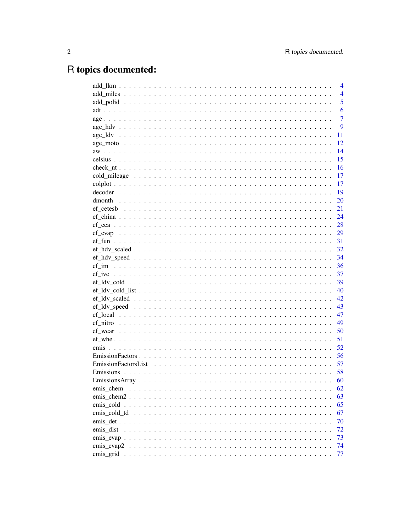# R topics documented:

|               | 4              |
|---------------|----------------|
|               | $\overline{4}$ |
|               | 5              |
|               | 6              |
|               | $\overline{7}$ |
|               | 9              |
|               | 11             |
|               | 12             |
|               | 14             |
|               | 15             |
|               | 16             |
|               | 17             |
|               | 17             |
|               | 19             |
|               | 20             |
|               | 21             |
|               | 24             |
|               | 28             |
|               | 29             |
|               | 31             |
|               | 32             |
|               | 34             |
|               | 36             |
|               | 37             |
|               | 39             |
|               | 40             |
|               | 42             |
|               | 43             |
|               | 47             |
|               | 49             |
|               | 50             |
|               | 51             |
|               | 52             |
|               | 56             |
|               | 57             |
|               | 58             |
|               | 60             |
| emis chem     | 62             |
| $emis\_chem2$ | 63             |
|               | 65             |
| emis cold td  | 67             |
|               | 70             |
| emis dist     | 72             |
|               | 73             |
| emis_evap2    | 74             |
|               | 77             |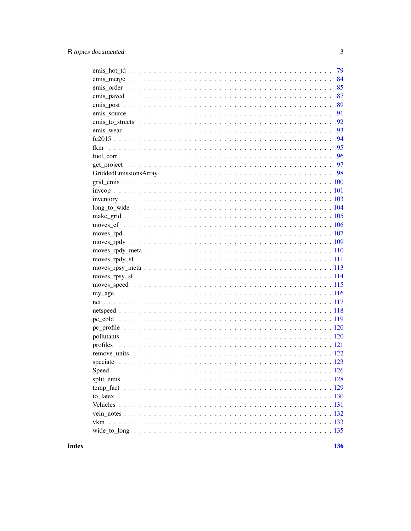| 79             |
|----------------|
| 84             |
| 85             |
| 87             |
| 89             |
| 91             |
| 92             |
| 93             |
| 94<br>$fe2015$ |
| 95             |
|                |
|                |
|                |
|                |
|                |
|                |
|                |
|                |
|                |
|                |
|                |
|                |
|                |
|                |
|                |
|                |
|                |
|                |
|                |
|                |
|                |
|                |
| profiles       |
|                |
|                |
| Speed          |
|                |
|                |
| to latex       |
|                |
|                |
|                |
|                |
|                |

**Index**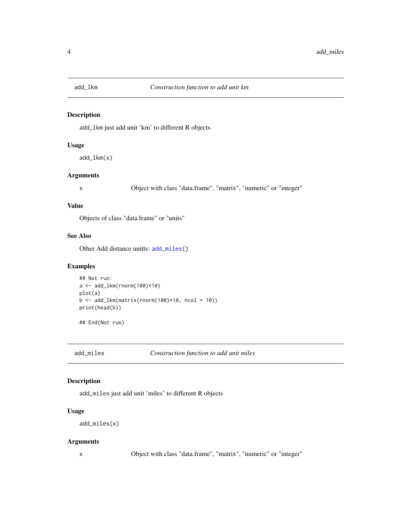<span id="page-3-2"></span><span id="page-3-0"></span>

# Description

add\_lkm just add unit 'km' to different R objects

#### Usage

```
add_lkm(x)
```
# Arguments

x Object with class "data.frame", "matrix", "numeric" or "integer"

#### Value

Objects of class "data.frame" or "units"

# See Also

Other Add distance unitts: [add\\_miles\(](#page-3-1))

### Examples

```
## Not run:
a < - \text{add\_lkm}(rnorm(100)*10)plot(a)
b \leq - \text{add\_lkm}(\text{matrix}(\text{norm}(100) * 10, \text{ncol} = 10))print(head(b))
```
## End(Not run)

<span id="page-3-1"></span>add\_miles *Construction function to add unit miles*

#### Description

add\_miles just add unit 'miles' to different R objects

#### Usage

```
add_miles(x)
```
# Arguments

x Object with class "data.frame", "matrix", "numeric" or "integer"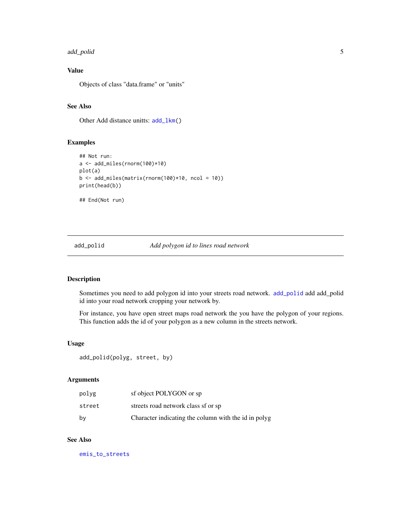#### <span id="page-4-0"></span>add\_polid 500 to 500 to 500 to 500 to 500 to 500 to 500 to 500 to 500 to 500 to 500 to 500 to 500 to 500 to 50

# Value

Objects of class "data.frame" or "units"

# See Also

Other Add distance unitts: [add\\_lkm\(](#page-3-2))

#### Examples

```
## Not run:
a <- add_miles(rnorm(100)*10)
plot(a)
b \leftarrow add\_miles(matrix(rnorm(100)*10, ncol = 10))print(head(b))
## End(Not run)
```
# <span id="page-4-1"></span>add\_polid *Add polygon id to lines road network*

# Description

Sometimes you need to add polygon id into your streets road network. [add\\_polid](#page-4-1) add add\_polid id into your road network cropping your network by.

For instance, you have open street maps road network the you have the polygon of your regions. This function adds the id of your polygon as a new column in the streets network.

# Usage

```
add_polid(polyg, street, by)
```
# Arguments

| polyg  | sf object POLYGON or sp                              |
|--------|------------------------------------------------------|
| street | streets road network class sf or sp                  |
| by     | Character indicating the column with the id in polyg |

# See Also

[emis\\_to\\_streets](#page-91-1)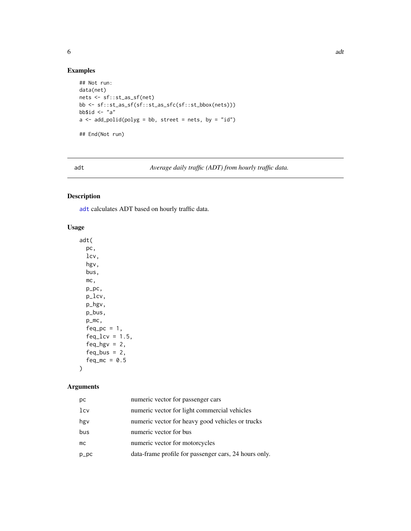<span id="page-5-0"></span>

# Examples

```
## Not run:
data(net)
nets <- sf::st_as_sf(net)
bb <- sf::st_as_sf(sf::st_as_sfc(sf::st_bbox(nets)))
bb$id < - "a"
a \leq add\_polid(polyg = bb, street = nets, by = "id")## End(Not run)
```
<span id="page-5-1"></span>adt *Average daily traffic (ADT) from hourly traffic data.*

# Description

[adt](#page-5-1) calculates ADT based on hourly traffic data.

# Usage

adt( pc, lcv, hgv, bus, mc, p\_pc, p\_lcv, p\_hgv, p\_bus, p\_mc,  $feq_pc = 1$ ,  $feq_{l}cv = 1.5$ , feq\_hgv =  $2$ , feq\_bus =  $2$ , feq\_mc =  $0.5$ 

# Arguments

)

| рc      | numeric vector for passenger cars                     |
|---------|-------------------------------------------------------|
| lcv     | numeric vector for light commercial vehicles          |
| hgy     | numeric vector for heavy good vehicles or trucks      |
| bus     | numeric vector for bus                                |
| mc      | numeric vector for motorcycles                        |
| $p\_pc$ | data-frame profile for passenger cars, 24 hours only. |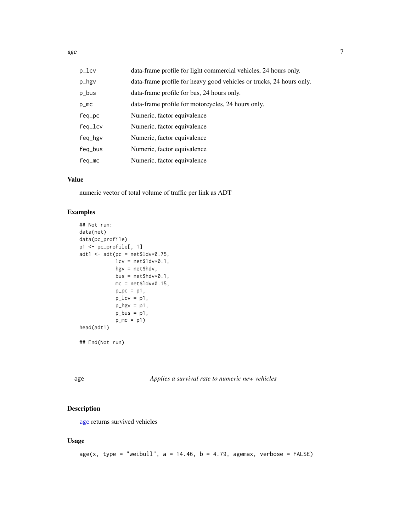<span id="page-6-0"></span>

| $p_{l}$ cv   | data-frame profile for light commercial vehicles, 24 hours only.     |
|--------------|----------------------------------------------------------------------|
| p_hgv        | data-frame profile for heavy good vehicles or trucks, 24 hours only. |
| p_bus        | data-frame profile for bus, 24 hours only.                           |
| $p_{m}$      | data-frame profile for motorcycles, 24 hours only.                   |
| $feq$ _ $pc$ | Numeric, factor equivalence                                          |
| $feq\_lcv$   | Numeric, factor equivalence                                          |
| feq_hgv      | Numeric, factor equivalence                                          |
| feq_bus      | Numeric, factor equivalence                                          |
| $feq_m$      | Numeric, factor equivalence                                          |

# Value

numeric vector of total volume of traffic per link as ADT

# Examples

```
## Not run:
data(net)
data(pc_profile)
p1 <- pc_profile[, 1]
adt1 <- adt(pc = net$ldv*0.75,
            lev = net$ldv*0.1,hgv = net$hdv,
            bus = net$hdv*0.1,mc = net$ldv*0.15,p_{p} = p1,
            p\_lcv = p1,
            p_{\text{y}} = p1,
            p_bus = p1,
            p_m c = p1head(adt1)
## End(Not run)
```
<span id="page-6-1"></span>age *Applies a survival rate to numeric new vehicles*

# Description

[age](#page-6-1) returns survived vehicles

#### Usage

```
age(x, type = "weibull", a = 14.46, b = 4.79, agemax, verbose = FALSE)
```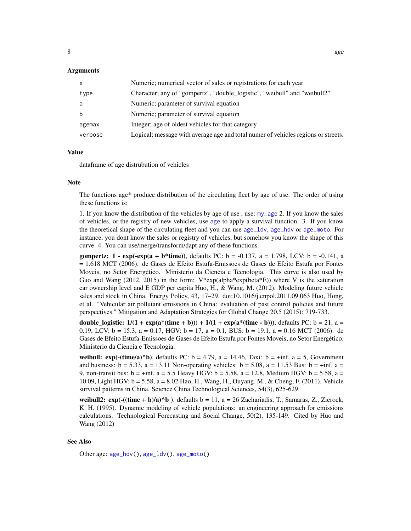#### Arguments

| $\mathsf{x}$ | Numeric; numerical vector of sales or registrations for each year                 |
|--------------|-----------------------------------------------------------------------------------|
| type         | Character; any of "gompertz", "double_logistic", "weibull" and "weibull2"         |
| a            | Numeric; parameter of survival equation                                           |
| b            | Numeric; parameter of survival equation                                           |
| agemax       | Integer; age of oldest vehicles for that category                                 |
| verbose      | Logical; message with average age and total numer of vehicles regions or streets. |

#### Value

dataframe of age distrubution of vehicles

#### Note

The functions age\* produce distribution of the circulating fleet by age of use. The order of using these functions is:

1. If you know the distribution of the vehicles by age of use , use: [my\\_age](#page-115-1) 2. If you know the sales of vehicles, or the registry of new vehicles, use [age](#page-6-1) to apply a survival function. 3. If you know the theoretical shape of the circulating fleet and you can use [age\\_ldv](#page-10-1), [age\\_hdv](#page-8-1) or [age\\_moto](#page-11-1). For instance, you dont know the sales or registry of vehicles, but somehow you know the shape of this curve. 4. You can use/merge/transform/dapt any of these functions.

gompertz:  $1 - \exp(-\exp(a + b^*time))$ , defaults PC:  $b = -0.137$ ,  $a = 1.798$ , LCV:  $b = -0.141$ , a = 1.618 MCT (2006). de Gases de Efeito Estufa-Emissoes de Gases de Efeito Estufa por Fontes Moveis, no Setor Energético. Ministerio da Ciencia e Tecnologia. This curve is also used by Guo and Wang (2012, 2015) in the form:  $V*exp(alpha)*exp(beta*E))$  where V is the saturation car ownership level and E GDP per capita Huo, H., & Wang, M. (2012). Modeling future vehicle sales and stock in China. Energy Policy, 43, 17–29. doi:10.1016/j.enpol.2011.09.063 Huo, Hong, et al. "Vehicular air pollutant emissions in China: evaluation of past control policies and future perspectives." Mitigation and Adaptation Strategies for Global Change 20.5 (2015): 719-733.

double\_logistic:  $1/(1 + \exp(a^*(time + b))) + 1/(1 + \exp(a^*(time - b)))$ , defaults PC: b = 21, a = 0.19, LCV:  $b = 15.3$ ,  $a = 0.17$ , HGV:  $b = 17$ ,  $a = 0.1$ , BUS:  $b = 19.1$ ,  $a = 0.16$  MCT (2006). de Gases de Efeito Estufa-Emissoes de Gases de Efeito Estufa por Fontes Moveis, no Setor Energético. Ministerio da Ciencia e Tecnologia.

weibull:  $exp(-(time/a)^{6})$ , defaults PC: b = 4.79, a = 14.46, Taxi: b = +inf, a = 5, Government and business:  $b = 5.33$ ,  $a = 13.11$  Non-operating vehicles:  $b = 5.08$ ,  $a = 11.53$  Bus:  $b = +\inf$ ,  $a =$ 9, non-transit bus:  $b = \pm \inf$ ,  $a = 5.5$  Heavy HGV:  $b = 5.58$ ,  $a = 12.8$ , Medium HGV:  $b = 5.58$ ,  $a =$ 10.09, Light HGV: b = 5.58, a = 8.02 Hao, H., Wang, H., Ouyang, M., & Cheng, F. (2011). Vehicle survival patterns in China. Science China Technological Sciences, 54(3), 625-629.

weibull2:  $exp(-(time + b)/a)^b$ , defaults  $b = 11$ ,  $a = 26$  Zachariadis, T., Samaras, Z., Zierock, K. H. (1995). Dynamic modeling of vehicle populations: an engineering approach for emissions calculations. Technological Forecasting and Social Change, 50(2), 135-149. Cited by Huo and Wang (2012)

### See Also

Other age: [age\\_hdv\(](#page-8-1)), [age\\_ldv\(](#page-10-1)), [age\\_moto\(](#page-11-1))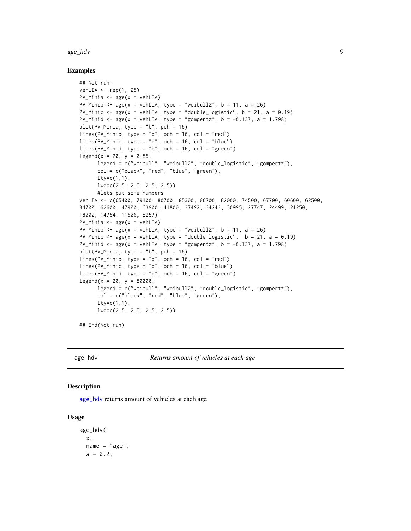#### <span id="page-8-0"></span>age\_hdv 9

#### Examples

```
## Not run:
vehLIA \leq- rep(1, 25)
PV_Minia \leq age(x = vehLIA)
PV_Minib \leq age(x = vehLIA, type = "weibull2", b = 11, a = 26)
PV_Minic <- age(x = vehLIA, type = "double_logistic", b = 21, a = 0.19)PV_Minid <- age(x = vehLIA, type = "gompertz", b = -0.137, a = 1.798)plot(PV_Minia, type = "b", pch = 16)
lines(PV_Minib, type = "b", pch = 16, col = "red")lines(PV_Minic, type = "b", pch = 16, col = "blue")
lines(PV_Minid, type = "b", pch = 16, col = "green")
legend(x = 20, y = 0.85,legend = c("weibull", "weibull2", "double_logistic", "gompertz"),
      col = c("black", "red", "blue", "green"),
      lty=c(1,1),lwd=c(2.5, 2.5, 2.5, 2.5))
      #lets put some numbers
vehLIA <- c(65400, 79100, 80700, 85300, 86700, 82000, 74500, 67700, 60600, 62500,
84700, 62600, 47900, 63900, 41800, 37492, 34243, 30995, 27747, 24499, 21250,
18002, 14754, 11506, 8257)
PV_Minia \leq age(x = vehLIA)
PV_Minib \leq age(x = vehLIA, type = "weibull2", b = 11, a = 26)
PV_Minic <- age(x = vehLIA, type = "double_logistic", b = 21, a = 0.19)PV_Minid <- age(x = vehLIA, type = "gompertz", b = -0.137, a = 1.798)
plot(PV_Minia, type = nb'', pch = 16)
lines(PV_Minib, type = "b", pch = 16, col = "red")
lines(PV_Minic, type = "b", pch = 16, col = "blue")lines(PV_Minid, type = "b", pch = 16, col = "green")
legend(x = 20, y = 80000,legend = c("weibull", "weibull2", "double_logistic", "gompertz"),
      col = c("black", "red", "blue", "green"),
      lty=c(1,1),lwd=c(2.5, 2.5, 2.5, 2.5))
```
## End(Not run)

<span id="page-8-1"></span>age\_hdv *Returns amount of vehicles at each age*

### Description

[age\\_hdv](#page-8-1) returns amount of vehicles at each age

#### Usage

```
age_hdv(
 x,
 name = "age",
 a = 0.2,
```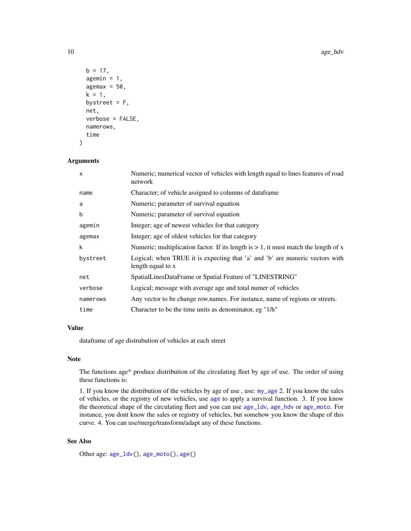```
b = 17,
agemin = 1,
agemax = 50,
k = 1,
bystreet = F,
net,
verbose = FALSE,
namerows,
time
```
## Arguments

)

| $\mathsf{x}$ | Numeric; numerical vector of vehicles with length equal to lines features of road<br>network      |
|--------------|---------------------------------------------------------------------------------------------------|
| name         | Character; of vehicle assigned to columns of dataframe                                            |
| a            | Numeric; parameter of survival equation                                                           |
| b            | Numeric; parameter of survival equation                                                           |
| agemin       | Integer; age of newest vehicles for that category                                                 |
| agemax       | Integer; age of oldest vehicles for that category                                                 |
| k            | Numeric; multiplication factor. If its length is $> 1$ , it must match the length of x            |
| bystreet     | Logical; when TRUE it is expecting that 'a' and 'b' are numeric vectors with<br>length equal to x |
| net          | SpatialLinesDataFrame or Spatial Feature of "LINESTRING"                                          |
| verbose      | Logical; message with average age and total numer of vehicles                                     |
| namerows     | Any vector to be change row.names. For instance, name of regions or streets.                      |
| time         | Character to be the time units as denominator, eg "1/h"                                           |

### Value

dataframe of age distrubution of vehicles at each street

#### Note

The functions age\* produce distribution of the circulating fleet by age of use. The order of using these functions is:

1. If you know the distribution of the vehicles by age of use , use: [my\\_age](#page-115-1) 2. If you know the sales of vehicles, or the registry of new vehicles, use [age](#page-6-1) to apply a survival function. 3. If you know the theoretical shape of the circulating fleet and you can use [age\\_ldv](#page-10-1), [age\\_hdv](#page-8-1) or [age\\_moto](#page-11-1). For instance, you dont know the sales or registry of vehicles, but somehow you know the shape of this curve. 4. You can use/merge/transform/adapt any of these functions.

# See Also

Other age: [age\\_ldv\(](#page-10-1)), [age\\_moto\(](#page-11-1)), [age\(](#page-6-1))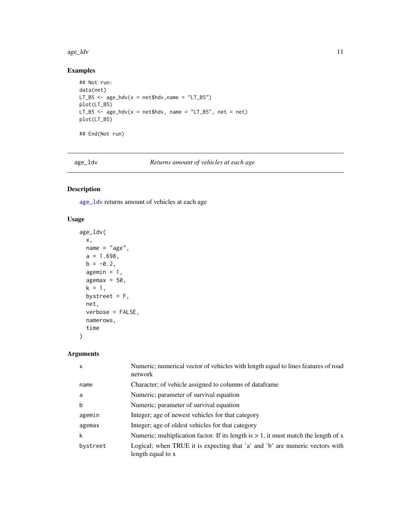#### <span id="page-10-0"></span>age\_ldv 11

# Examples

```
## Not run:
data(net)
LT_B5 \leq age_hdv(x = net$hdv, name = "LT_B5")
plot(LT_B5)
LT_B5 \leq age_hdv(x = net$hdv, name = "LT_B5", net = net)
plot(LT_B5)
## End(Not run)
```
<span id="page-10-1"></span>age\_ldv *Returns amount of vehicles at each age*

# Description

[age\\_ldv](#page-10-1) returns amount of vehicles at each age

# Usage

```
age_ldv(
 x,
 name = "age",a = 1.698,b = -0.2,
 agemin = 1,
  agemax = 50,
 k = 1,
 bystreet = F,
 net,
 verbose = FALSE,
 namerows,
  time
)
```
# Arguments

| X        | Numeric; numerical vector of vehicles with length equal to lines features of road<br>network      |
|----------|---------------------------------------------------------------------------------------------------|
| name     | Character; of vehicle assigned to columns of dataframe                                            |
| a        | Numeric; parameter of survival equation                                                           |
| b        | Numeric; parameter of survival equation                                                           |
| agemin   | Integer; age of newest vehicles for that category                                                 |
| agemax   | Integer; age of oldest vehicles for that category                                                 |
| k        | Numeric; multiplication factor. If its length is $> 1$ , it must match the length of x            |
| bystreet | Logical; when TRUE it is expecting that 'a' and 'b' are numeric vectors with<br>length equal to x |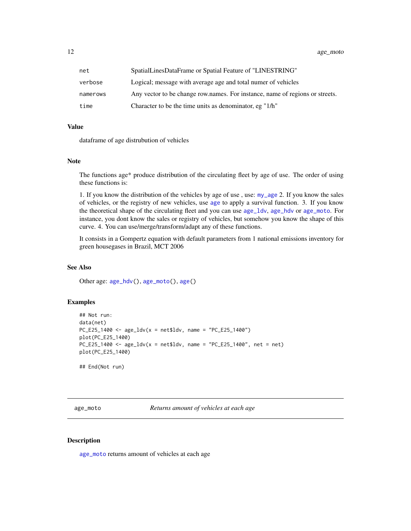<span id="page-11-0"></span>12 age\_moto

| net      | SpatialLinesDataFrame or Spatial Feature of "LINESTRING"                     |
|----------|------------------------------------------------------------------------------|
| verbose  | Logical; message with average age and total numer of vehicles                |
| namerows | Any vector to be change row names. For instance, name of regions or streets. |
| time     | Character to be the time units as denominator, eg "1/h"                      |

#### Value

dataframe of age distrubution of vehicles

#### Note

The functions age\* produce distribution of the circulating fleet by age of use. The order of using these functions is:

1. If you know the distribution of the vehicles by age of use , use: [my\\_age](#page-115-1) 2. If you know the sales of vehicles, or the registry of new vehicles, use [age](#page-6-1) to apply a survival function. 3. If you know the theoretical shape of the circulating fleet and you can use [age\\_ldv](#page-10-1), [age\\_hdv](#page-8-1) or [age\\_moto](#page-11-1). For instance, you dont know the sales or registry of vehicles, but somehow you know the shape of this curve. 4. You can use/merge/transform/adapt any of these functions.

It consists in a Gompertz equation with default parameters from 1 national emissions inventory for green housegases in Brazil, MCT 2006

#### See Also

Other age: [age\\_hdv\(](#page-8-1)), [age\\_moto\(](#page-11-1)), [age\(](#page-6-1))

# Examples

```
## Not run:
data(net)
PC_E25_1400 \leq age\_ldv(x = net$ldv, name = 'PC_E25_1400")plot(PC_E25_1400)
PC_E25_1400 <- age_ldv(x = net$ldv, name = "PC_E25_1400", net = net)
plot(PC_E25_1400)
## End(Not run)
```
<span id="page-11-1"></span>age\_moto *Returns amount of vehicles at each age*

#### Description

[age\\_moto](#page-11-1) returns amount of vehicles at each age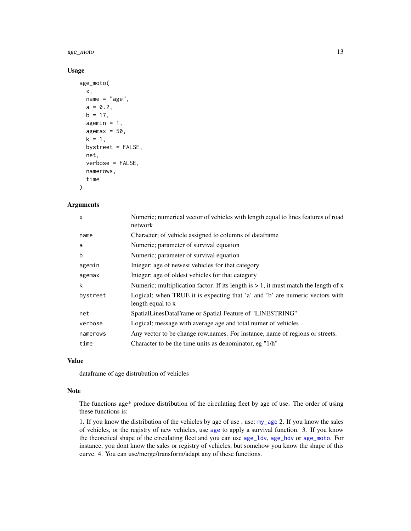age\_moto 13

#### Usage

```
age_moto(
  x,
 name = "age",a = 0.2,
 b = 17,
  agemin = 1,
  agemax = 50,
  k = 1,
  bystreet = FALSE,
  net,
  verbose = FALSE,
  namerows,
  time
)
```
# Arguments

| X        | Numeric; numerical vector of vehicles with length equal to lines features of road<br>network      |
|----------|---------------------------------------------------------------------------------------------------|
| name     | Character; of vehicle assigned to columns of dataframe                                            |
| a        | Numeric; parameter of survival equation                                                           |
| b        | Numeric; parameter of survival equation                                                           |
| agemin   | Integer; age of newest vehicles for that category                                                 |
| agemax   | Integer; age of oldest vehicles for that category                                                 |
| k        | Numeric; multiplication factor. If its length is $> 1$ , it must match the length of x            |
| bystreet | Logical; when TRUE it is expecting that 'a' and 'b' are numeric vectors with<br>length equal to x |
| net      | SpatialLinesDataFrame or Spatial Feature of "LINESTRING"                                          |
| verbose  | Logical; message with average age and total numer of vehicles                                     |
| namerows | Any vector to be change row names. For instance, name of regions or streets.                      |
| time     | Character to be the time units as denominator, eg "1/h"                                           |

#### Value

dataframe of age distrubution of vehicles

#### Note

The functions age\* produce distribution of the circulating fleet by age of use. The order of using these functions is:

1. If you know the distribution of the vehicles by age of use , use: [my\\_age](#page-115-1) 2. If you know the sales of vehicles, or the registry of new vehicles, use [age](#page-6-1) to apply a survival function. 3. If you know the theoretical shape of the circulating fleet and you can use [age\\_ldv](#page-10-1), [age\\_hdv](#page-8-1) or [age\\_moto](#page-11-1). For instance, you dont know the sales or registry of vehicles, but somehow you know the shape of this curve. 4. You can use/merge/transform/adapt any of these functions.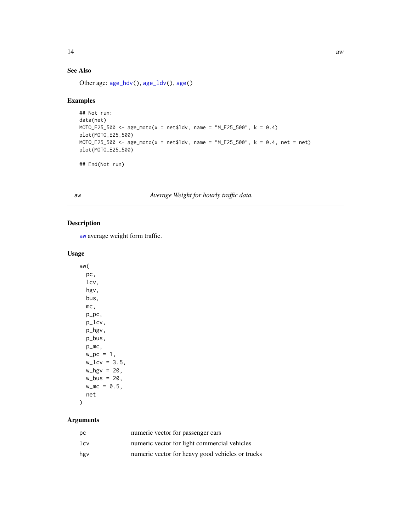# <span id="page-13-0"></span>See Also

Other age: [age\\_hdv\(](#page-8-1)), [age\\_ldv\(](#page-10-1)), [age\(](#page-6-1))

# Examples

```
## Not run:
data(net)
MOTO_E25_500 <- age_moto(x = net$ldv, name = "M_E25_500", k = 0.4)plot(MOTO_E25_500)
MOTO_E25_500 <- age_moto(x = net$ldv, name = "M_E25_500", k = 0.4, net = net)plot(MOTO_E25_500)
```
## End(Not run)

<span id="page-13-1"></span>aw *Average Weight for hourly traffic data.*

# Description

[aw](#page-13-1) average weight form traffic.

# Usage

aw( pc, lcv, hgv, bus, mc, p\_pc, p\_lcv, p\_hgv, p\_bus, p\_mc,  $w_{p}c = 1$ ,  $w_{\text{1cv}} = 3.5$ ,  $w_hgv = 20$ ,  $w_bus = 20$ ,  $w_{\text{m}} = 0.5$ , net

# Arguments

 $\mathcal{L}$ 

| рc              | numeric vector for passenger cars                |
|-----------------|--------------------------------------------------|
| 1c <sub>V</sub> | numeric vector for light commercial vehicles     |
| hgy             | numeric vector for heavy good vehicles or trucks |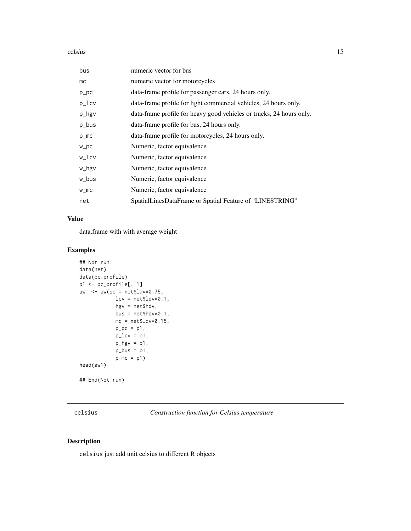#### <span id="page-14-0"></span>celsius and the contract of the contract of the contract of the contract of the contract of the contract of the contract of the contract of the contract of the contract of the contract of the contract of the contract of th

| bus        | numeric vector for bus                                               |
|------------|----------------------------------------------------------------------|
| mc         | numeric vector for motorcycles                                       |
| $p\_pc$    | data-frame profile for passenger cars, 24 hours only.                |
| p_lcv      | data-frame profile for light commercial vehicles, 24 hours only.     |
| p_hgv      | data-frame profile for heavy good vehicles or trucks, 24 hours only. |
| p_bus      | data-frame profile for bus, 24 hours only.                           |
| $p_{m}$    | data-frame profile for motorcycles, 24 hours only.                   |
| $W\_PC$    | Numeric, factor equivalence                                          |
| $W_{l}$ cv | Numeric, factor equivalence                                          |
| w_hgv      | Numeric, factor equivalence                                          |
| w_bus      | Numeric, factor equivalence                                          |
| $W_m$ C    | Numeric, factor equivalence                                          |
| net        | SpatialLinesDataFrame or Spatial Feature of "LINESTRING"             |

# Value

data.frame with with average weight

# Examples

```
## Not run:
data(net)
data(pc_profile)
p1 <- pc_profile[, 1]
aw1 \leq aw(pc = net$ldv*0.75,
            lev = net$ldv*0.1,hgv = net$hdv,
            bus = net$hdv*0.1,
            mc = net$ldv*0.15,p\_pc = p1,
            p\_lcv = p1,
            p_{\text{y}} = p1,
            p\_bus = p1,
            p_m c = p1head(aw1)
## End(Not run)
```
celsius *Construction function for Celsius temperature*

# Description

celsius just add unit celsius to different R objects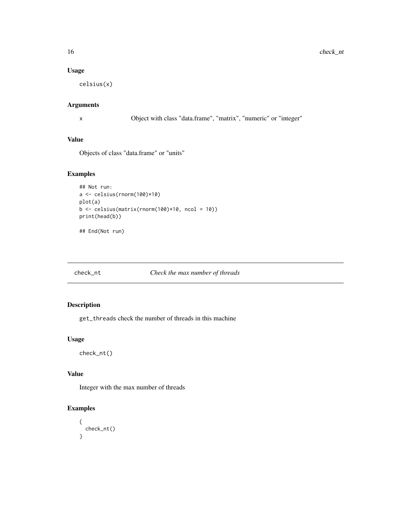# Usage

celsius(x)

# Arguments

x Object with class "data.frame", "matrix", "numeric" or "integer"

# Value

Objects of class "data.frame" or "units"

# Examples

```
## Not run:
a <- celsius(rnorm(100)*10)
plot(a)
b <- celsius(matrix(rnorm(100)*10, ncol = 10))
print(head(b))
```
## End(Not run)

# check\_nt *Check the max number of threads*

# Description

get\_threads check the number of threads in this machine

# Usage

check\_nt()

# Value

Integer with the max number of threads

# Examples

```
{
 check_nt()
}
```
<span id="page-15-0"></span>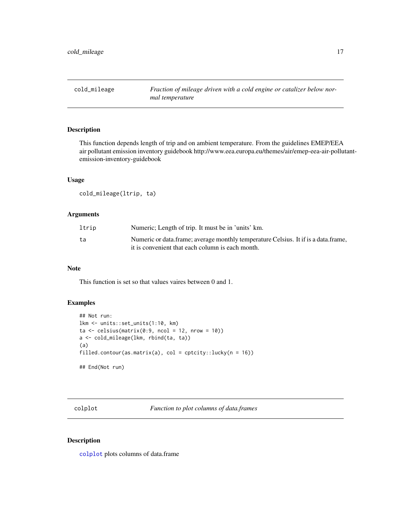<span id="page-16-0"></span>cold\_mileage *Fraction of mileage driven with a cold engine or catalizer below normal temperature*

# Description

This function depends length of trip and on ambient temperature. From the guidelines EMEP/EEA air pollutant emission inventory guidebook http://www.eea.europa.eu/themes/air/emep-eea-air-pollutantemission-inventory-guidebook

### Usage

cold\_mileage(ltrip, ta)

# Arguments

| ltrip | Numeric; Length of trip. It must be in 'units' km.                                                                                     |
|-------|----------------------------------------------------------------------------------------------------------------------------------------|
| ta    | Numeric or data frame; average monthly temperature Celsius. It if is a data frame,<br>it is convenient that each column is each month. |

#### Note

This function is set so that values vaires between 0 and 1.

# Examples

```
## Not run:
lkm <- units::set_units(1:10, km)
ta \leftarrow cellsius(matrix(0:9, ncol = 12, nrow = 10))a <- cold_mileage(lkm, rbind(ta, ta))
(a)
filled.contour(as.matrix(a), col = cptcity::lucky(n = 16))
## End(Not run)
```
<span id="page-16-1"></span>colplot *Function to plot columns of data.frames*

### Description

[colplot](#page-16-1) plots columns of data.frame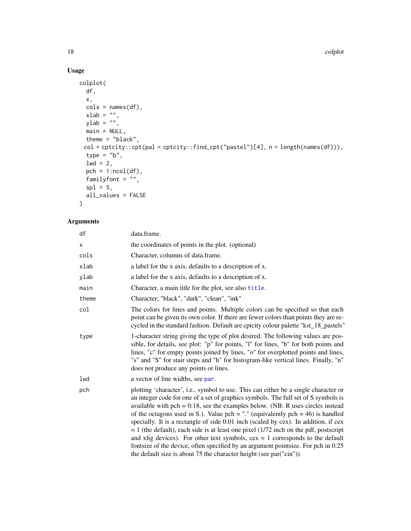# Usage

```
colplot(
  df,
  x,
  \text{cols} = \text{names}(\text{df}),xlab = ",
  ylab = "",
  main = NULL,
  theme = "black",col = cptcity::cpt(pal = cptcity::find_cpt("pastel")[4], n = length(names(df))),
  type = "b",1wd = 2,pch = 1:ncol(df),
  familyfont = ",
  spl = 5,all_values = FALSE
\mathcal{L}
```
# Arguments

| df    | data.frame.                                                                                                                                                                                                                                                                                                                                                                                                                                                                                                                                                                                                                                                                                                                                                                            |
|-------|----------------------------------------------------------------------------------------------------------------------------------------------------------------------------------------------------------------------------------------------------------------------------------------------------------------------------------------------------------------------------------------------------------------------------------------------------------------------------------------------------------------------------------------------------------------------------------------------------------------------------------------------------------------------------------------------------------------------------------------------------------------------------------------|
| X     | the coordinates of points in the plot. (optional)                                                                                                                                                                                                                                                                                                                                                                                                                                                                                                                                                                                                                                                                                                                                      |
| cols  | Character, columns of data.frame.                                                                                                                                                                                                                                                                                                                                                                                                                                                                                                                                                                                                                                                                                                                                                      |
| xlab  | a label for the x axis, defaults to a description of x.                                                                                                                                                                                                                                                                                                                                                                                                                                                                                                                                                                                                                                                                                                                                |
| ylab  | a label for the x axis, defaults to a description of x.                                                                                                                                                                                                                                                                                                                                                                                                                                                                                                                                                                                                                                                                                                                                |
| main  | Character, a main title for the plot, see also title.                                                                                                                                                                                                                                                                                                                                                                                                                                                                                                                                                                                                                                                                                                                                  |
| theme | Character; "black", "dark", "clean", "ink"                                                                                                                                                                                                                                                                                                                                                                                                                                                                                                                                                                                                                                                                                                                                             |
| col   | The colors for lines and points. Multiple colors can be specified so that each<br>point can be given its own color. If there are fewer colors than points they are re-<br>cycled in the standard fashion. Default are cptcity colour palette "kst_18_pastels"                                                                                                                                                                                                                                                                                                                                                                                                                                                                                                                          |
| type  | 1-character string giving the type of plot desired. The following values are pos-<br>sible, for details, see plot: "p" for points, "l" for lines, "b" for both points and<br>lines, "c" for empty points joined by lines, "o" for overplotted points and lines,<br>"s" and "S" for stair steps and "h" for histogram-like vertical lines. Finally, "n"<br>does not produce any points or lines.                                                                                                                                                                                                                                                                                                                                                                                        |
| lwd   | a vector of line widths, see par.                                                                                                                                                                                                                                                                                                                                                                                                                                                                                                                                                                                                                                                                                                                                                      |
| pch   | plotting 'character', i.e., symbol to use. This can either be a single character or<br>an integer code for one of a set of graphics symbols. The full set of S symbols is<br>available with $pch = 0.18$ , see the examples below. (NB: R uses circles instead<br>of the octagons used in S.). Value $pch =$ "." (equivalently $pch = 46$ ) is handled<br>specially. It is a rectangle of side 0.01 inch (scaled by cex). In addition, if cex<br>$= 1$ (the default), each side is at least one pixel (1/72 inch on the pdf, postscript<br>and xfig devices). For other text symbols, $cex = 1$ corresponds to the default<br>fontsize of the device, often specified by an argument pointsize. For pch in 0:25<br>the default size is about 75 the character height (see par("cin")). |
|       |                                                                                                                                                                                                                                                                                                                                                                                                                                                                                                                                                                                                                                                                                                                                                                                        |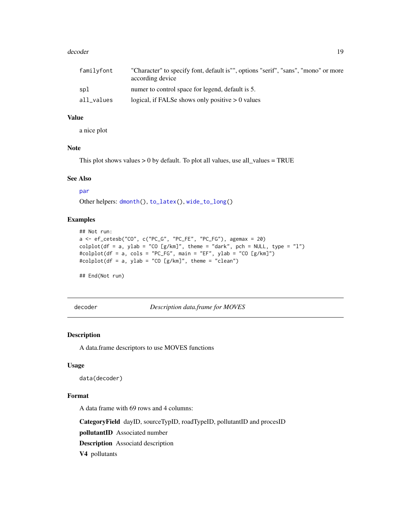#### <span id="page-18-0"></span>decoder and the set of the set of the set of the set of the set of the set of the set of the set of the set of the set of the set of the set of the set of the set of the set of the set of the set of the set of the set of t

| familyfont | "Character" to specify font, default is"", options "serif", "sans", "mono" or more<br>according device |
|------------|--------------------------------------------------------------------------------------------------------|
| spl        | numer to control space for legend, default is 5.                                                       |
| all_values | logical, if FALSe shows only positive $> 0$ values                                                     |

## Value

a nice plot

# Note

This plot shows values  $> 0$  by default. To plot all values, use all\_values = TRUE

#### See Also

[par](#page-0-0)

Other helpers: [dmonth\(](#page-19-1)), [to\\_latex\(](#page-129-1)), [wide\\_to\\_long\(](#page-134-1))

### Examples

```
## Not run:
a \leq -e f_c e t e s b("CO", c("PC_G", "PC_FE", "PC_FG"), agemax = 20)\text{colplot}(df = a, ylab = "CO [g/km]", \text{ theme} = "dark", \text{ pch} = NULL, \text{ type} = "l")#colplot(df = a, cols = "PC_FG", main = "EF", ylab = "CO [g/km]")
#colplot(df = a, ylab = "CO [g/km]", theme = "clean")
```
## End(Not run)

decoder *Description data.frame for MOVES*

### Description

A data.frame descriptors to use MOVES functions

#### Usage

data(decoder)

#### Format

A data frame with 69 rows and 4 columns:

CategoryField dayID, sourceTypID, roadTypeID, pollutantID and procesID

pollutantID Associated number

Description Associatd description

V4 pollutants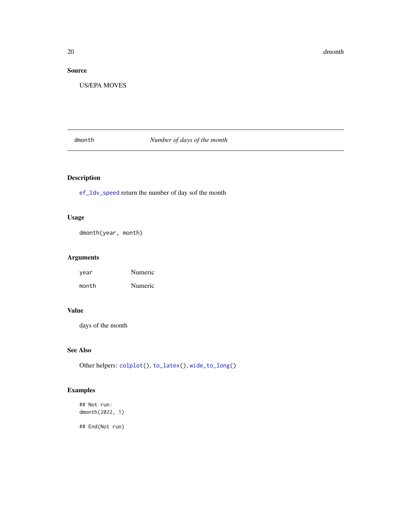# <span id="page-19-0"></span>Source

US/EPA MOVES

# <span id="page-19-1"></span>dmonth *Number of days of the month*

# Description

[ef\\_ldv\\_speed](#page-42-1) return the number of day sof the month

# Usage

dmonth(year, month)

# Arguments

| year  | Numeric |
|-------|---------|
| month | Numeric |

# Value

days of the month

# See Also

Other helpers: [colplot\(](#page-16-1)), [to\\_latex\(](#page-129-1)), [wide\\_to\\_long\(](#page-134-1))

# Examples

## Not run: dmonth(2022, 1)

## End(Not run)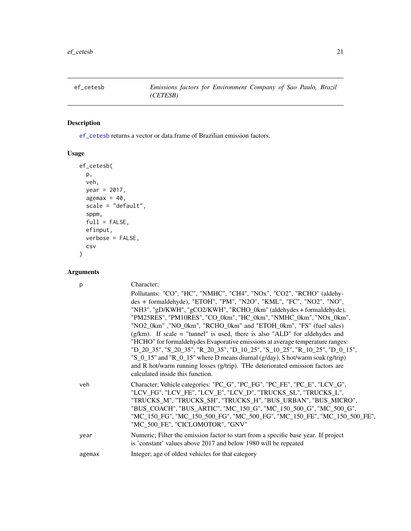<span id="page-20-1"></span><span id="page-20-0"></span>

# Description

[ef\\_cetesb](#page-20-1) returns a vector or data.frame of Brazilian emission factors.

# Usage

```
ef_cetesb(
 p,
 veh,
 year = 2017,
  agemax = 40,
  scale = "default",
  sppm,
  full = FALSE,efinput,
 verbose = FALSE,
 csv
)
```
# Arguments

| p      | Character;                                                                                                                                                                                                                                                                                                                                                                                         |
|--------|----------------------------------------------------------------------------------------------------------------------------------------------------------------------------------------------------------------------------------------------------------------------------------------------------------------------------------------------------------------------------------------------------|
|        | Pollutants: "CO", "HC", "NMHC", "CH4", "NOx", "CO2", "RCHO" (aldehy-<br>des + formaldehyde), "ETOH", "PM", "N2O", "KML", "FC", "NO2", "NO",                                                                                                                                                                                                                                                        |
|        | "NH3", "gD/KWH", "gCO2/KWH", "RCHO_0km" (aldehydes + formaldehyde),<br>"PM25RES", "PM10RES", "CO_0km", "HC_0km", "NMHC_0km", "NOx_0km",                                                                                                                                                                                                                                                            |
|        | "NO2_0km", "NO_0km", "RCHO_0km" and "ETOH_0km", "FS" (fuel sales)                                                                                                                                                                                                                                                                                                                                  |
|        | $(g/km)$ . If scale = "tunnel" is used, there is also "ALD" for aldehydes and                                                                                                                                                                                                                                                                                                                      |
|        | "HCHO" for formal dehydes Evaporative emissions at average temperature ranges:<br>"D_20_35", "S_20_35", "R_20_35", "D_10_25", "S_10_25", "R_10_25", "D_0_15",<br>"S_0_15" and "R_0_15" where D means diurnal (g/day), S hot/warm soak (g/trip)                                                                                                                                                     |
|        | and R hot/warm running losses (g/trip). THe deteriorated emission factors are<br>calculated inside this function.                                                                                                                                                                                                                                                                                  |
| veh    | Character; Vehicle categories: "PC_G", "PC_FG", "PC_FE", "PC_E", "LCV_G",<br>"LCV_FG", "LCV_FE", "LCV_E", "LCV_D", "TRUCKS_SL", "TRUCKS_L",<br>"TRUCKS_M", "TRUCKS_SH", "TRUCKS_H", "BUS_URBAN", "BUS_MICRO",<br>"BUS_COACH", "BUS_ARTIC", "MC_150_G", "MC_150_500_G", "MC_500_G",<br>"MC_150_FG", "MC_150_500_FG", "MC_500_FG", "MC_150_FE", "MC_150_500_FE",<br>"MC 500 FE", "CICLOMOTOR", "GNV" |
| year   | Numeric; Filter the emission factor to start from a specific base year. If project<br>is 'constant' values above 2017 and below 1980 will be repeated                                                                                                                                                                                                                                              |
| agemax | Integer; age of oldest vehicles for that category                                                                                                                                                                                                                                                                                                                                                  |
|        |                                                                                                                                                                                                                                                                                                                                                                                                    |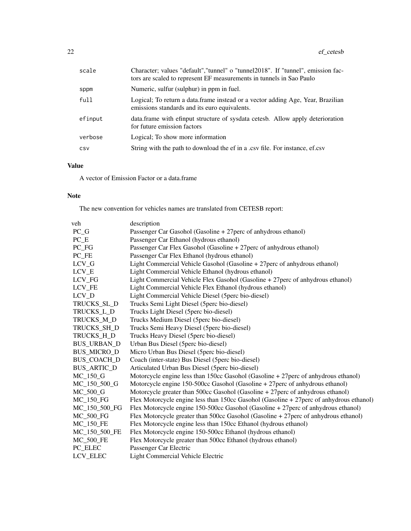| scale   | Character; values "default", "tunnel" o "tunnel2018". If "tunnel", emission fac-<br>tors are scaled to represent EF measurements in tunnels in Sao Paulo |
|---------|----------------------------------------------------------------------------------------------------------------------------------------------------------|
| sppm    | Numeric, sulfur (sulphur) in ppm in fuel.                                                                                                                |
| full    | Logical; To return a data frame instead or a vector adding Age, Year, Brazilian<br>emissions standards and its euro equivalents.                         |
| efinput | data. frame with efinput structure of sysdata cetesb. Allow apply deterioration<br>for future emission factors                                           |
| verbose | Logical; To show more information                                                                                                                        |
| CSV     | String with the path to download the ef in a .csv file. For instance, ef.csv                                                                             |

# Value

A vector of Emission Factor or a data.frame

# Note

The new convention for vehicles names are translated from CETESB report:

| veh                            | description                                                                             |
|--------------------------------|-----------------------------------------------------------------------------------------|
| $PC_G$                         | Passenger Car Gasohol (Gasoline + 27 perc of anhydrous ethanol)                         |
| $PC$ <sub><math>E</math></sub> | Passenger Car Ethanol (hydrous ethanol)                                                 |
| PC_FG                          | Passenger Car Flex Gasohol (Gasoline + 27 perc of anhydrous ethanol)                    |
| PC FE                          | Passenger Car Flex Ethanol (hydrous ethanol)                                            |
| $LCV_G$                        | Light Commercial Vehicle Gasohol (Gasoline + 27 perc of anhydrous ethanol)              |
| LCV_E                          | Light Commercial Vehicle Ethanol (hydrous ethanol)                                      |
| LCV FG                         | Light Commercial Vehicle Flex Gasohol (Gasoline + 27 perc of anhydrous ethanol)         |
| LCV FE                         | Light Commercial Vehicle Flex Ethanol (hydrous ethanol)                                 |
| LCV_D                          | Light Commercial Vehicle Diesel (5perc bio-diesel)                                      |
| TRUCKS_SL_D                    | Trucks Semi Light Diesel (5perc bio-diesel)                                             |
| TRUCKS_L_D                     | Trucks Light Diesel (5perc bio-diesel)                                                  |
| TRUCKS_M_D                     | Trucks Medium Diesel (5perc bio-diesel)                                                 |
| TRUCKS SH D                    | Trucks Semi Heavy Diesel (5perc bio-diesel)                                             |
| TRUCKS_H_D                     | Trucks Heavy Diesel (5perc bio-diesel)                                                  |
| <b>BUS_URBAN_D</b>             | Urban Bus Diesel (5perc bio-diesel)                                                     |
| <b>BUS_MICRO_D</b>             | Micro Urban Bus Diesel (5perc bio-diesel)                                               |
| <b>BUS COACH D</b>             | Coach (inter-state) Bus Diesel (5perc bio-diesel)                                       |
| <b>BUS_ARTIC_D</b>             | Articulated Urban Bus Diesel (5perc bio-diesel)                                         |
| $MC_150_G$                     | Motorcycle engine less than 150cc Gasohol (Gasoline + 27perc of anhydrous ethanol)      |
| MC 150 500 G                   | Motorcycle engine 150-500cc Gasohol (Gasoline + 27 perc of anhydrous ethanol)           |
| MC 500 G                       | Motorcycle greater than $500cc$ Gasohol (Gasoline + 27 perc of anhydrous ethanol)       |
| <b>MC_150_FG</b>               | Flex Motorcycle engine less than 150cc Gasohol (Gasoline + 27perc of anhydrous ethanol) |
| MC_150_500_FG                  | Flex Motorcycle engine $150-500cc$ Gasohol (Gasoline + 27 perc of anhydrous ethanol)    |
| <b>MC 500 FG</b>               | Flex Motorcycle greater than 500cc Gasohol (Gasoline + 27 perc of anhydrous ethanol)    |
| <b>MC_150_FE</b>               | Flex Motorcycle engine less than 150cc Ethanol (hydrous ethanol)                        |
| MC_150_500_FE                  | Flex Motorcycle engine 150-500cc Ethanol (hydrous ethanol)                              |
| <b>MC 500 FE</b>               | Flex Motorcycle greater than 500cc Ethanol (hydrous ethanol)                            |
| PC ELEC                        | Passenger Car Electric                                                                  |
| LCV ELEC                       | <b>Light Commercial Vehicle Electric</b>                                                |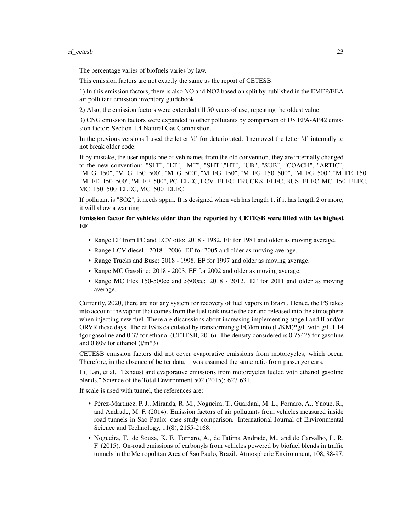#### ef\_cetesb 23

The percentage varies of biofuels varies by law.

This emission factors are not exactly the same as the report of CETESB.

1) In this emission factors, there is also NO and NO2 based on split by published in the EMEP/EEA air pollutant emission inventory guidebook.

2) Also, the emission factors were extended till 50 years of use, repeating the oldest value.

3) CNG emission factors were expanded to other pollutants by comparison of US.EPA-AP42 emission factor: Section 1.4 Natural Gas Combustion.

In the previous versions I used the letter 'd' for deteriorated. I removed the letter 'd' internally to not break older code.

If by mistake, the user inputs one of veh names from the old convention, they are internally changed to the new convention: "SLT", "LT", "MT", "SHT","HT", "UB", "SUB", "COACH", "ARTIC", "M\_G\_150", "M\_G\_150\_500", "M\_G\_500", "M\_FG\_150", "M\_FG\_150\_500", "M\_FG\_500", "M\_FE\_150", "M\_FE\_150\_500","M\_FE\_500", PC\_ELEC, LCV\_ELEC, TRUCKS\_ELEC, BUS\_ELEC, MC\_150\_ELEC, MC\_150\_500\_ELEC, MC\_500\_ELEC

If pollutant is "SO2", it needs sppm. It is designed when veh has length 1, if it has length 2 or more, it will show a warning

# Emission factor for vehicles older than the reported by CETESB were filled with las highest EF

- Range EF from PC and LCV otto: 2018 1982. EF for 1981 and older as moving average.
- Range LCV diesel : 2018 2006. EF for 2005 and older as moving average.
- Range Trucks and Buse: 2018 1998. EF for 1997 and older as moving average.
- Range MC Gasoline: 2018 2003. EF for 2002 and older as moving average.
- Range MC Flex 150-500cc and >500cc: 2018 2012. EF for 2011 and older as moving average.

Currently, 2020, there are not any system for recovery of fuel vapors in Brazil. Hence, the FS takes into account the vapour that comes from the fuel tank inside the car and released into the atmosphere when injecting new fuel. There are discussions about increasing implementing stage I and II and/or ORVR these days. The ef FS is calculated by transforming g FC/km into  $(L/KM)^*g/L$  with  $g/L$  1.14 fgor gasoline and 0.37 for ethanol (CETESB, 2016). The density considered is 0.75425 for gasoline and  $0.809$  for ethanol (t/m^3)

CETESB emission factors did not cover evaporative emissions from motorcycles, which occur. Therefore, in the absence of better data, it was assumed the same ratio from passenger cars.

Li, Lan, et al. "Exhaust and evaporative emissions from motorcycles fueled with ethanol gasoline blends." Science of the Total Environment 502 (2015): 627-631.

If scale is used with tunnel, the references are:

- Pérez-Martinez, P. J., Miranda, R. M., Nogueira, T., Guardani, M. L., Fornaro, A., Ynoue, R., and Andrade, M. F. (2014). Emission factors of air pollutants from vehicles measured inside road tunnels in Sao Paulo: case study comparison. International Journal of Environmental Science and Technology, 11(8), 2155-2168.
- Nogueira, T., de Souza, K. F., Fornaro, A., de Fatima Andrade, M., and de Carvalho, L. R. F. (2015). On-road emissions of carbonyls from vehicles powered by biofuel blends in traffic tunnels in the Metropolitan Area of Sao Paulo, Brazil. Atmospheric Environment, 108, 88-97.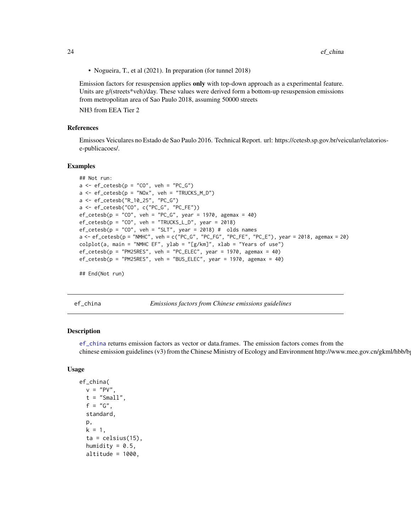24 ef\_china

• Nogueira, T., et al (2021). In preparation (for tunnel 2018)

Emission factors for resuspension applies only with top-down approach as a experimental feature. Units are g/(streets\*veh)/day. These values were derived form a bottom-up resuspension emissions from metropolitan area of Sao Paulo 2018, assuming 50000 streets

NH3 from EEA Tier 2

### References

Emissoes Veiculares no Estado de Sao Paulo 2016. Technical Report. url: https://cetesb.sp.gov.br/veicular/relatoriose-publicacoes/.

#### Examples

```
## Not run:
a \leq -e f_c e t e s b (p = "CO", veh = "PC_G")a \leq -ef_{\text{c}etesb}(p = "N0x", \text{ veh} = "TRUCKS_M_D")a <- ef_cetesb("R_10_25", "PC_G")
a <- ef_cetesb("CO", c("PC_G", "PC_FE"))
ef\_cetesb(p = "CO", veh = "PC_G", year = 1970, agemax = 40)ef\_cetesb(p = "CO", veh = "TRUES\_L_D", year = 2018)ef_cetesb(p = "CO", veh = "SLT", year = 2018) # olds names
a \leq -e f_c e t e s b (p = "N M H C", veh = c("PC_G", "PC_FG", "PC_FE", "PC_E"), year = 2018, agemax = 20)
colplot(a, main = "NMHC EF", ylab = "[g/km]", xlab = "Years of use")
ef\_cetesb(p = "PM25RES", veh = "PC\_ELECT", year = 1970, agemax = 40)ef\_cetesb(p = "PM25RES", veh = "BUS\_ELECT", year = 1970, agemax = 40)## End(Not run)
```
<span id="page-23-1"></span>

ef\_china *Emissions factors from Chinese emissions guidelines*

## Description

[ef\\_china](#page-23-1) returns emission factors as vector or data.frames. The emission factors comes from the chinese emission guidelines (v3) from the Chinese Ministry of Ecology and Environment http://www.mee.gov.cn/gkml/hbb/b

#### Usage

```
ef_china(
 v = "PV",t = "Small",f = "G",standard,
 p,
  k = 1,
  ta = celsius(15),
  humidity = 0.5,
  altitude = 1000,
```
<span id="page-23-0"></span>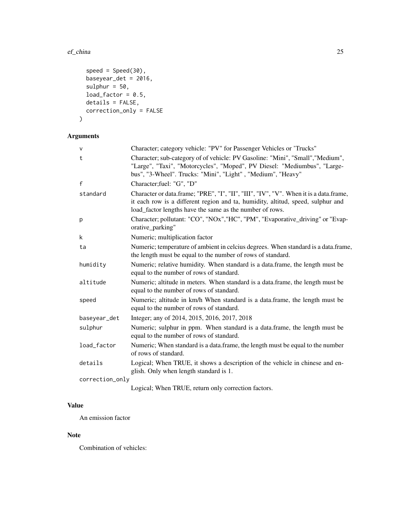#### ef\_china 25

```
speed = Speed(30),
 baseyear_det = 2016,
 sulphur = 50,
 load_factor = 0.5,
 details = FALSE,
 correction_only = FALSE
)
```
# Arguments

| V               | Character; category vehicle: "PV" for Passenger Vehicles or 'Trucks"                                                                                                                                                                 |
|-----------------|--------------------------------------------------------------------------------------------------------------------------------------------------------------------------------------------------------------------------------------|
| t               | Character; sub-category of of vehicle: PV Gasoline: "Mini", "Small", "Medium",<br>"Large", "Taxi", "Motorcycles", "Moped", PV Diesel: "Mediumbus", "Large-<br>bus", "3-Wheel". Trucks: "Mini", "Light", "Medium", "Heavy"            |
| f               | Character;fuel: "G", "D"                                                                                                                                                                                                             |
| standard        | Character or data.frame; "PRE", "I", "II", "III", "IV", "V". When it is a data.frame,<br>it each row is a different region and ta, humidity, altitud, speed, sulphur and<br>load_factor lengths have the same as the number of rows. |
| р               | Character; pollutant: "CO", "NOx","HC", "PM", "Evaporative_driving" or "Evap-<br>orative_parking"                                                                                                                                    |
| k               | Numeric; multiplication factor                                                                                                                                                                                                       |
| ta              | Numeric; temperature of ambient in celcius degrees. When standard is a data.frame,<br>the length must be equal to the number of rows of standard.                                                                                    |
| humidity        | Numeric; relative humidity. When standard is a data.frame, the length must be<br>equal to the number of rows of standard.                                                                                                            |
| altitude        | Numeric; altitude in meters. When standard is a data.frame, the length must be<br>equal to the number of rows of standard.                                                                                                           |
| speed           | Numeric; altitude in km/h When standard is a data.frame, the length must be<br>equal to the number of rows of standard.                                                                                                              |
| baseyear_det    | Integer; any of 2014, 2015, 2016, 2017, 2018                                                                                                                                                                                         |
| sulphur         | Numeric; sulphur in ppm. When standard is a data.frame, the length must be<br>equal to the number of rows of standard.                                                                                                               |
| load_factor     | Numeric; When standard is a data.frame, the length must be equal to the number<br>of rows of standard.                                                                                                                               |
| details         | Logical; When TRUE, it shows a description of the vehicle in chinese and en-<br>glish. Only when length standard is 1.                                                                                                               |
| correction_only |                                                                                                                                                                                                                                      |
|                 | Logical; When TRUE, return only correction factors.                                                                                                                                                                                  |

# Value

An emission factor

# Note

Combination of vehicles: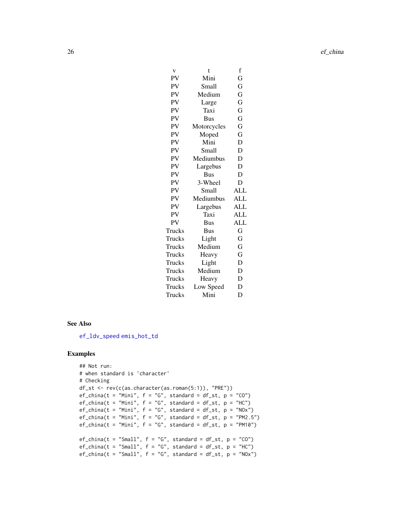| V      | t           | f          |
|--------|-------------|------------|
| PV     | Mini        | G          |
| PV     | Small       | G          |
| PV     | Medium      | G          |
| PV     | Large       | G          |
| PV     | Taxi        | G          |
| PV     | <b>Bus</b>  | G          |
| PV     | Motorcycles | G          |
| PV     | Moped       | G          |
| PV     | Mini        | D          |
| PV     | Small       | D          |
| PV     | Mediumbus   | D          |
| PV     | Largebus    | D          |
| PV     | Bus         | D          |
| PV     | 3-Wheel     | D          |
| PV     | Small       | ALL        |
| PV     | Mediumbus   | <b>ALL</b> |
| PV     | Largebus    | ALL        |
| PV     | Taxi        | ALL        |
| PV     | Bus         | <b>ALL</b> |
| Trucks | Bus         | G          |
| Trucks | Light       | G          |
| Trucks | Medium      | G          |
| Trucks | Heavy       | G          |
| Trucks | Light       | D          |
| Trucks | Medium      | D          |
| Trucks | Heavy       | D          |
| Trucks | Low Speed   | D          |
| Trucks | Mini        | D          |

#### See Also

[ef\\_ldv\\_speed](#page-42-1) [emis\\_hot\\_td](#page-78-1)

# Examples

```
## Not run:
# when standard is 'character'
# Checking
df_st <- rev(c(as.character(as.roman(5:1)), "PRE"))
ef_{china}(t = "Mini", f = "G", standard = df_st, p = "CO")ef_china(t = "Mini", f = "G", standard = df_st, p = "HC")ef_china(t = "Mini", f = "G", standard = df_st, p = "N0x")ef_china(t = "Mini", f = "G", standard = df_st, p = "PM2.5")
ef_china(t = "Mini", f = "G", standard = df_st, p = "PM10")
ef_{\text{china}}(t = "Small", f = "G", standard = df_st, p = "CO")ef_china(t = "Small", f = "G", standard = df_st, p = "HC")
ef_{china}(t = "Small", f = "G", standard = df_st, p = "NOx")
```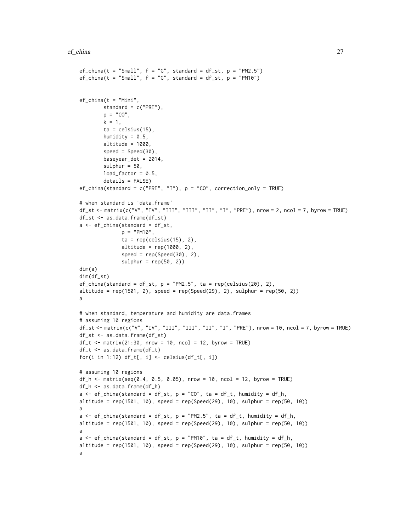```
ef_{china}(t = "Small", f = "G", standard = df_st, p = "PM2.5")ef_{china}(t = "Small", f = "G", standard = df_st, p = "PM10")ef_{china}(t = "Mini",standard = c("PRE"),
        p = "CO",k = 1,
        ta = celsius(15),
        humidity = 0.5,
        altitude = 1000,
        speed = Speed(30),
        baseyear_det = 2014,
        sulphur = 50,
        load_factor = 0.5,
        details = FALSE)
ef_{china}(standard = c("PRE", "I"), p = "CO", correction_only = TRUE)
# when standard is 'data.frame'
df_st <- matrix(c("V", "IV", "III", "III", "II", "I", "PRE"), nrow = 2, ncol = 7, byrow = TRUE)
df_st <- as.data.frame(df_st)
a \leftarrow ef_{china}(\text{standard} = df_{st},p = "PM10",ta = rep(celsius(15), 2),altitude = rep(1000, 2),
               speed = rep(Speed(30), 2),sulphur = rep(50, 2))dim(a)
dim(df_st)
ef_{china}(standard = df_{st}, p = "PM2.5", ta = rep(celsius(20), 2),
altitude = rep(1501, 2), speed = rep(Speed(29), 2), sulphur = rep(50, 2))
a
# when standard, temperature and humidity are data.frames
# assuming 10 regions
df_st <- matrix(c("V", "IV", "III", "III", "II", "I", "PRE"), nrow = 10, ncol = 7, byrow = TRUE)
df_st <- as.data.frame(df_st)
df_t < - matrix(21:30, nrow = 10, ncol = 12, byrow = TRUE)
df_t < -as.data frame(df_t)for(i in 1:12) df_t[, i] <- celsius(df_t[, i])
# assuming 10 regions
df_h \leq \text{matrix}(\text{seq}(0.4, 0.5, 0.05), \text{ nrow} = 10, \text{ ncol} = 12, \text{ byrow} = \text{TRUE})df_h <- as.data.frame(df_h)
a \leq -ef_{\text{china}}(standard = df_{st}, p = "CO", ta = df_t, humidity = df_h,altitude = rep(1501, 10), speed = rep(Speed(29), 10), sulphur = rep(50, 10))
a
a \leq -e f_{\text{china}}(s \cdot t) = df_st, p = "PM2.5", ta = df_t, humidity = df_h,
altitude = rep(1501, 10), speed = rep(Speed(29), 10), sulphur = rep(50, 10))a
a \leq ef_{china}(\text{standard} = df_{st}, p = "PM10", ta = df_t, humidity = df_h,altitude = rep(1501, 10), speed = rep(Speed(29), 10), sulphur = rep(50, 10))
a
```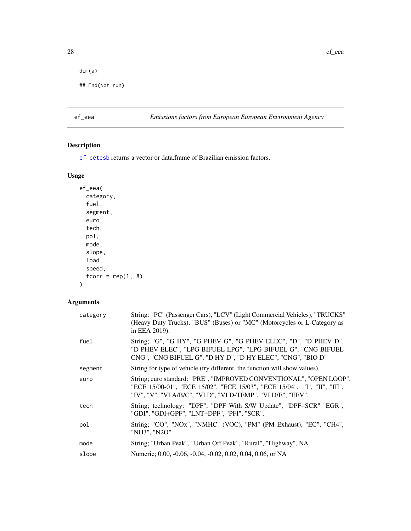```
dim(a)
```

```
## End(Not run)
```
# ef\_eea *Emissions factors from European European Environment Agency*

# Description

[ef\\_cetesb](#page-20-1) returns a vector or data.frame of Brazilian emission factors.

# Usage

```
ef_eea(
 category,
 fuel,
  segment,
 euro,
  tech,
 pol,
 mode,
  slope,
 load,
  speed,
  fcorr = rep(1, 8))
```
# Arguments

| category | String: "PC" (Passenger Cars), "LCV" (Light Commercial Vehicles), "TRUCKS"<br>(Heavy Duty Trucks), "BUS" (Buses) or "MC" (Motorcycles or L-Category as<br>in EEA 2019).                                         |
|----------|-----------------------------------------------------------------------------------------------------------------------------------------------------------------------------------------------------------------|
| fuel     | String; "G", "G HY", "G PHEV G", "G PHEV ELEC", "D", "D PHEV D",<br>"D PHEV ELEC", "LPG BIFUEL LPG", "LPG BIFUEL G", "CNG BIFUEL<br>CNG", "CNG BIFUEL G", "D HY D", "D HY ELEC", "CNG", "BIO D"                 |
| segment  | String for type of vehicle (try different, the function will show values).                                                                                                                                      |
| euro     | String; euro standard: "PRE", "IMPROVED CONVENTIONAL", "OPEN LOOP",<br>"ECE 15/00-01", "ECE 15/02", "ECE 15/03", "ECE 15/04". "I", "II", "III",<br>"IV", "V", "VI A/B/C", "VI D", "VI D-TEMP", "VI D/E", "EEV". |
| tech     | String; technology: "DPF", "DPF With S/W Update", "DPF+SCR" "EGR",<br>"GDI", "GDI+GPF", "LNT+DPF", "PFI", "SCR".                                                                                                |
| pol      | String; "CO", "NOx", "NMHC" (VOC), "PM" (PM Exhaust), "EC", "CH4",<br>"NH3", "N2O"                                                                                                                              |
| mode     | String; "Urban Peak", "Urban Off Peak", "Rural", "Highway", NA.                                                                                                                                                 |
| slope    | Numeric; 0.00, -0.06, -0.04, -0.02, 0.02, 0.04, 0.06, or NA                                                                                                                                                     |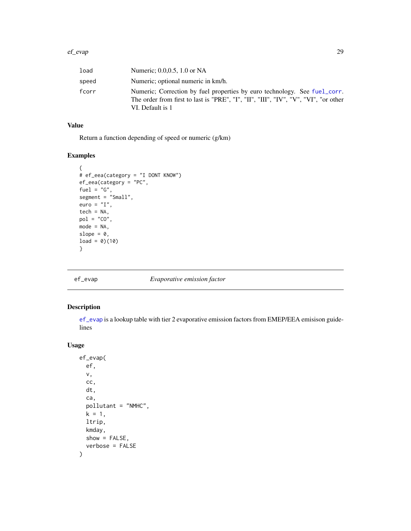<span id="page-28-0"></span>

| load  | Numeric: 0.0,0.5, 1.0 or NA                                                                                                                                                          |
|-------|--------------------------------------------------------------------------------------------------------------------------------------------------------------------------------------|
| speed | Numeric; optional numeric in km/h.                                                                                                                                                   |
| fcorr | Numeric; Correction by fuel properties by euro technology. See fuel_corr.<br>The order from first to last is "PRE", "I", "II", "III", "IV", "V", "VI", "or other<br>VI. Default is 1 |

# Value

Return a function depending of speed or numeric (g/km)

# Examples

```
{
# ef_eea(category = "I DONT KNOW")
ef_eea(category = "PC",
fuel = "G",segment = "Small",
euro = "I",tech = NA,pol = "CO",mode = NA,
slope = \theta,
load = 0)(10)}
```
<span id="page-28-1"></span>

ef\_evap *Evaporative emission factor*

### Description

[ef\\_evap](#page-28-1) is a lookup table with tier 2 evaporative emission factors from EMEP/EEA emisison guidelines

# Usage

```
ef_evap(
  ef,
  v,
  cc,
  dt,
  ca,
  pollutant = "NMHC",
  k = 1,
  ltrip,
  kmday,
  show = FALSE,verbose = FALSE
\mathcal{E}
```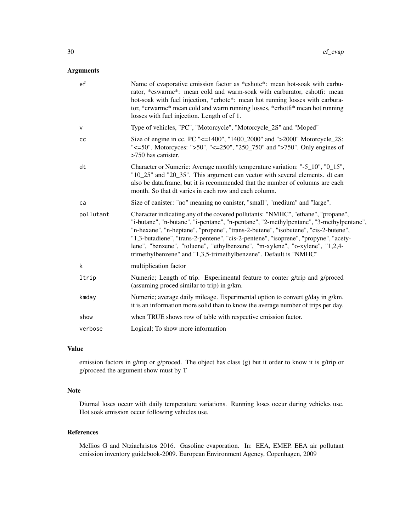# Arguments

| ef           | Name of evaporative emission factor as *eshotc*: mean hot-soak with carbu-<br>rator, *eswarmc*: mean cold and warm-soak with carburator, eshotfi: mean<br>hot-soak with fuel injection, *erhotc*: mean hot running losses with carbura-<br>tor, *erwarmc* mean cold and warm running losses, *erhotfi* mean hot running<br>losses with fuel injection. Length of ef 1.                                                                                                                                        |
|--------------|---------------------------------------------------------------------------------------------------------------------------------------------------------------------------------------------------------------------------------------------------------------------------------------------------------------------------------------------------------------------------------------------------------------------------------------------------------------------------------------------------------------|
| $\mathsf{V}$ | Type of vehicles, "PC", "Motorcycle", "Motorcycle_2S" and "Moped"                                                                                                                                                                                                                                                                                                                                                                                                                                             |
| cc           | Size of engine in cc. PC "<=1400", "1400_2000" and ">2000" Motorcycle_2S:<br>" $\leq$ =50". Motorcyces: ">50", " $\leq$ =250", "250 750" and ">750". Only engines of<br>>750 has canister.                                                                                                                                                                                                                                                                                                                    |
| dt           | Character or Numeric: Average monthly temperature variation: "-5_10", "0_15",<br>"10_25" and "20_35". This argument can vector with several elements. dt can<br>also be data.frame, but it is recommended that the number of columns are each<br>month. So that dt varies in each row and each column.                                                                                                                                                                                                        |
| ca           | Size of canister: "no" meaning no canister, "small", "medium" and "large".                                                                                                                                                                                                                                                                                                                                                                                                                                    |
| pollutant    | Character indicating any of the covered pollutants: "NMHC", "ethane", "propane",<br>"i-butane", "n-butane", "i-pentane", "n-pentane", "2-methylpentane", "3-methylpentane",<br>"n-hexane", "n-heptane", "propene", "trans-2-butene", "isobutene", "cis-2-butene",<br>"1,3-butadiene", "trans-2-pentene", "cis-2-pentene", "isoprene", "propyne", "acety-<br>lene", "benzene", "toluene", "ethylbenzene", "m-xylene", "o-xylene", "1,2,4-<br>trimethylbenzene" and "1,3,5-trimethylbenzene". Default is "NMHC" |
| k            | multiplication factor                                                                                                                                                                                                                                                                                                                                                                                                                                                                                         |
| ltrip        | Numeric; Length of trip. Experimental feature to conter g/trip and g/proced<br>(assuming proced similar to trip) in g/km.                                                                                                                                                                                                                                                                                                                                                                                     |
| kmday        | Numeric; average daily mileage. Experimental option to convert g/day in g/km.<br>it is an information more solid than to know the average number of trips per day.                                                                                                                                                                                                                                                                                                                                            |
| show         | when TRUE shows row of table with respective emission factor.                                                                                                                                                                                                                                                                                                                                                                                                                                                 |
| verbose      | Logical; To show more information                                                                                                                                                                                                                                                                                                                                                                                                                                                                             |

# Value

emission factors in g/trip or g/proced. The object has class (g) but it order to know it is g/trip or g/proceed the argument show must by T

#### Note

Diurnal loses occur with daily temperature variations. Running loses occur during vehicles use. Hot soak emission occur following vehicles use.

# References

Mellios G and Ntziachristos 2016. Gasoline evaporation. In: EEA, EMEP. EEA air pollutant emission inventory guidebook-2009. European Environment Agency, Copenhagen, 2009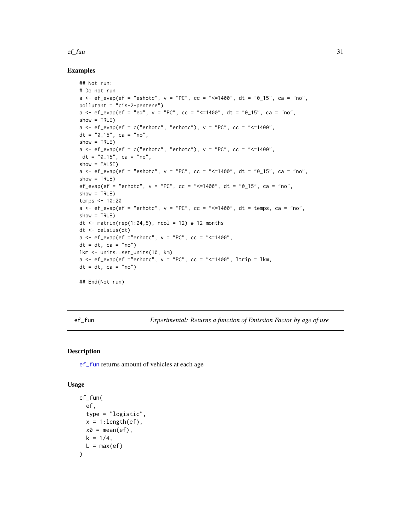#### <span id="page-30-0"></span> $e^{\frac{f}{2}}$  ef\_fun 31

#### Examples

```
## Not run:
# Do not run
a <- ef_evap(ef = "eshotc", v = "PC", cc = "<=1400", dt = "0_15", ca = "no",
pollutant = "cis-2-pentene")
a \leq -ef\_{evap}(ef = "ed", v = "PC", cc = "<=1400", dt = "0_15", ca = "no",show = TRUE)
a \leq -ef\equiv \text{evap}(ef = c("erhotc", "erhotc"), v = "PC", cc = "<=1400",dt = "0_15", ca = "no",show = TRUE)
a \leq -e f_evap(ef = c("erhotc", "erhotc"), v = "PC", cc = "<=1400",
dt = "0_15", ca = "no",show = FALSE)a \leq -e f_{\text{evap}}(ef = \text{"eshotc", v = "PC", cc = "<=1400", dt = "0_15", ca = "no",show = TRUE)
ef_evap(ef = "erhotc", v = "PC", cc = "<=1400", dt = "0_15", ca = "no",
show = TRUE)
temps <- 10:20
a \leq -e f_evap(ef = "erhotc", v = "PC", cc = "<=1400", dt = temps, ca = "no",
show = TRUE)
dt \le matrix(rep(1:24,5), ncol = 12) # 12 months
dt <- celsius(dt)
a \leq -e f_{evap}(ef = "erhote", v = "PC", cc = "<=1400",dt = dt, ca = "no")lkm <- units::set_units(10, km)
a \leq ef_evap(ef ="erhotc", v = "PC", cc = "<=1400", ltrip = lkm,
dt = dt, ca = "no")
## End(Not run)
```
<span id="page-30-1"></span>ef\_fun *Experimental: Returns a function of Emission Factor by age of use*

#### Description

[ef\\_fun](#page-30-1) returns amount of vehicles at each age

#### Usage

```
ef_fun(
  ef,
  type = "logistic",
  x = 1: length(ef),
  x0 = \text{mean}(ef),
  k = 1/4,
  L = max(ef))
```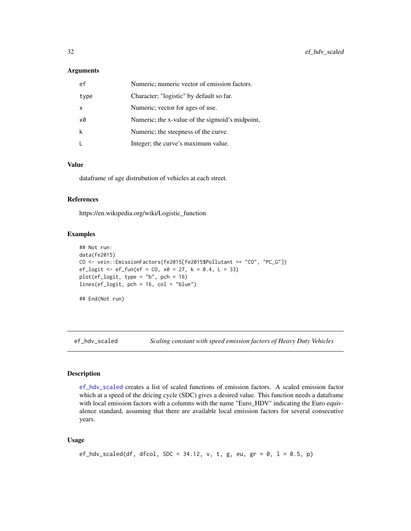#### <span id="page-31-0"></span>**Arguments**

| ef   | Numeric; numeric vector of emission factors.    |
|------|-------------------------------------------------|
| type | Character; "logistic" by default so far.        |
| x    | Numeric; vector for ages of use.                |
| x0   | Numeric; the x-value of the sigmoid's midpoint, |
| k    | Numeric; the steepness of the curve.            |
|      | Integer; the curve's maximum value.             |

#### Value

dataframe of age distrubution of vehicles at each street.

#### References

https://en.wikipedia.org/wiki/Logistic\_function

# Examples

```
## Not run:
data(fe2015)
CO <- vein::EmissionFactors(fe2015[fe2015$Pollutant == "CO", "PC_G"])
ef_{\text{logit}} < -ef_{\text{run}}(ef = CO, x0 = 27, k = 0.4, L = 33)plot(ef\_logit, type = "b", pch = 16)lines(ef_logit, pch = 16, col = "blue")
## End(Not run)
```
<span id="page-31-1"></span>ef\_hdv\_scaled *Scaling constant with speed emission factors of Heavy Duty Vehicles*

# Description

[ef\\_hdv\\_scaled](#page-31-1) creates a list of scaled functions of emission factors. A scaled emission factor which at a speed of the dricing cycle (SDC) gives a desired value. This function needs a dataframe with local emission factors with a columns with the name "Euro\_HDV" indicating the Euro equivalence standard, assuming that there are available local emission factors for several consecutive years.

#### Usage

```
ef_hdv_scaled(df, dfcol, SDC = 34.12, v, t, g, eu, gr = 0, l = 0.5, p)
```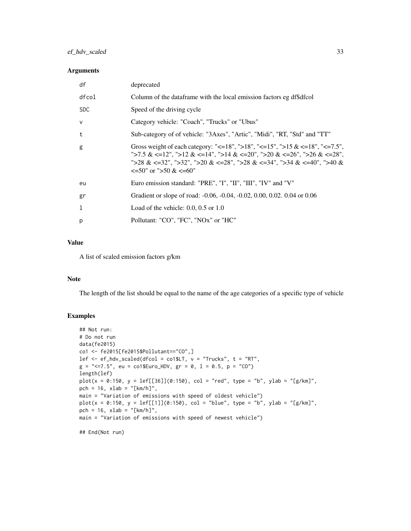# ef\_hdv\_scaled 33

### Arguments

| df         | deprecated                                                                                                                                                                                                                                                                            |
|------------|---------------------------------------------------------------------------------------------------------------------------------------------------------------------------------------------------------------------------------------------------------------------------------------|
| dfcol      | Column of the dataframe with the local emission factors eg df\$dfcol                                                                                                                                                                                                                  |
| <b>SDC</b> | Speed of the driving cycle                                                                                                                                                                                                                                                            |
| $\vee$     | Category vehicle: "Coach", "Trucks" or "Ubus"                                                                                                                                                                                                                                         |
| t          | Sub-category of of vehicle: "3Axes", "Artic", "Midi", "RT, "Std" and "TT"                                                                                                                                                                                                             |
| g          | Gross weight of each category: "<=18", ">18", "<=15", ">15 & <=18", "<=7.5",<br>">7.5 & <=12", ">12 & <=14", ">14 & <=20", ">20 & <=26", ">26 & <=28",<br>">28 & <=32", ">32", ">20 & <=28", ">28 & <=34", ">34 & <=40", ">40 &<br>$\leq 50^{\circ}$ or " $> 50 \& \leq 60^{\circ}$ " |
| eu         | Euro emission standard: "PRE", "I", "II", "III", "IV" and "V"                                                                                                                                                                                                                         |
| gr         | Gradient or slope of road: -0.06, -0.04, -0.02, 0.00, 0.02. 0.04 or 0.06                                                                                                                                                                                                              |
| 1          | Load of the vehicle: $0.0, 0.5$ or $1.0$                                                                                                                                                                                                                                              |
| p          | Pollutant: "CO", "FC", "NOx" or "HC"                                                                                                                                                                                                                                                  |

# Value

A list of scaled emission factors g/km

#### Note

The length of the list should be equal to the name of the age categories of a specific type of vehicle

# Examples

```
## Not run:
# Do not run
data(fe2015)
co1 <- fe2015[fe2015$Pollutant=="CO",]
lef \leq ef_hdv_scaled(dfcol = co1$LT, v = "Trucks", t = "RT",
g = "<=7.5", eu = co1$Euro_HDV, gr = 0, l = 0.5, p = "CO")
length(lef)
plot(x = 0:150, y = left[[36]](0:150), col = "red", type = "b", ylab = "[g/km]",pch = 16, xlab = "[km/h]",
main = "Variation of emissions with speed of oldest vehicle")
plot(x = 0:150, y = left[[1]](0:150), col = "blue", type = "b", ylab = "[g/km]",pch = 16, xlab = "[km/h]",
main = "Variation of emissions with speed of newest vehicle")
```
## End(Not run)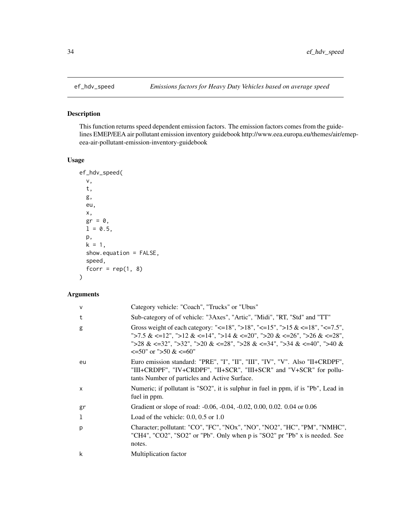<span id="page-33-0"></span>

# Description

This function returns speed dependent emission factors. The emission factors comes from the guidelines EMEP/EEA air pollutant emission inventory guidebook http://www.eea.europa.eu/themes/air/emepeea-air-pollutant-emission-inventory-guidebook

### Usage

```
ef_hdv_speed(
  v,
  t,
  g,
  eu,
  x,
  gr = 0,
 1 = 0.5,
 p,
 k = 1,show.equation = FALSE,
  speed,
  fcorr = rep(1, 8)\mathcal{L}
```
# Arguments

| v  | Category vehicle: "Coach", "Trucks" or "Ubus"                                                                                                                                                                                                                        |
|----|----------------------------------------------------------------------------------------------------------------------------------------------------------------------------------------------------------------------------------------------------------------------|
| t  | Sub-category of of vehicle: "3Axes", "Artic", "Midi", "RT, "Std" and "TT"                                                                                                                                                                                            |
| g  | Gross weight of each category: "<=18", ">18", "<=15", ">15 & <=18", "<=7.5",<br>">7.5 & <=12", ">12 & <=14", ">14 & <=20", ">20 & <=26", ">26 & <=28",<br>">28 & <=32", ">32", ">20 & <=28", ">28 & <=34", ">34 & <=40", ">40 &<br>$\leq 50$ " or ">50 & $\leq 60$ " |
| eu | Euro emission standard: "PRE", "I", "II", "III", "IV", "V". Also "II+CRDPF",<br>"III+CRDPF", "IV+CRDPF", "II+SCR", "III+SCR" and "V+SCR" for pollu-<br>tants Number of particles and Active Surface.                                                                 |
| x  | Numeric; if pollutant is "SO2", it is sulphur in fuel in ppm, if is "Pb", Lead in<br>fuel in ppm.                                                                                                                                                                    |
| gr | Gradient or slope of road: -0.06, -0.04, -0.02, 0.00, 0.02. 0.04 or 0.06                                                                                                                                                                                             |
| 1  | Load of the vehicle: $0.0, 0.5$ or $1.0$                                                                                                                                                                                                                             |
| р  | Character; pollutant: "CO", "FC", "NOx", "NO", "NO2", "HC", "PM", "NMHC",<br>"CH4", "CO2", "SO2" or "Pb". Only when p is "SO2" pr "Pb" x is needed. See<br>notes.                                                                                                    |
| k  | Multiplication factor                                                                                                                                                                                                                                                |
|    |                                                                                                                                                                                                                                                                      |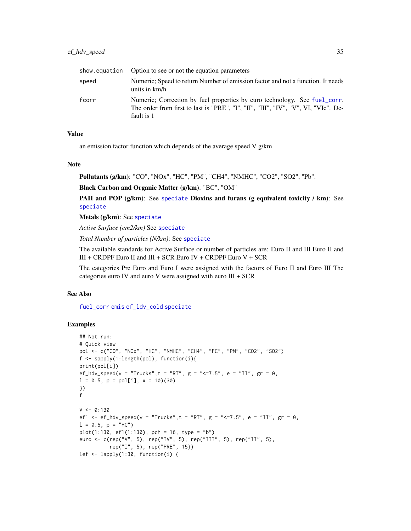# ef\_hdv\_speed 35

|       | show equation Option to see or not the equation parameters                                                                                                                    |
|-------|-------------------------------------------------------------------------------------------------------------------------------------------------------------------------------|
| speed | Numeric; Speed to return Number of emission factor and not a function. It needs<br>units in km/h                                                                              |
| fcorr | Numeric; Correction by fuel properties by euro technology. See fuel_corr.<br>The order from first to last is "PRE", "I", "II", "III", "IV", "V", VI, "VIc". De-<br>fault is 1 |

#### Value

an emission factor function which depends of the average speed V g/km

#### Note

Pollutants (g/km): "CO", "NOx", "HC", "PM", "CH4", "NMHC", "CO2", "SO2", "Pb".

Black Carbon and Organic Matter (g/km): "BC", "OM"

PAH and POP (g/km): See [speciate](#page-122-1) Dioxins and furans (g equivalent toxicity / km): See [speciate](#page-122-1)

Metals (g/km): See [speciate](#page-122-1)

*Active Surface (cm2/km)* See [speciate](#page-122-1)

*Total Number of particles (N/km)*: See [speciate](#page-122-1)

The available standards for Active Surface or number of particles are: Euro II and III Euro II and III + CRDPF Euro II and III + SCR Euro IV + CRDPF Euro V + SCR

The categories Pre Euro and Euro I were assigned with the factors of Euro II and Euro III The categories euro IV and euro V were assigned with euro III + SCR

#### See Also

[fuel\\_corr](#page-95-1) [emis](#page-51-1) [ef\\_ldv\\_cold](#page-38-1) [speciate](#page-122-1)

# Examples

```
## Not run:
# Quick view
pol <- c("CO", "NOx", "HC", "NMHC", "CH4", "FC", "PM", "CO2", "SO2")
f <- sapply(1:length(pol), function(i){
print(pol[i])
ef_hdv_speed(v = "Trucks", t = "RT", g = "<=7.5", e = "II", gr = 0,
l = 0.5, p = pol[i], x = 10(30)})
f
V < -0:130ef1 <- ef_hdv_speed(v = "Trucks", t = "RT", g = "<=7.5", e = "II", gr = 0,
l = 0.5, p = "HC")plot(1:130, ef1(1:130), pch = 16, type = "b")euro <- c(rep("V", 5), rep("IV", 5), rep("III", 5), rep("II", 5),
          rep("I", 5), rep("PRE", 15))
lef <- lapply(1:30, function(i) {
```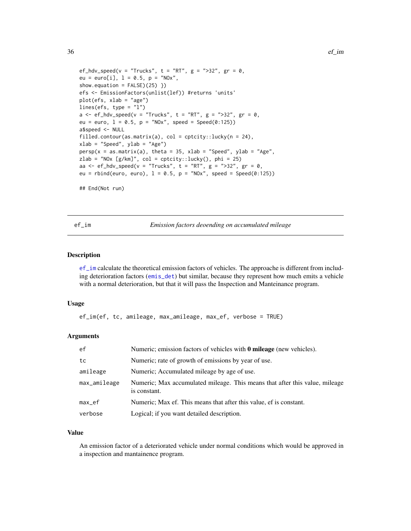```
ef_hdv_speed(v = "Trucks", t = "RT", g = ">32", gr = 0,eu = euro[i], 1 = 0.5, p = "NOx",show.equation = FALSE)(25) })
efs <- EmissionFactors(unlist(lef)) #returns 'units'
plot(efs, xlab = "age")
lines(efs, type = "l")
a \leq -ef_{\text{hd}} \vee \text{ speed}(v = \text{"Trucks"} , t = \text{"RT"} , g = \text{"} > 32", gr = 0,eu = euro, 1 = 0.5, p = "N0x", speed = Speed(0:125))a$speed <- NULL
filled.contour(as.matrix(a), col = cptcity::lucky(n = 24),
xlab = "Speed", ylab = "Age")
persp(x = as.matrix(a), theta = 35, xlab = "Speed", ylab = "Age",zlab = "NOx [g/km]", col = cptcity::lucky(), phi = 25)
aa <- ef_hdv_speed(v = "Trucks", t = "RT", g = ">32", gr = 0,
eu = rbind(euro, euro), 1 = 0.5, p = "N0x", speed = Speed(0:125))## End(Not run)
```
<span id="page-35-1"></span>ef\_im *Emission factors deoending on accumulated mileage*

# Description

[ef\\_im](#page-35-1) calculate the theoretical emission factors of vehicles. The approache is different from including deterioration factors ([emis\\_det](#page-69-1)) but similar, because they represent how much emits a vehicle with a normal deterioration, but that it will pass the Inspection and Manteinance program.

### Usage

```
ef_im(ef, tc, amileage, max_amileage, max_ef, verbose = TRUE)
```
#### Arguments

| ef           | Numeric; emission factors of vehicles with 0 mileage (new vehicles).                        |
|--------------|---------------------------------------------------------------------------------------------|
| tc           | Numeric; rate of growth of emissions by year of use.                                        |
| amileage     | Numeric; Accumulated mileage by age of use.                                                 |
| max_amileage | Numeric; Max accumulated mileage. This means that after this value, mileage<br>is constant. |
| max_ef       | Numeric; Max ef. This means that after this value, ef is constant.                          |
| verbose      | Logical; if you want detailed description.                                                  |

#### Value

An emission factor of a deteriorated vehicle under normal conditions which would be approved in a inspection and mantainence program.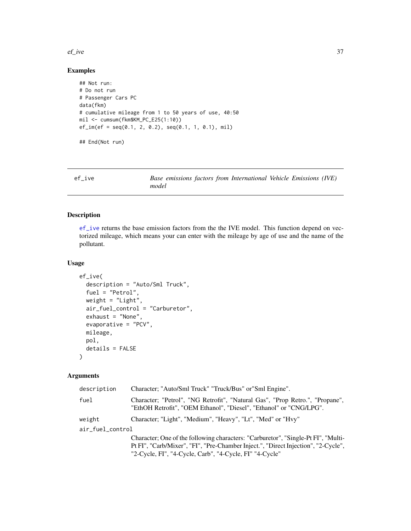#### $e^{\frac{1}{2}}$  ef\_ive 37

# Examples

```
## Not run:
# Do not run
# Passenger Cars PC
data(fkm)
# cumulative mileage from 1 to 50 years of use, 40:50
mil <- cumsum(fkm$KM_PC_E25(1:10))
ef\_im(ef = seq(0.1, 2, 0.2), seq(0.1, 1, 0.1), mil)## End(Not run)
```
<span id="page-36-0"></span>

| ef ive | Base emissions factors from International Vehicle Emissions (IVE) |
|--------|-------------------------------------------------------------------|
|        | model                                                             |

### Description

[ef\\_ive](#page-36-0) returns the base emission factors from the the IVE model. This function depend on vectorized mileage, which means your can enter with the mileage by age of use and the name of the pollutant.

### Usage

```
ef_ive(
  description = "Auto/Sml Truck",
  fuel = "Petrol",
 weight = "Light",
  air_fuel_control = "Carburetor",
  exhaust = "None",evaporative = "PCV",
 mileage,
 pol,
  details = FALSE)
```
### Arguments

| description      | Character; "Auto/Sml Truck" "Truck/Bus" or "Sml Engine".                                                                                           |
|------------------|----------------------------------------------------------------------------------------------------------------------------------------------------|
| fuel             | Character; "Petrol", "NG Retrofit", "Natural Gas", "Prop Retro.", "Propane",<br>"EthOH Retrofit", "OEM Ethanol", "Diesel", "Ethanol" or "CNG/LPG". |
| weight           | Character; "Light", "Medium", "Heavy", "Lt", "Med" or "Hvy"                                                                                        |
| air_fuel_control |                                                                                                                                                    |
|                  | Character; One of the following characters: "Carburetor", "Single-Pt FI", "Multi-                                                                  |
|                  | Pt FI", "Carb/Mixer", "FI", "Pre-Chamber Inject.", "Direct Injection", "2-Cycle",                                                                  |
|                  | "2-Cycle, FI", "4-Cycle, Carb", "4-Cycle, FI" "4-Cycle"                                                                                            |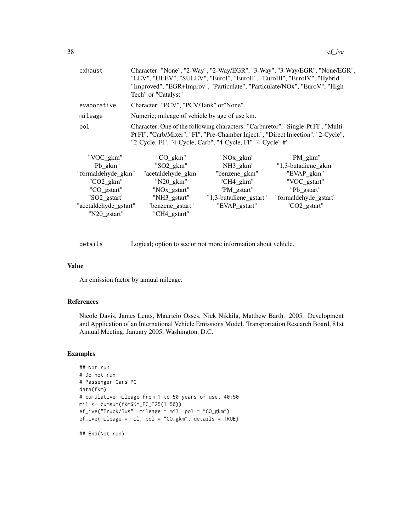| exhaust               | Tech" or "Catalyst"                                        |                        | Character: "None", "2-Way", "2-Way/EGR", "3-Way", "3-Way/EGR", "None/EGR",<br>"LEV", "ULEV", "SULEV", "EuroI", "EuroII", "EuroIII", "EuroIV", "Hybrid",<br>"Improved", "EGR+Improv", "Particulate", "Particulate/NOx", "EuroV", "High |
|-----------------------|------------------------------------------------------------|------------------------|---------------------------------------------------------------------------------------------------------------------------------------------------------------------------------------------------------------------------------------|
| evaporative           | Character: "PCV", "PCV/Tank" or "None".                    |                        |                                                                                                                                                                                                                                       |
| mileage               | Numeric; mileage of vehicle by age of use km.              |                        |                                                                                                                                                                                                                                       |
| pol                   | "2-Cycle, FI", "4-Cycle, Carb", "4-Cycle, FI" "4-Cycle" #' |                        | Character; One of the following characters: "Carburetor", "Single-Pt FI", "Multi-<br>Pt FI", "Carb/Mixer", "FI", "Pre-Chamber Inject.", "Direct Injection", "2-Cycle",                                                                |
| "VOC_gkm"             | "CO_gkm"                                                   | "NOx_gkm"              | "PM_gkm"                                                                                                                                                                                                                              |
| "Pb_gkm"              | $"SO2\_gkm"$                                               | "NH3_gkm"              | "1,3-butadiene_gkm"                                                                                                                                                                                                                   |
| "formaldehyde_gkm"    | "acetaldehyde_gkm"                                         | "benzene_gkm"          | "EVAP_gkm"                                                                                                                                                                                                                            |
| $"CO2\_gkm"$          | $"N20_gkm"$                                                | "CH4_gkm"              | "VOC_gstart"                                                                                                                                                                                                                          |
| "CO_gstart"           | "NOx_gstart"                                               | "PM_gstart"            | "Pb_gstart"                                                                                                                                                                                                                           |
| "SO2_gstart"          | "NH3_gstart"                                               | "1,3-butadiene_gstart" | "formaldehyde_gstart"                                                                                                                                                                                                                 |
| "acetaldehyde_gstart" | "benzene_gstart"                                           | "EVAP_gstart"          | "CO2_gstart"                                                                                                                                                                                                                          |

details Logical; option to see or not more information about vehicle.

#### Value

An emission factor by annual mileage.

"N20\_gstart" "CH4\_gstart"

# References

Nicole Davis, James Lents, Mauricio Osses, Nick Nikkila, Matthew Barth. 2005. Development and Application of an International Vehicle Emissions Model. Transportation Research Board, 81st Annual Meeting, January 2005, Washington, D.C.

### Examples

```
## Not run:
# Do not run
# Passenger Cars PC
data(fkm)
# cumulative mileage from 1 to 50 years of use, 40:50
mil <- cumsum(fkm$KM_PC_E25(1:50))
ef_ive("Truck/Bus", mileage = mil, pol = "CO_gkm")
ef_ive(mileage = mil, pol = "CO_gkm", details = TRUE)
```
## End(Not run)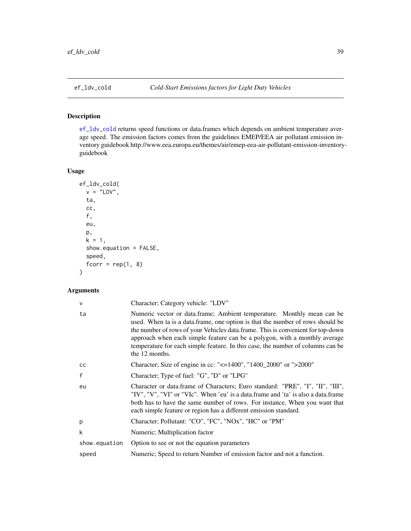### <span id="page-38-0"></span>Description

[ef\\_ldv\\_cold](#page-38-0) returns speed functions or data.frames which depends on ambient temperature average speed. The emission factors comes from the guidelines EMEP/EEA air pollutant emission inventory guidebook http://www.eea.europa.eu/themes/air/emep-eea-air-pollutant-emission-inventoryguidebook

### Usage

```
ef_ldv_cold(
  v = "LDV",ta,
  cc,
  f,
  eu,
  p,
  k = 1,show.equation = FALSE,
  speed,
  fcorr = rep(1, 8)\mathcal{L}
```
# Arguments

| V             | Character; Category vehicle: "LDV"                                                                                                                                                                                                                                                                                                                                                                                             |
|---------------|--------------------------------------------------------------------------------------------------------------------------------------------------------------------------------------------------------------------------------------------------------------------------------------------------------------------------------------------------------------------------------------------------------------------------------|
| ta            | Numeric vector or data.frame; Ambient temperature. Monthly mean can be<br>used. When ta is a data frame, one option is that the number of rows should be<br>the number of rows of your Vehicles data.frame. This is convenient for top-down<br>approach when each simple feature can be a polygon, with a monthly average<br>temperature for each simple feature. In this case, the number of columns can be<br>the 12 months. |
| cc            | Character; Size of engine in cc: "<=1400", "1400_2000" or ">2000"                                                                                                                                                                                                                                                                                                                                                              |
| f             | Character; Type of fuel: "G", "D" or "LPG"                                                                                                                                                                                                                                                                                                                                                                                     |
| eu            | Character or data.frame of Characters; Euro standard: "PRE", "I", "II", "III",<br>"IV", "V", "VI" or "VIc". When 'eu' is a data.frame and 'ta' is also a data.frame<br>both has to have the same number of rows. For instance, When you want that<br>each simple feature or region has a different emission standard.                                                                                                          |
| p             | Character; Pollutant: "CO", "FC", "NOx", "HC" or "PM"                                                                                                                                                                                                                                                                                                                                                                          |
| k             | Numeric; Multiplication factor                                                                                                                                                                                                                                                                                                                                                                                                 |
| show.equation | Option to see or not the equation parameters                                                                                                                                                                                                                                                                                                                                                                                   |
| speed         | Numeric; Speed to return Number of emission factor and not a function.                                                                                                                                                                                                                                                                                                                                                         |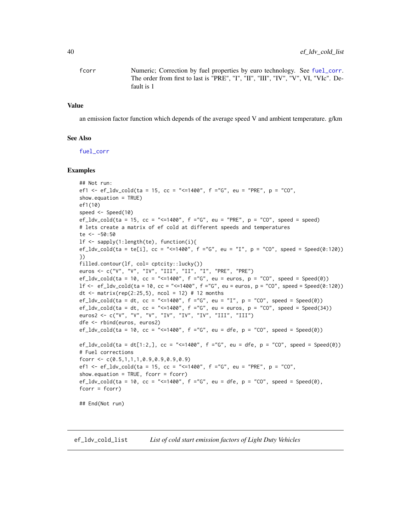fcorr Numeric; Correction by fuel properties by euro technology. See [fuel\\_corr](#page-95-0). The order from first to last is "PRE", "I", "II", "III", "IV", "V", VI, "VIc". Default is 1

#### Value

an emission factor function which depends of the average speed V and ambient temperature.  $g/km$ 

#### See Also

[fuel\\_corr](#page-95-0)

#### Examples

```
## Not run:
ef1 <- ef_ldv_cold(ta = 15, cc = "<=1400", f ="G", eu = "PRE", p = "CO",
show.equation = TRUE)
ef1(10)
speed <- Speed(10)
ef_ldv_cold(ta = 15, cc = "<=1400", f ="G", eu = "PRE", p = "C0", speed = speed)
# lets create a matrix of ef cold at different speeds and temperatures
te <- -50:50
lf <- sapply(1:length(te), function(i){
ef_ldv_cold(ta = te[i], cc = "<=1400", f = "G", eu = "I", p = "CO", speed = Speed(0:120))})
filled.contour(lf, col= cptcity::lucky())
euros <- c("V", "V", "IV", "III", "II", "I", "PRE", "PRE")
ef_ldv_cold(ta = 10, cc = "<=1400", f ="G", eu = euros, p = "CO", speed = Speed(0))
lf \leq - ef_ldv_cold(ta = 10, cc = "\leq=1400", f ="G", eu = euros, p = "CO", speed = Speed(0:120))
dt <- matrix(rep(2:25,5), ncol = 12) # 12 months
ef_ldv_cold(ta = dt, cc = "<=1400", f ="G", eu = "I", p = "CO", speed = Speed(0))
ef_ldv_cold(ta = dt, cc = "<=1400", f ="G", eu = euros, p = "CO", speed = Speed(34))
euros2 <- c("V", "V", "V", "IV", "IV", "IV", "III", "III")
dfe <- rbind(euros, euros2)
ef_ldv_cold(ta = 10, cc = "<=1400", f ="G", eu = dfe, p = "CO", speed = Spec(d))ef_ldv_cold(ta = dt[1:2,], cc = "<=1400", f ="G", eu = dfe, p = "CO", speed = Speed(0))
# Fuel corrections
fcorr <- c(0.5,1,1,1,0.9,0.9,0.9,0.9)
ef1 <- ef_ldv_cold(ta = 15, cc = "<=1400", f ="G", eu = "PRE", p = "CO",
show.equation = TRUE, fcorr = fcorr)
ef_ldv_cold(ta = 10, cc = "<= 1400", f = "G", eu = dfe, p = "CO", speed = Speed(0),fcorr = fcorr)
## End(Not run)
```
ef\_ldv\_cold\_list *List of cold start emission factors of Light Duty Vehicles*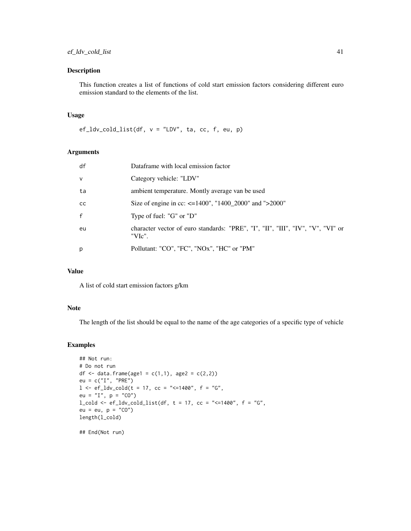### Description

This function creates a list of functions of cold start emission factors considering different euro emission standard to the elements of the list.

### Usage

 $ef_ldv_cold_list(df, v = "LDV", ta, cc, f, eu, p)$ 

### Arguments

| df            | Dataframe with local emission factor                                                      |
|---------------|-------------------------------------------------------------------------------------------|
| $\vee$        | Category vehicle: "LDV"                                                                   |
| ta            | ambient temperature. Montly average van be used                                           |
| <sub>CC</sub> | Size of engine in cc: $\leq$ =1400", "1400_2000" and ">2000"                              |
| $\mathsf{f}$  | Type of fuel: "G" or "D"                                                                  |
| eu            | character vector of euro standards: "PRE", "I", "II", "III", "IV", "V", "VI" or<br>"VIc". |
| p             | Pollutant: "CO", "FC", "NOx", "HC" or "PM"                                                |
|               |                                                                                           |

### Value

A list of cold start emission factors g/km

#### Note

The length of the list should be equal to the name of the age categories of a specific type of vehicle

```
## Not run:
# Do not run
df <- data.frame(age1 = c(1,1), age2 = c(2,2))
eu = c("I", "PRE")1 \leq -e f_{\text{adv\_cold}}(t = 17, cc = "<=1400", f = "G",eu = "I", p = "CO")l_{cold} < -ef_{ldv_{cold}l} = 1 (df, t = 17, cc = "<=1400", f = "G",
eu = eu, p = "CO")length(l_cold)
## End(Not run)
```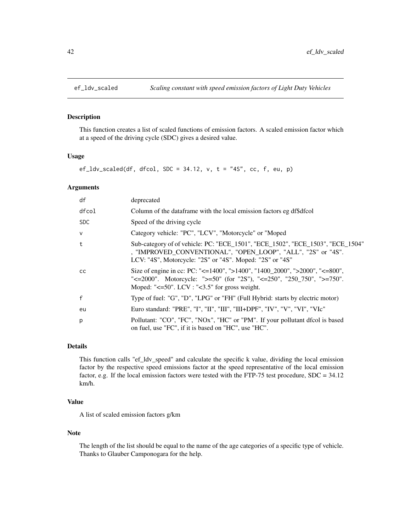### Description

This function creates a list of scaled functions of emission factors. A scaled emission factor which at a speed of the driving cycle (SDC) gives a desired value.

### Usage

 $ef_l d v_s caled(df, dfcol, SDC = 34.12, v, t = "4S", cc, f, eu, p)$ 

### Arguments

| df            | deprecated                                                                                                                                                                                                           |
|---------------|----------------------------------------------------------------------------------------------------------------------------------------------------------------------------------------------------------------------|
| dfcol         | Column of the dataframe with the local emission factors eg df\$dfcol                                                                                                                                                 |
| <b>SDC</b>    | Speed of the driving cycle                                                                                                                                                                                           |
| $\mathsf{v}$  | Category vehicle: "PC", "LCV", "Motorcycle" or "Moped                                                                                                                                                                |
| $\mathbf{t}$  | Sub-category of of vehicle: PC: "ECE_1501", "ECE_1502", "ECE_1503", "ECE_1504"<br>, "IMPROVED_CONVENTIONAL", "OPEN_LOOP", "ALL", "2S" or "4S".<br>LCV: "4S", Motorcycle: "2S" or "4S". Moped: "2S" or "4S"           |
| <sub>CC</sub> | Size of engine in cc: PC: "<=1400", ">1400", "1400_2000", ">2000", "<=800",<br>"<=2000". Motorcycle: ">=50" (for "2S"), "<=250", "250_750", ">=750".<br>Moped: " $\leq 50$ ". LCV : " $\leq 3.5$ " for gross weight. |
| $\mathsf{f}$  | Type of fuel: "G", "D", "LPG" or "FH" (Full Hybrid: starts by electric motor)                                                                                                                                        |
| eu            | Euro standard: "PRE", "I", "II", "III", "III+DPF", "IV", "V", "VI", "VIc"                                                                                                                                            |
| p             | Pollutant: "CO", "FC", "NOx", "HC" or "PM". If your pollutant dfcol is based<br>on fuel, use "FC", if it is based on "HC", use "HC".                                                                                 |

# Details

This function calls "ef\_ldv\_speed" and calculate the specific k value, dividing the local emission factor by the respective speed emissions factor at the speed representative of the local emission factor, e.g. If the local emission factors were tested with the FTP-75 test procedure, SDC = 34.12 km/h.

### Value

A list of scaled emission factors g/km

#### Note

The length of the list should be equal to the name of the age categories of a specific type of vehicle. Thanks to Glauber Camponogara for the help.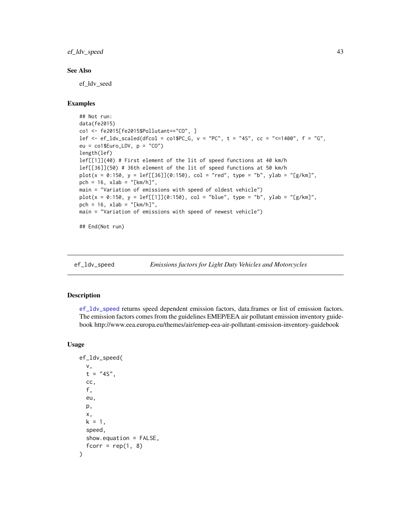ef\_ldv\_speed 43

### See Also

ef\_ldv\_seed

# Examples

```
## Not run:
data(fe2015)
co1 <- fe2015[fe2015$Pollutant=="CO", ]
lef \leq ef_ldv_scaled(dfcol = co1$PC_G, v = "PC", t = "4S", cc = "\leq=1400", f = "G",
eu = col$Euro_LDV, p = "CO")length(lef)
lef[[1]](40) # First element of the lit of speed functions at 40 km/h
lef[[36]](50) # 36th element of the lit of speed functions at 50 km/h
plot(x = 0:150, y = lef[[36]](0:150), col = "red", type = "b", ylab = "[g/km]",
pch = 16, xlab = "[km/h]",
main = "Variation of emissions with speed of oldest vehicle")
plot(x = 0:150, y = left[1]](0:150), col = "blue", type = "b", ylab = "g/km]",pch = 16, xlab = "[km/h]",
main = "Variation of emissions with speed of newest vehicle")
## End(Not run)
```
<span id="page-42-0"></span>

ef\_ldv\_speed *Emissions factors for Light Duty Vehicles and Motorcycles*

#### Description

[ef\\_ldv\\_speed](#page-42-0) returns speed dependent emission factors, data.frames or list of emission factors. The emission factors comes from the guidelines EMEP/EEA air pollutant emission inventory guidebook http://www.eea.europa.eu/themes/air/emep-eea-air-pollutant-emission-inventory-guidebook

#### Usage

```
ef_ldv_speed(
  v,
  t = "4S",cc,
  f,
  eu,
  p,
  x,
 k = 1,
  speed,
  show.equation = FALSE,
  fcorr = rep(1, 8))
```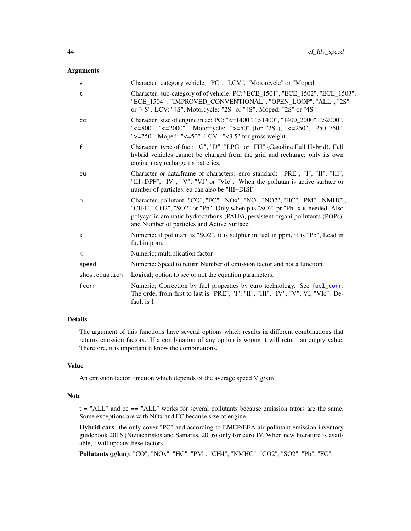### Arguments

| $\mathsf{V}$  | Character; category vehicle: "PC", "LCV", "Motorcycle" or "Moped                                                                                                                                                                                                                         |
|---------------|------------------------------------------------------------------------------------------------------------------------------------------------------------------------------------------------------------------------------------------------------------------------------------------|
| t             | Character; sub-category of of vehicle: PC: "ECE_1501", "ECE_1502", "ECE_1503",<br>"ECE_1504", "IMPROVED_CONVENTIONAL", "OPEN_LOOP", "ALL", "2S"<br>or "4S". LCV: "4S", Motorcycle: "2S" or "4S". Moped: "2S" or "4S"                                                                     |
| cc            | Character; size of engine in cc: PC: "<=1400", ">1400", "1400_2000", ">2000",<br>"<=800", "<=2000". Motorcycle: ">=50" (for "2S"), "<=250", "250_750",<br>">=750". Moped: "<=50". LCV : "<3.5" for gross weight.                                                                         |
| $\mathbf{f}$  | Character; type of fuel: "G", "D", "LPG" or "FH" (Gasoline Full Hybrid). Full<br>hybrid vehicles cannot be charged from the grid and recharge; only its own<br>engine may recharge tis batteries.                                                                                        |
| eu            | Character or data.frame of characters; euro standard: "PRE", "I", "II", "III",<br>"III+DPF", "IV", "V", "VI" or "VIc". When the pollutan is active surface or<br>number of particles, eu can also be "III+DISI"                                                                          |
| p             | Character; pollutant: "CO", "FC", "NOx", "NO", "NO2", "HC", "PM", "NMHC",<br>"CH4", "CO2", "SO2" or "Pb". Only when p is "SO2" pr "Pb" x is needed. Also<br>polycyclic aromatic hydrocarbons (PAHs), persistent organi pollutants (POPs),<br>and Number of particles and Active Surface. |
| X             | Numeric; if pollutant is "SO2", it is sulphur in fuel in ppm, if is "Pb", Lead in<br>fuel in ppm.                                                                                                                                                                                        |
| k             | Numeric; multiplication factor                                                                                                                                                                                                                                                           |
| speed         | Numeric; Speed to return Number of emission factor and not a function.                                                                                                                                                                                                                   |
| show.equation | Logical; option to see or not the equation parameters.                                                                                                                                                                                                                                   |
| fcorr         | Numeric; Correction by fuel properties by euro technology. See fuel_corr.<br>The order from first to last is "PRE", "I", "II", "III", "IV", "V", VI, "VIc". De-<br>fault is 1                                                                                                            |
|               |                                                                                                                                                                                                                                                                                          |

# Details

The argument of this functions have several options which results in different combinations that returns emission factors. If a combination of any option is wrong it will return an empty value. Therefore, it is important ti know the combinations.

### Value

An emission factor function which depends of the average speed V g/km

#### Note

 $t = "ALL"$  and  $cc = = "ALL"$  works for several pollutants because emission fators are the same. Some exceptions are with NOx and FC because size of engine.

Hybrid cars: the only cover "PC" and according to EMEP/EEA air pollutant emission inventory guidebook 2016 (Ntziachristos and Samaras, 2016) only for euro IV. When new literature is available, I will update these factors.

Pollutants (g/km): "CO", "NOx", "HC", "PM", "CH4", "NMHC", "CO2", "SO2", "Pb", "FC".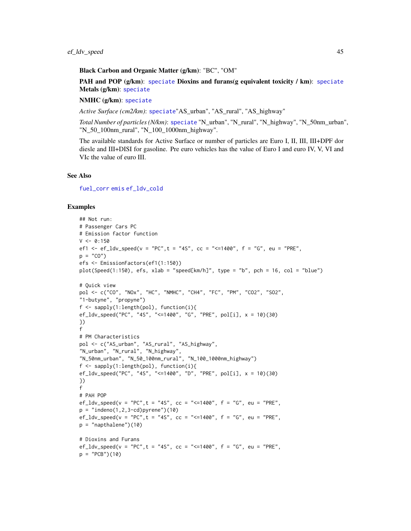#### Black Carbon and Organic Matter (g/km): "BC", "OM"

PAH and POP  $(g/\text{km})$ : [speciate](#page-122-0) Dioxins and furans(g equivalent toxicity / km): speciate Metals (g/km): [speciate](#page-122-0)

### NMHC (g/km): [speciate](#page-122-0)

*Active Surface (cm2/km)*: [speciate](#page-122-0)"AS\_urban", "AS\_rural", "AS\_highway"

*Total Number of particles (N/km)*: [speciate](#page-122-0) "N\_urban", "N\_rural", "N\_highway", "N\_50nm\_urban", "N\_50\_100nm\_rural", "N\_100\_1000nm\_highway".

The available standards for Active Surface or number of particles are Euro I, II, III, III+DPF dor diesle and III+DISI for gasoline. Pre euro vehicles has the value of Euro I and euro IV, V, VI and VIc the value of euro III.

### See Also

[fuel\\_corr](#page-95-0) [emis](#page-51-0) [ef\\_ldv\\_cold](#page-38-0)

```
## Not run:
# Passenger Cars PC
# Emission factor function
V < -0:150ef1 <- ef_ldv_speed(v = "PC", t = "4S", cc = "<=1400", f = "G", eu = "PRE",
p = "CO")efs <- EmissionFactors(ef1(1:150))
plot(Speed(1:150), efs, xlab = "speed[km/h]", type = "b", pch = 16, col = "blue")
# Quick view
pol <- c("CO", "NOx", "HC", "NMHC", "CH4", "FC", "PM", "CO2", "SO2",
"1-butyne", "propyne")
f <- sapply(1:length(pol), function(i){
ef_ldv_speed("PC", "4S", "<=1400", "G", "PRE", pol[i], x = 10)(30)
})
f
# PM Characteristics
pol <- c("AS_urban", "AS_rural", "AS_highway",
"N_urban", "N_rural", "N_highway",
"N_50nm_urban", "N_50_100nm_rural", "N_100_1000nm_highway")
f \leftarrow sapply(1:length(pol), function(i){
ef_ldv_speed("PC", "4S", "<=1400", "D", "PRE", pol[i], x = 10)(30)
})
f
# PAH POP
ef_ldv_speed(v = "PC", t = "4S", cc = "<=1400", f = "G", eu = "PRE",
p = "indeno(1, 2, 3-cd)pyrene")(10)
ef_ldv_speed(v = "PC", t = "4S", cc = "<=1400", f = "G", eu = "PRE",
p = "napthalene") (10)# Dioxins and Furans
ef_ldv_speed(v = "PC", t = "4S", cc = "<=1400", f = "G", eu = "PRE",
p = "PCB")(10)
```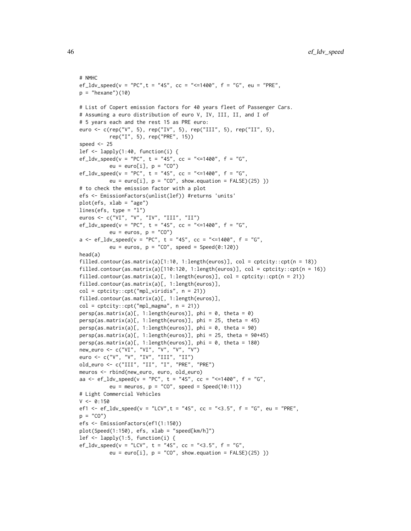```
# NMHC
ef_ldv_speed(v = "PC", t = "4S", cc = "<=1400", f = "G", eu = "PRE",
p = "hexane") (10)# List of Copert emission factors for 40 years fleet of Passenger Cars.
# Assuming a euro distribution of euro V, IV, III, II, and I of
# 5 years each and the rest 15 as PRE euro:
euro <- c(rep("V", 5), rep("IV", 5), rep("III", 5), rep("II", 5),
          rep("I", 5), rep("PRE", 15))
speed <-25lef \leq lapply(1:40, function(i) {
ef_ldv_speed(v = "PC", t = "4S", cc = "<=1400", f = "G",
          eu = euro[i], p = "CO")ef_ldv_speed(v = "PC", t = "4S", cc = "<=1400", f = "G",
          eu = euro[i], p = "CO", show.equation = FALSE)(25) })
# to check the emission factor with a plot
efs <- EmissionFactors(unlist(lef)) #returns 'units'
plot(efs, xlab = "age")
lines(efs, type = "1")
euros <- c("VI", "V", "IV", "III", "II")
ef_ldv_speed(v = "PC", t = "4S", cc = "<=1400", f = "G",
          eu = euros, p = "CO")a \leq -ef\_ldv\_speed(v = "PC", t = "4S", cc = "<=1400", f = "G",eu = euros, p = "CO", speed = Speed(0:120))head(a)
filled.contour(as.matrix(a)[1:10, 1:length(euros)], col = cptcity::cpt(n = 18))
filled.contour(as.matrix(a)[110:120, 1:length(euros)], col = cptcity::cpt(n = 16))
filled.contour(as.matrix(a)[, 1:length(euros)], col = cptcity::cpt(n = 21))
filled.contour(as.matrix(a)[, 1:length(euros)],
col = cptcity::cpt("mpl_viridis", n = 21))
filled.contour(as.matrix(a)[, 1:length(euros)],
col = \text{cptcity::\text{cpt("mpl_magma", n = 21)})persp(as.matrix(a)[, 1:length(euros)], phi = 0, theta = 0)persp(as.matrix(a)[, 1:length(euros)], phi = 25, theta = 45)
persp(as.matrix(a)[, 1:length(euros)], phi = 0, theta = 90)
persp(as.matrix(a)[, 1:length(euros)], phi = 25, theta = 90+45)
persp(as.matrix(a)[, 1:length(euros)], phi = 0, theta = 180)
new_euro <- c("VI", "VI", "V", "V", "V")
euro <- c("V", "V", "IV", "III", "II")
old_euro <- c("III", "II", "I", "PRE", "PRE")
meuros <- rbind(new_euro, euro, old_euro)
aa <- ef_ldv_speed(v = "PC", t = "4S", cc = "<=1400", f = "G",
          eu = meuros, p = "CO", speed = Speed(10:11))# Light Commercial Vehicles
V < -0:150ef1 <- ef_ldv_speed(v = "LCV", t = "4S", cc = "<3.5", f = "G", eu = "PRE",
p = "CO")efs <- EmissionFactors(ef1(1:150))
plot(Speed(1:150), efs, xlab = "speed[km/h]")
lef <- lapply(1:5, function(i) {
ef_l dv_speed(v = "LCV", t = "4S", cc = "<<3.5", f = "G",eu = euro[i], p = "CO", show.equation = FALSE)(25) })
```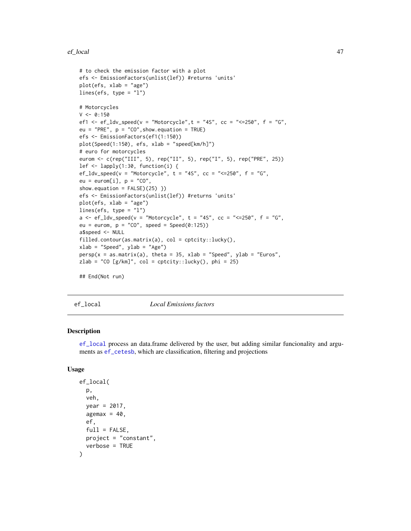```
# to check the emission factor with a plot
efs <- EmissionFactors(unlist(lef)) #returns 'units'
plot(efs, xlab = "age")
lines(efs, type = "1")
# Motorcycles
V < -0:150ef1 <- ef_ldv_speed(v = "Motorcycle", t = "4S", cc = "<=250", f = "G",
eu = "PRE", p = "CO", show. equation = TRUE)
efs <- EmissionFactors(ef1(1:150))
plot(Speed(1:150), efs, xlab = "speed[km/h]")
# euro for motorcycles
eurom <- c(rep("III", 5), rep("II", 5), rep("I", 5), rep("PRE", 25))
lef \leq lapply(1:30, function(i) {
ef_ldv_speed(v = "Motorcycle", t = "4S", cc = "<=250", f = "G",
eu = euron[i], p = "CO",show.equation = FALSE(25) })
efs <- EmissionFactors(unlist(lef)) #returns 'units'
plot(efs, xlab = "age")
lines(efs, type = "l")
a <- ef_ldv_speed(v = "Motorcycle", t = "4S", cc = "<= 250", f = "G",
eu = eurom, p = "CO", speed = Speed(0:125))a$speed <- NULL
filled.contour(as.matrix(a), col = cptcity::lucky(),
xlab = "Speed", ylab = "Age")
persp(x = as.matrix(a), theta = 35, xlab = "Speed", ylab = "Euros",zlab = "CO [g/km]", col = cptcity::lucky(), phi = 25)
```
## End(Not run)

<span id="page-46-0"></span>ef\_local *Local Emissions factors*

# Description

[ef\\_local](#page-46-0) process an data.frame delivered by the user, but adding similar funcionality and arguments as [ef\\_cetesb](#page-20-0), which are classification, filtering and projections

### Usage

```
ef_local(
  p,
  veh,
  year = 2017,
  agemax = 40,
  ef,
  full = FALSE,
 project = "constant",
  verbose = TRUE
)
```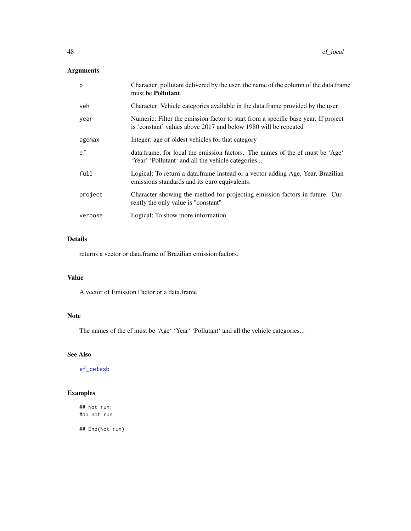# Arguments

| p       | Character; pollutant delivered by the user, the name of the column of the data.frame<br>must be <b>Pollutant</b> .                                    |
|---------|-------------------------------------------------------------------------------------------------------------------------------------------------------|
| veh     | Character; Vehicle categories available in the data frame provided by the user                                                                        |
| year    | Numeric; Filter the emission factor to start from a specific base year. If project<br>is 'constant' values above 2017 and below 1980 will be repeated |
| agemax  | Integer; age of oldest vehicles for that category                                                                                                     |
| ef      | data.frame, for local the emission factors. The names of the ef must be 'Age'<br>'Year' 'Pollutant' and all the vehicle categories                    |
| full    | Logical; To return a data frame instead or a vector adding Age, Year, Brazilian<br>emissions standards and its euro equivalents.                      |
| project | Character showing the method for projecting emission factors in future. Cur-<br>rently the only value is "constant"                                   |
| verbose | Logical; To show more information                                                                                                                     |

### Details

returns a vector or data.frame of Brazilian emission factors.

### Value

A vector of Emission Factor or a data.frame

# Note

The names of the ef must be 'Age' 'Year' 'Pollutant' and all the vehicle categories...

# See Also

[ef\\_cetesb](#page-20-0)

# Examples

## Not run: #do not run

## End(Not run)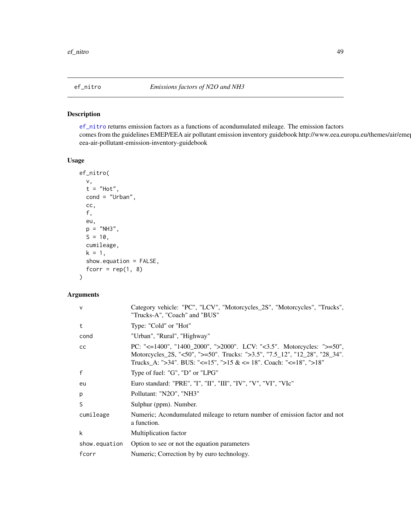<span id="page-48-0"></span>

### Description

[ef\\_nitro](#page-48-0) returns emission factors as a functions of acondumulated mileage. The emission factors comes from the guidelines EMEP/EEA air pollutant emission inventory guidebook http://www.eea.europa.eu/themes/air/eme eea-air-pollutant-emission-inventory-guidebook

### Usage

```
ef_nitro(
  v,
  t = "Hot",cond = "Urban",
  cc,
  f,
 eu,
 p = "NH3",S = 10,
 cumileage,
 k = 1,show.equation = FALSE,
  fcorr = rep(1, 8))
```
# Arguments

| $\mathsf{V}$  | Category vehicle: "PC", "LCV", "Motorcycles_2S", "Motorcycles", "Trucks",<br>"Trucks-A", "Coach" and "BUS"                                                                                                               |
|---------------|--------------------------------------------------------------------------------------------------------------------------------------------------------------------------------------------------------------------------|
| t             | Type: "Cold" or "Hot"                                                                                                                                                                                                    |
| cond          | "Urban", "Rural", "Highway"                                                                                                                                                                                              |
| cc            | PC: "<=1400", "1400_2000", ">2000". LCV: "<3.5". Motorcycles: ">=50",<br>Motorcycles_2S, "<50", ">=50". Trucks: ">3.5", "7.5_12", "12_28", "28_34".<br>Trucks_A: ">34". BUS: "<=15", ">15 & <= 18". Coach: "<=18", ">18" |
| $\mathsf{f}$  | Type of fuel: "G", "D" or "LPG"                                                                                                                                                                                          |
| eu            | Euro standard: "PRE", "I", "II", "III", "IV", "V", "VI", "VIc"                                                                                                                                                           |
| p             | Pollutant: "N2O", "NH3"                                                                                                                                                                                                  |
| S             | Sulphur (ppm). Number.                                                                                                                                                                                                   |
| cumileage     | Numeric; Acondumulated mileage to return number of emission factor and not<br>a function.                                                                                                                                |
| k             | Multiplication factor                                                                                                                                                                                                    |
| show.equation | Option to see or not the equation parameters                                                                                                                                                                             |
| fcorr         | Numeric; Correction by by euro technology.                                                                                                                                                                               |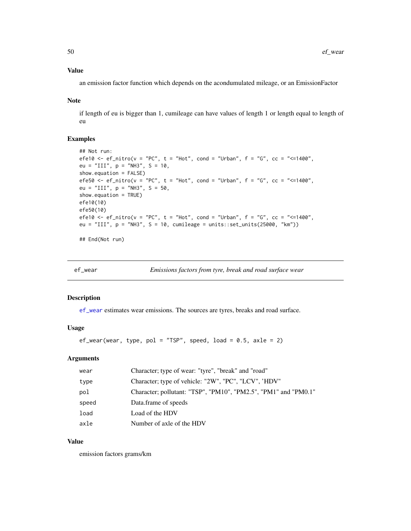### Value

an emission factor function which depends on the acondumulated mileage, or an EmissionFactor

#### Note

if length of eu is bigger than 1, cumileage can have values of length 1 or length equal to length of eu

### Examples

```
## Not run:
efe10 <- ef_nitro(v = "PC", t = "Hot", cond = "Urban", f = "G", cc = "<=1400",
eu = "III", p = "NH3", S = 10,
show.equation = FALSE)
efe50 <- ef_nitro(v = "PC", t = "Hot", cond = "Urban", f = "G", cc = "<=1400",eu = "III", p = "NH3", S = 50,
show.equation = TRUE)
efe10(10)
efe50(10)
efe10 <- ef_nitro(v = "PC", t = "Hot", cond = "Urban", f = "G", cc = "<=1400",eu = "III", p = "NH3", S = 10, cumileage = units::set_units(25000, "km"))
```
## End(Not run)

<span id="page-49-0"></span>ef\_wear *Emissions factors from tyre, break and road surface wear*

#### Description

[ef\\_wear](#page-49-0) estimates wear emissions. The sources are tyres, breaks and road surface.

### Usage

```
ef_wear(wear, type, pol = "TSP", speed, load = 0.5, axle = 2)
```
### Arguments

| wear  | Character; type of wear: "tyre", "break" and "road"             |
|-------|-----------------------------------------------------------------|
| type  | Character; type of vehicle: "2W", "PC", "LCV", 'HDV"            |
| pol   | Character; pollutant: "TSP", "PM10", "PM2.5", "PM1" and "PM0.1" |
| speed | Data.frame of speeds                                            |
| load  | Load of the HDV                                                 |
| axle  | Number of axle of the HDV                                       |

#### Value

emission factors grams/km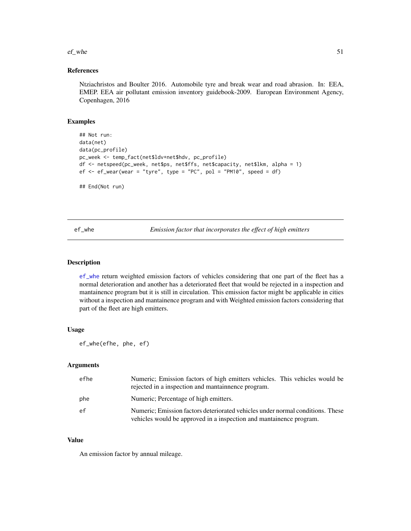#### $e^{\frac{f}{f}}$  whe 51

### References

Ntziachristos and Boulter 2016. Automobile tyre and break wear and road abrasion. In: EEA, EMEP. EEA air pollutant emission inventory guidebook-2009. European Environment Agency, Copenhagen, 2016

### Examples

```
## Not run:
data(net)
data(pc_profile)
pc_week <- temp_fact(net$ldv+net$hdv, pc_profile)
df <- netspeed(pc_week, net$ps, net$ffs, net$capacity, net$lkm, alpha = 1)
ef \leq ef_wear(wear = "tyre", type = "PC", pol = "PM10", speed = df)
## End(Not run)
```
<span id="page-50-0"></span>ef\_whe *Emission factor that incorporates the effect of high emitters*

### Description

[ef\\_whe](#page-50-0) return weighted emission factors of vehicles considering that one part of the fleet has a normal deterioration and another has a deteriorated fleet that would be rejected in a inspection and mantainence program but it is still in circulation. This emission factor might be applicable in cities without a inspection and mantainence program and with Weighted emission factors considering that part of the fleet are high emitters.

#### Usage

```
ef_whe(efhe, phe, ef)
```
### Arguments

| efhe | Numeric; Emission factors of high emitters vehicles. This vehicles would be<br>rejected in a inspection and mantainnence program.                     |
|------|-------------------------------------------------------------------------------------------------------------------------------------------------------|
| phe  | Numeric; Percentage of high emitters.                                                                                                                 |
| ef   | Numeric; Emission factors deteriorated vehicles under normal conditions. These<br>vehicles would be approved in a inspection and mantainence program. |

#### Value

An emission factor by annual mileage.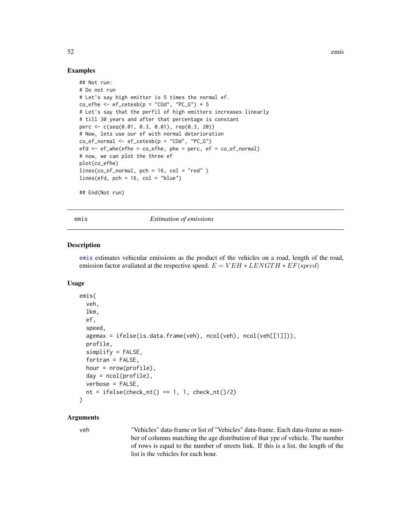### Examples

```
## Not run:
# Do not run
# Let's say high emitter is 5 times the normal ef.
co_{e} co<sub>-</sub>efhe <- ef_cetesb(p = "COd", "PC<sub>-</sub>G") * 5
# Let's say that the perfil of high emitters increases linearly
# till 30 years and after that percentage is constant
perc <- c(seq(0.01, 0.3, 0.01), rep(0.3, 20))
# Now, lets use our ef with normal deterioration
co\_ef\_normal \leftarrow ef\_cetesb(p = "C0d", "PC_G")efd \le -ef_{\text{whe}}(efhe = co_{\text{e}}fhe, phe = perc, ef = co_{\text{e}}f_{\text{norm}})# now, we can plot the three ef
plot(co_efhe)
lines(co_ef_normal, pch = 16, col = "red" )
lines(efd, pch = 16, col = "blue")## End(Not run)
```
<span id="page-51-0"></span>emis *Estimation of emissions*

#### Description

[emis](#page-51-0) estimates vehicular emissions as the product of the vehicles on a road, length of the road, emission factor avaliated at the respective speed.  $E = VEH * LENGTH * EF(speed)$ 

#### Usage

```
emis(
  veh,
  lkm,
  ef,
  speed,
  agemax = ifelse(is.data.frame(veh), ncol(veh), ncol(veh[[1]])),
  profile,
  simplify = FALSE,fortran = FALSE,
  hour = nrow(profile),
  day = ncol(profile),
  verbose = FALSE,
  nt = ifelse(check_nt() == 1, 1, check_nt() / 2))
```
### Arguments

veh "Vehicles" data-frame or list of "Vehicles" data-frame. Each data-frame as number of columns matching the age distribution of that ype of vehicle. The number of rows is equal to the number of streets link. If this is a list, the length of the list is the vehicles for each hour.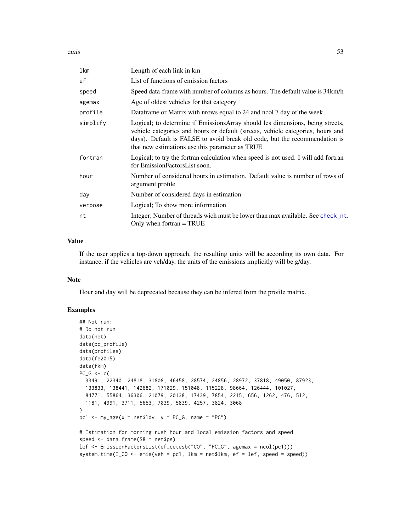emis 53

| lkm      | Length of each link in km                                                                                                                                                                                                                                                                         |
|----------|---------------------------------------------------------------------------------------------------------------------------------------------------------------------------------------------------------------------------------------------------------------------------------------------------|
| ef       | List of functions of emission factors                                                                                                                                                                                                                                                             |
| speed    | Speed data-frame with number of columns as hours. The default value is 34km/h                                                                                                                                                                                                                     |
| agemax   | Age of oldest vehicles for that category                                                                                                                                                                                                                                                          |
| profile  | Dataframe or Matrix with prows equal to 24 and nool 7 day of the week                                                                                                                                                                                                                             |
| simplify | Logical; to determine if EmissionsArray should les dimensions, being streets,<br>vehicle categories and hours or default (streets, vehicle categories, hours and<br>days). Default is FALSE to avoid break old code, but the recommendation is<br>that new estimations use this parameter as TRUE |
| fortran  | Logical; to try the fortran calculation when speed is not used. I will add fortran<br>for EmissionFactorsList soon.                                                                                                                                                                               |
| hour     | Number of considered hours in estimation. Default value is number of rows of<br>argument profile                                                                                                                                                                                                  |
| day      | Number of considered days in estimation                                                                                                                                                                                                                                                           |
| verbose  | Logical; To show more information                                                                                                                                                                                                                                                                 |
| nt       | Integer; Number of threads wich must be lower than max available. See check_nt.<br>Only when fortran $=$ TRUE                                                                                                                                                                                     |
|          |                                                                                                                                                                                                                                                                                                   |

### Value

If the user applies a top-down approach, the resulting units will be according its own data. For instance, if the vehicles are veh/day, the units of the emissions implicitly will be g/day.

#### Note

Hour and day will be deprecated because they can be infered from the profile matrix.

```
## Not run:
# Do not run
data(net)
data(pc_profile)
data(profiles)
data(fe2015)
data(fkm)
PC_G \leftarrow c33491, 22340, 24818, 31808, 46458, 28574, 24856, 28972, 37818, 49050, 87923,
  133833, 138441, 142682, 171029, 151048, 115228, 98664, 126444, 101027,
  84771, 55864, 36306, 21079, 20138, 17439, 7854, 2215, 656, 1262, 476, 512,
  1181, 4991, 3711, 5653, 7039, 5839, 4257, 3824, 3068
\mathcal{L}pc1 <- my\_\text{age}(x = \text{net}1 \text{d}v, y = PC\_\text{G}, \text{name} = "PC")# Estimation for morning rush hour and local emission factors and speed
speed <- data.frame(S8 = net$ps)
lef <- EmissionFactorsList(ef_cetesb("CO", "PC_G", agemax = ncol(pc1)))
system.time(E_CO <- emis(veh = pc1, lkm = net$lkm, ef = lef, speed = speed))
```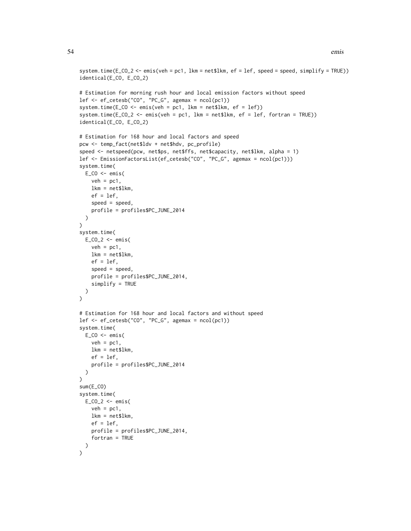```
system.time(E_CO_2 <- emis(veh = pc1, lkm = net$lkm, ef = lef, speed = speed, simplify = TRUE))
identical(E_CO, E_CO_2)
# Estimation for morning rush hour and local emission factors without speed
\left[ \begin{array}{cc} - & \text{if\_cetesb("CO", "PC_G", agemax = ncol(pc1))} \end{array} \right]system.time(E_CO <- emis(veh = pc1, lkm = net$lkm, ef = lef))
system.time(E_{C}O_{2} <- emis(veh = pc1, lkm = net$lkm, ef = lef, fortran = TRUE))
identical(E_CO, E_CO_2)
# Estimation for 168 hour and local factors and speed
pcw <- temp_fact(net$ldv + net$hdv, pc_profile)
speed <- netspeed(pcw, net$ps, net$ffs, net$capacity, net$lkm, alpha = 1)
lef <- EmissionFactorsList(ef_cetesb("CO", "PC_G", agemax = ncol(pc1)))
system.time(
 E_{C0} < - emis(
    veh = pc1,
    lkm = net$lkm,
    ef = lef,speed = speed,
    profile = profiles$PC_JUNE_2014
  )
\lambdasystem.time(
  E_{C_2}^2 < - emis(
    veh = pc1,lkm = net$lkm,
    ef = lef,
    speed = speed,
    profile = profiles$PC_JUNE_2014,
    simplify = TRUE
 )
\mathcal{L}# Estimation for 168 hour and local factors and without speed
lef <- ef_cetesb("CO", "PC_G", agemax = ncol(pc1))
system.time(
  E_{C}CO \leq emis(
    veh = pc1,
    lkm = net$lkm,
    ef = lef,
    profile = profiles$PC_JUNE_2014
  )
\mathcal{L}sum(E_CO)
system.time(
  E_{C_0} = 2 < - emis(
    veh = pc1,
    lkm = net$lkm,
    ef = lef,profile = profiles$PC_JUNE_2014,
    fortran = TRUE
  )
\mathcal{L}
```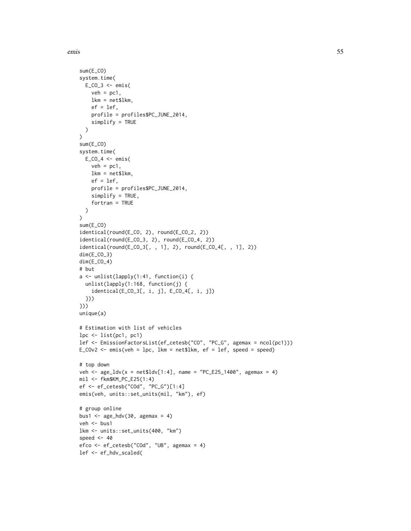emis 55

```
sum(E_CO)
system.time(
 E_{C_0} = K \leq \leq \leq \leq \leq \leq \leq \leq \leq \leq \leq \leq \leq \leq \leq \leq \leq \leq \leq \leq \leq \leq \leq \leq \leq \leq \leq \leq \leq \leq \leq \leq \leq \leq \veh = pc1,
    lkm = net$lkm,
    ef = lef,
    profile = profiles$PC_JUNE_2014,
    simplify = TRUE
  \lambda\lambdasum(E_CO)
system.time(
  E_CO_4 < - emis(
    veh = pc1,
    lkm = net$lkm,
    ef = lef,
    profile = profiles$PC_JUNE_2014,
    simplify = TRUE,
    fortran = TRUE
  )
\lambdasum(E_CO)
identical(round(E_CO, 2), round(E_CO_2, 2))
identical(round(E_CO_3, 2), round(E_CO_4, 2))
identical(round(E_CO_3[, , 1], 2), round(E_CO_4[, , 1], 2))
dim(E_CO_3)
dim(E_CO_4)
# but
a <- unlist(lapply(1:41, function(i) {
  unlist(lapply(1:168, function(j) {
    identical(E_CO_3[, i, j], E_CO_4[, i, j])
  }))
}))
unique(a)
# Estimation with list of vehicles
lpc \leftarrow list(pc1, pc1)lef <- EmissionFactorsList(ef_cetesb("CO", "PC_G", agemax = ncol(pc1)))
E_COv2 <- emis(veh = lpc, lkm = net$lkm, ef = lef, speed = speed)
# top down
veh <- age\_ldv(x = net$ldv[1:4], name = "PC_E25_1400", agent = 4)mil <- fkm$KM_PC_E25(1:4)
ef <- ef_cetesb("COd", "PC_G")[1:4]
emis(veh, units::set_units(mil, "km"), ef)
# group online
bus1 \leq age_hdv(30, agemax = 4)
veh <- bus1
lkm <- units::set_units(400, "km")
speed <-40efco <- ef_cetesb("COd", "UB", agemax = 4)
lef <- ef_hdv_scaled(
```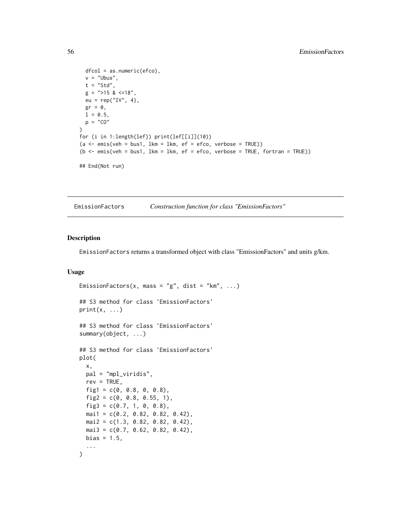```
dfcol = as.numeric(efco),
 v = "Ubus",t = "Std",
 g =">15 & <=18",
 eu = rep("IV", 4),gr = 0,
 1 = 0.5,
 p = "CO"\lambdafor (i in 1:length(lef)) print(lef[[i]](10))
(a \le - emis(veh = bus1, lkm = lkm, ef = efco, verbose = TRUE))
(b \le - emis(veh = bus1, lkm = lkm, ef = efco, verbose = TRUE, fortran = TRUE))
## End(Not run)
```
EmissionFactors *Construction function for class "EmissionFactors"*

#### Description

EmissionFactors returns a transformed object with class "EmissionFactors" and units g/km.

### Usage

```
EmissionFactors(x, mass = "g", dist = "km", ...)
## S3 method for class 'EmissionFactors'
print(x, \ldots)## S3 method for class 'EmissionFactors'
summary(object, ...)
## S3 method for class 'EmissionFactors'
plot(
  x,
 pal = "mpl_viridis",
  rev = TRUE,fig1 = c(0, 0.8, 0, 0.8),fig2 = c(0, 0.8, 0.55, 1),fig3 = c(0.7, 1, 0, 0.8),
 mail = c(0.2, 0.82, 0.82, 0.42),
 mai2 = c(1.3, 0.82, 0.82, 0.42),
 mail3 = c(0.7, 0.62, 0.82, 0.42),
 bias = 1.5,
  ...
)
```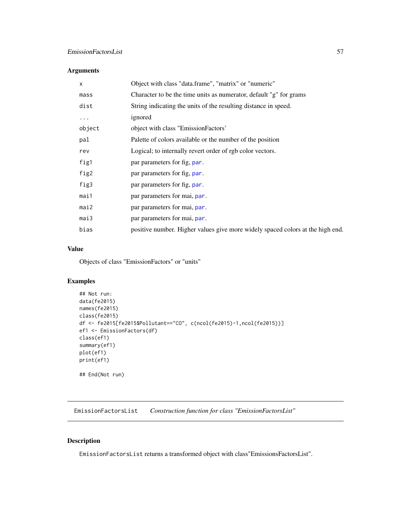# Arguments

| X      | Object with class "data.frame", "matrix" or "numeric"                          |
|--------|--------------------------------------------------------------------------------|
| mass   | Character to be the time units as numerator, default "g" for grams             |
| dist   | String indicating the units of the resulting distance in speed.                |
| .      | ignored                                                                        |
| object | object with class "EmissionFactors'                                            |
| pal    | Palette of colors available or the number of the position                      |
| rev    | Logical; to internally revert order of rgb color vectors.                      |
| fig1   | par parameters for fig. par.                                                   |
| fig2   | par parameters for fig, par.                                                   |
| fig3   | par parameters for fig. par.                                                   |
| mai1   | par parameters for mai, par.                                                   |
| mail2  | par parameters for mai, par.                                                   |
| mail3  | par parameters for mai, par.                                                   |
| bias   | positive number. Higher values give more widely spaced colors at the high end. |

# Value

Objects of class "EmissionFactors" or "units"

### Examples

```
## Not run:
data(fe2015)
names(fe2015)
class(fe2015)
df <- fe2015[fe2015$Pollutant=="CO", c(ncol(fe2015)-1,ncol(fe2015))]
ef1 <- EmissionFactors(df)
class(ef1)
summary(ef1)
plot(ef1)
print(ef1)
## End(Not run)
```
EmissionFactorsList *Construction function for class "EmissionFactorsList"*

### Description

EmissionFactorsList returns a transformed object with class"EmissionsFactorsList".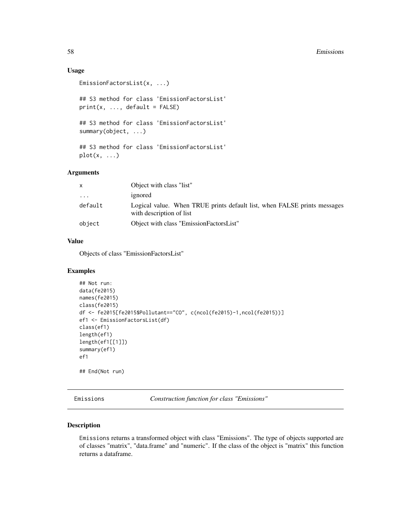### Usage

```
EmissionFactorsList(x, ...)
## S3 method for class 'EmissionFactorsList'
print(x, ..., default = FALSE)## S3 method for class 'EmissionFactorsList'
summary(object, ...)
## S3 method for class 'EmissionFactorsList'
plot(x, \ldots)
```
### Arguments

| X          | Object with class "list"                                                                             |
|------------|------------------------------------------------------------------------------------------------------|
| $\ddots$ . | ignored                                                                                              |
| default    | Logical value. When TRUE prints default list, when FALSE prints messages<br>with description of list |
| object     | Object with class "EmissionFactorsList"                                                              |

### Value

Objects of class "EmissionFactorsList"

#### Examples

```
## Not run:
data(fe2015)
names(fe2015)
class(fe2015)
df <- fe2015[fe2015$Pollutant=="CO", c(ncol(fe2015)-1,ncol(fe2015))]
ef1 <- EmissionFactorsList(df)
class(ef1)
length(ef1)
length(ef1[[1]])
summary(ef1)
ef1
## End(Not run)
```
Emissions *Construction function for class "Emissions"*

### Description

Emissions returns a transformed object with class "Emissions". The type of objects supported are of classes "matrix", "data.frame" and "numeric". If the class of the object is "matrix" this function returns a dataframe.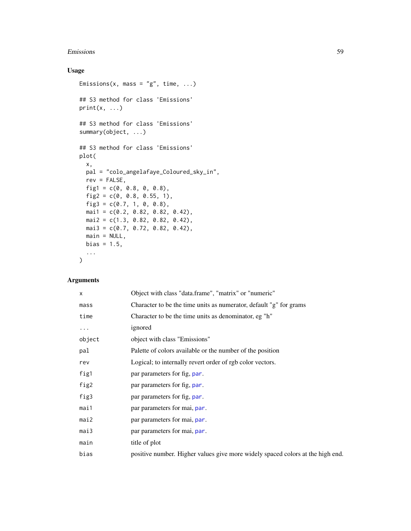#### Emissions 59

# Usage

```
Emissions(x, mass = "g", time, ...)
## S3 method for class 'Emissions'
print(x, \ldots)## S3 method for class 'Emissions'
summary(object, ...)
## S3 method for class 'Emissions'
plot(
 x,
 pal = "colo_angelafaye_Coloured_sky_in",
 rev = FALSE,fig1 = c(0, 0.8, 0, 0.8),fig2 = c(0, 0.8, 0.55, 1),fig3 = c(0.7, 1, 0, 0.8),mai1 = c(0.2, 0.82, 0.82, 0.42),
 mai2 = c(1.3, 0.82, 0.82, 0.42),
 mai3 = c(0.7, 0.72, 0.82, 0.42),
 main = NULL,bias = 1.5,
  ...
)
```
# Arguments

| $\times$ | Object with class "data.frame", "matrix" or "numeric"                          |
|----------|--------------------------------------------------------------------------------|
| mass     | Character to be the time units as numerator, default "g" for grams             |
| time     | Character to be the time units as denominator, eg "h"                          |
| $\cdots$ | ignored                                                                        |
| object   | object with class "Emissions"                                                  |
| pal      | Palette of colors available or the number of the position                      |
| rev      | Logical; to internally revert order of rgb color vectors.                      |
| fig1     | par parameters for fig, par.                                                   |
| fig2     | par parameters for fig, par.                                                   |
| fig3     | par parameters for fig, par.                                                   |
| mai1     | par parameters for mai, par.                                                   |
| mai2     | par parameters for mai, par.                                                   |
| mail3    | par parameters for mai, par.                                                   |
| main     | title of plot                                                                  |
| bias     | positive number. Higher values give more widely spaced colors at the high end. |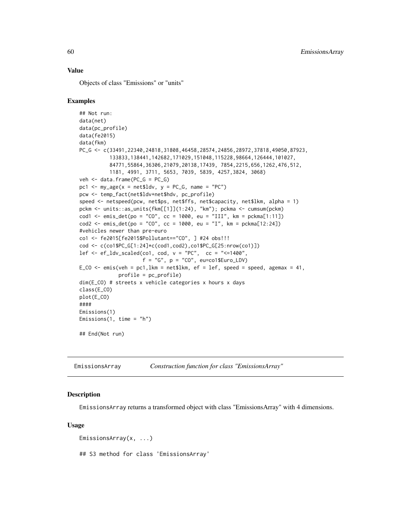### Value

Objects of class "Emissions" or "units"

### Examples

```
## Not run:
data(net)
data(pc_profile)
data(fe2015)
data(fkm)
PC_G <- c(33491,22340,24818,31808,46458,28574,24856,28972,37818,49050,87923,
          133833,138441,142682,171029,151048,115228,98664,126444,101027,
          84771,55864,36306,21079,20138,17439, 7854,2215,656,1262,476,512,
          1181, 4991, 3711, 5653, 7039, 5839, 4257,3824, 3068)
veh <- data.frame(PC_G = PC_G)
pc1 <- my\_\text{age}(x = net$1dv, y = PC_G, name = "PC")pcw <- temp_fact(net$ldv+net$hdv, pc_profile)
speed <- netspeed(pcw, net$ps, net$ffs, net$capacity, net$lkm, alpha = 1)
pckm <- units::as_units(fkm[[1]](1:24), "km"); pckma <- cumsum(pckm)
cod1 <- emis_det(po = "CO", cc = 1000, eu = "III", km = pckma[1:11])
cod2 \le - emis_det(po = "CO", cc = 1000, eu = "I", km = pckma[12:24])
#vehicles newer than pre-euro
co1 <- fe2015[fe2015$Pollutant=="CO", ] #24 obs!!!
cod <- c(co1$PC_G[1:24]*c(cod1,cod2),co1$PC_G[25:nrow(co1)])
lef \leq ef_ldv_scaled(co1, cod, v = "PC", cc = "\leq=1400",
                     f = "G", p = "CO", eu=co1$Euro_LDV)E_CO <- emis(veh = pc1, lkm = net$lkm, ef = lef, speed = speed, agemax = 41,
             profile = pc_profile)
dim(E_CO) # streets x vehicle categories x hours x days
class(E_CO)
plot(E_CO)
####
Emissions(1)
Emissions(1, time = "h")
## End(Not run)
```
EmissionsArray *Construction function for class "EmissionsArray"*

### **Description**

EmissionsArray returns a transformed object with class "EmissionsArray" with 4 dimensions.

#### Usage

```
EmissionsArray(x, ...)
```
## S3 method for class 'EmissionsArray'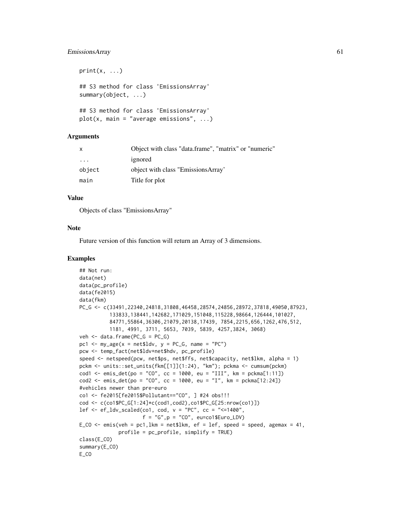### EmissionsArray 61

```
print(x, \ldots)## S3 method for class 'EmissionsArray'
summary(object, ...)
## S3 method for class 'EmissionsArray'
plot(x, main = "average emissions", ...)
```
### Arguments

| $\mathsf{x}$ | Object with class "data.frame", "matrix" or "numeric" |
|--------------|-------------------------------------------------------|
| $\cdot$      | ignored                                               |
| object       | object with class "EmissionsArray"                    |
| main         | Title for plot                                        |

#### Value

Objects of class "EmissionsArray"

#### Note

Future version of this function will return an Array of 3 dimensions.

```
## Not run:
data(net)
data(pc_profile)
data(fe2015)
data(fkm)
PC_G <- c(33491,22340,24818,31808,46458,28574,24856,28972,37818,49050,87923,
          133833,138441,142682,171029,151048,115228,98664,126444,101027,
          84771,55864,36306,21079,20138,17439, 7854,2215,656,1262,476,512,
          1181, 4991, 3711, 5653, 7039, 5839, 4257,3824, 3068)
veh \leq data.frame(PC_G = PC_G)
pc1 <- my_age(x = net$ldv, y = PC_G, name = "PC")
pcw <- temp_fact(net$ldv+net$hdv, pc_profile)
speed <- netspeed(pcw, net$ps, net$ffs, net$capacity, net$lkm, alpha = 1)
pckm <- units::set_units(fkm[[1]](1:24), "km"); pckma <- cumsum(pckm)
cod1 <- emis_det(po = "CO", cc = 1000, eu = "III", km = pckma[1:11])
cod2 \leq -emis\_det(po = "CO", cc = 1000, eu = "I", km = pckma[12:24])#vehicles newer than pre-euro
co1 <- fe2015[fe2015$Pollutant=="CO", ] #24 obs!!!
cod <- c(co1$PC_G[1:24]*c(cod1,cod2),co1$PC_G[25:nrow(co1)])
lef \leq ef_ldv_scaled(co1, cod, v = "PC", cc = "\leq1400",
                     f = "G", p = "CO", eu=co1$Euro_LDV)E_CO <- emis(veh = pc1, lkm = net$lkm, ef = lef, speed = speed, agemax = 41,
             profile = pc_profile, simplify = TRUE)
class(E_CO)
summary(E_CO)
E_CO
```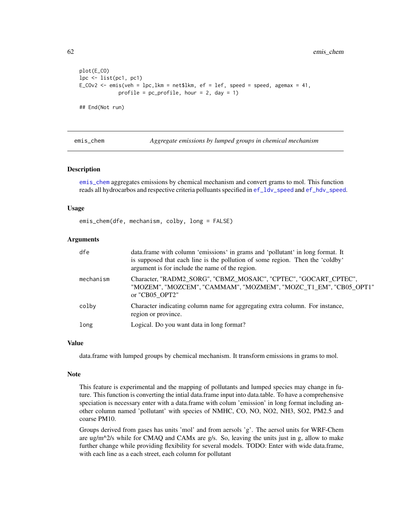```
plot(E_CO)
lpc <- list(pc1, pc1)
E_COv2 <- emis(veh = lpc,lkm = net$lkm, ef = lef, speed = speed, agemax = 41,
             profile = pc\_profile, hour = 2, day = 1)
## End(Not run)
```
<span id="page-61-0"></span>

emis\_chem *Aggregate emissions by lumped groups in chemical mechanism*

#### Description

[emis\\_chem](#page-61-0) aggregates emissions by chemical mechanism and convert grams to mol. This function reads all hydrocarbos and respective criteria polluants specified in [ef\\_ldv\\_speed](#page-42-0) and [ef\\_hdv\\_speed](#page-33-0).

#### Usage

emis\_chem(dfe, mechanism, colby, long = FALSE)

### Arguments

| dfe       | data.frame with column 'emissions' in grams and 'pollutant' in long format. It<br>is supposed that each line is the pollution of some region. Then the 'coldby'<br>argument is for include the name of the region. |
|-----------|--------------------------------------------------------------------------------------------------------------------------------------------------------------------------------------------------------------------|
| mechanism | Character, "RADM2_SORG", "CBMZ_MOSAIC", "CPTEC", "GOCART_CPTEC",<br>"MOZEM", "MOZCEM", "CAMMAM", "MOZMEM", "MOZC_T1_EM", "CB05_OPT1"<br>or "CB05 OPT2"                                                             |
| colby     | Character indicating column name for aggregating extra column. For instance,<br>region or province.                                                                                                                |
| long      | Logical. Do you want data in long format?                                                                                                                                                                          |

#### Value

data.frame with lumped groups by chemical mechanism. It transform emissions in grams to mol.

#### Note

This feature is experimental and the mapping of pollutants and lumped species may change in future. This function is converting the intial data.frame input into data.table. To have a comprehensive speciation is necessary enter with a data.frame with colum 'emission' in long format including another column named 'pollutant' with species of NMHC, CO, NO, NO2, NH3, SO2, PM2.5 and coarse PM10.

Groups derived from gases has units 'mol' and from aersols 'g'. The aersol units for WRF-Chem are ug/m $\alpha$ 2/s while for CMAQ and CAMx are g/s. So, leaving the units just in g, allow to make further change while providing flexibility for several models. TODO: Enter with wide data.frame, with each line as a each street, each column for pollutant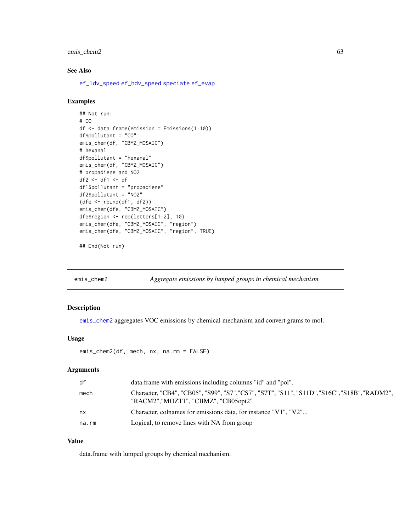### emis\_chem2 63

### See Also

[ef\\_ldv\\_speed](#page-42-0) [ef\\_hdv\\_speed](#page-33-0) [speciate](#page-122-0) [ef\\_evap](#page-28-0)

### Examples

```
## Not run:
# CO
df <- data.frame(emission = Emissions(1:10))
df$pollutant = "CO"
emis_chem(df, "CBMZ_MOSAIC")
# hexanal
df$pollutant = "hexanal"
emis_chem(df, "CBMZ_MOSAIC")
# propadiene and NO2
df2 <- df1 <- df
df1$pollutant = "propadiene"
df2$pollutant = "NO2"
(dfe <- rbind(df1, df2))
emis_chem(dfe, "CBMZ_MOSAIC")
dfe$region <- rep(letters[1:2], 10)
emis_chem(dfe, "CBMZ_MOSAIC", "region")
emis_chem(dfe, "CBMZ_MOSAIC", "region", TRUE)
```
## End(Not run)

<span id="page-62-0"></span>emis\_chem2 *Aggregate emissions by lumped groups in chemical mechanism*

#### Description

[emis\\_chem2](#page-62-0) aggregates VOC emissions by chemical mechanism and convert grams to mol.

### Usage

```
emis_chem2(df, mech, nx, na.rm = FALSE)
```
### Arguments

| df    | data.frame with emissions including columns "id" and "pol".                                                                          |
|-------|--------------------------------------------------------------------------------------------------------------------------------------|
| mech  | Character, "CB4", "CB05", "S99", "S7", "CS7", "S7T", "S11", "S11D", "S16C", "S18B", "RADM2",<br>"RACM2", "MOZT1", "CBMZ", "CB05opt2" |
| nx    | Character, colnames for emissions data, for instance "V1", "V2"                                                                      |
| na.rm | Logical, to remove lines with NA from group                                                                                          |

### Value

data.frame with lumped groups by chemical mechanism.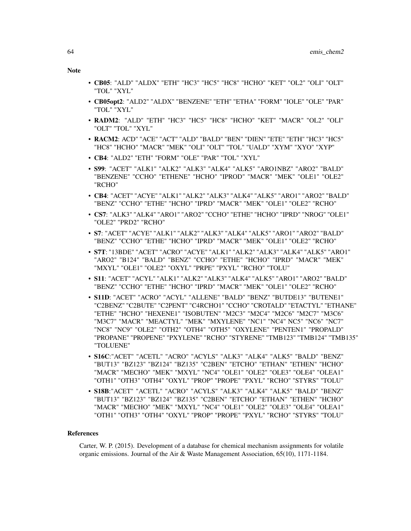Note

• CB05opt2: "ALD2" "ALDX" "BENZENE" "ETH" "ETHA" "FORM" "IOLE" "OLE" "PAR"

• RADM2: "ALD" "ETH" "HC3" "HC5" "HC8" "HCHO" "KET" "MACR" "OL2" "OLI"

• RACM2: ACD" "ACE" "ACT" "ALD" "BALD" "BEN" "DIEN" "ETE" "ETH" "HC3" "HC5" "HC8" "HCHO" "MACR" "MEK" "OLI" "OLT" "TOL" "UALD" "XYM" "XYO" "XYP"

• S99: "ACET" "ALK1" "ALK2" "ALK3" "ALK4" "ALK5" "ARO1NBZ" "ARO2" "BALD" "BENZENE" "CCHO" "ETHENE" "HCHO" "IPROD" "MACR" "MEK" "OLE1" "OLE2"

• CB4: "ACET" "ACYE" "ALK1" "ALK2" "ALK3" "ALK4" "ALK5" "ARO1" "ARO2" "BALD" "BENZ" "CCHO" "ETHE" "HCHO" "IPRD" "MACR" "MEK" "OLE1" "OLE2" "RCHO" • CS7: "ALK3" "ALK4" "ARO1" "ARO2" "CCHO" "ETHE" "HCHO" "IPRD" "NROG" "OLE1"

• S7: "ACET" "ACYE" "ALK1" "ALK2" "ALK3" "ALK4" "ALK5" "ARO1" "ARO2" "BALD" "BENZ" "CCHO" "ETHE" "HCHO" "IPRD" "MACR" "MEK" "OLE1" "OLE2" "RCHO" • S7T: "13BDE" "ACET" "ACRO" "ACYE" "ALK1" "ALK2" "ALK3" "ALK4" "ALK5" "ARO1" "ARO2" "B124" "BALD" "BENZ" "CCHO" "ETHE" "HCHO" "IPRD" "MACR" "MEK"

• S11: "ACET" "ACYL" "ALK1" "ALK2" "ALK3" "ALK4" "ALK5" "ARO1" "ARO2" "BALD" "BENZ" "CCHO" "ETHE" "HCHO" "IPRD" "MACR" "MEK" "OLE1" "OLE2" "RCHO" • S11D: "ACET" "ACRO" "ACYL" "ALLENE" "BALD" "BENZ" "BUTDE13" "BUTENE1" "C2BENZ" "C2BUTE" "C2PENT" "C4RCHO1" "CCHO" "CROTALD" "ETACTYL" "ETHANE" "ETHE" "HCHO" "HEXENE1" "ISOBUTEN" "M2C3" "M2C4" "M2C6" "M2C7" "M3C6" "M3C7" "MACR" "MEACTYL" "MEK" "MXYLENE" "NC1" "NC4" NC5" "NC6" "NC7" "NC8" "NC9" "OLE2" "OTH2" "OTH4" "OTH5" "OXYLENE" "PENTEN1" "PROPALD" "PROPANE" "PROPENE" "PXYLENE" "RCHO" "STYRENE" "TMB123" "TMB124" "TMB135"

• S16C:"ACET" "ACETL" "ACRO" "ACYLS" "ALK3" "ALK4" "ALK5" "BALD" "BENZ" "BUT13" "BZ123" "BZ124" "BZ135" "C2BEN" "ETCHO" "ETHAN" "ETHEN" "HCHO" "MACR" "MECHO" "MEK" "MXYL" "NC4" "OLE1" "OLE2" "OLE3" "OLE4" "OLEA1" "OTH1" "OTH3" "OTH4" "OXYL" "PROP" "PROPE" "PXYL" "RCHO" "STYRS" "TOLU" • S18B:"ACET" "ACETL" "ACRO" "ACYLS" "ALK3" "ALK4" "ALK5" "BALD" "BENZ" "BUT13" "BZ123" "BZ124" "BZ135" "C2BEN" "ETCHO" "ETHAN" "ETHEN" "HCHO" "MACR" "MECHO" "MEK" "MXYL" "NC4" "OLE1" "OLE2" "OLE3" "OLE4" "OLEA1" "OTH1" "OTH3" "OTH4" "OXYL" "PROP" "PROPE" "PXYL" "RCHO" "STYRS" "TOLU"

Carter, W. P. (2015). Development of a database for chemical mechanism assignments for volatile organic emissions. Journal of the Air & Waste Management Association, 65(10), 1171-1184.

"MXYL" "OLE1" "OLE2" "OXYL" "PRPE" "PXYL" "RCHO" "TOLU"

• CB4: "ALD2" "ETH" "FORM" "OLE" "PAR" "TOL" "XYL"

"TOL" "XYL"

"RCHO"

"TOLUENE"

References

"OLT" "TOL" "XYL"

"OLE2" "PRD2" "RCHO"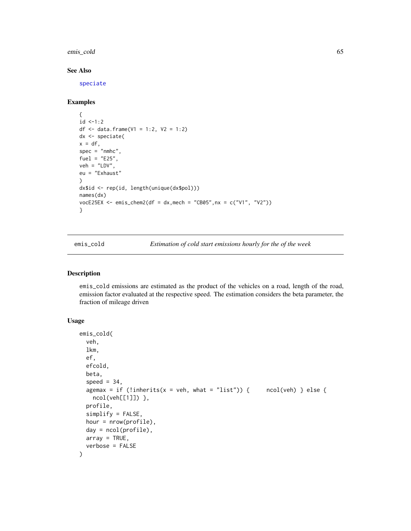emis\_cold 65

### See Also

[speciate](#page-122-0)

### Examples

```
{
id < -1:2df <- data.frame(V1 = 1:2, V2 = 1:2)
dx <- speciate(
x = df,
spec = "nmhc",fuel = "E25",
veh = "LDV",
eu = "Exhaust"
\mathcal{L}dx$id <- rep(id, length(unique(dx$pol)))
names(dx)
vocE25EX <- emis_chem2(df = dx,mech = "CB05",nx = c("V1", "V2"))
}
```
<span id="page-64-0"></span>emis\_cold *Estimation of cold start emissions hourly for the of the week*

# Description

emis\_cold emissions are estimated as the product of the vehicles on a road, length of the road, emission factor evaluated at the respective speed. The estimation considers the beta parameter, the fraction of mileage driven

# Usage

```
emis_cold(
  veh,
  lkm,
  ef,
  efcold,
 beta,
  speed = 34,
  agemax = if (!inherits(x = veh, what = "list")) { ncol(veh) } else {
    ncol(veh[[1]]) },
  profile,
  simplify = FALSE,
  hour = nrow(profile),
  day = ncol(profile),
  array = TRUE,
  verbose = FALSE
)
```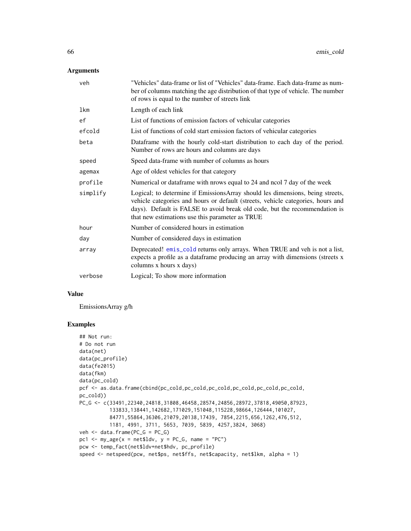### Arguments

| veh      | "Vehicles" data-frame or list of "Vehicles" data-frame. Each data-frame as num-<br>ber of columns matching the age distribution of that type of vehicle. The number<br>of rows is equal to the number of streets link                                                                             |
|----------|---------------------------------------------------------------------------------------------------------------------------------------------------------------------------------------------------------------------------------------------------------------------------------------------------|
| lkm      | Length of each link                                                                                                                                                                                                                                                                               |
| ef       | List of functions of emission factors of vehicular categories                                                                                                                                                                                                                                     |
| efcold   | List of functions of cold start emission factors of vehicular categories                                                                                                                                                                                                                          |
| beta     | Dataframe with the hourly cold-start distribution to each day of the period.<br>Number of rows are hours and columns are days                                                                                                                                                                     |
| speed    | Speed data-frame with number of columns as hours                                                                                                                                                                                                                                                  |
| agemax   | Age of oldest vehicles for that category                                                                                                                                                                                                                                                          |
| profile  | Numerical or dataframe with nrows equal to 24 and nool 7 day of the week                                                                                                                                                                                                                          |
| simplify | Logical; to determine if EmissionsArray should les dimensions, being streets,<br>vehicle categories and hours or default (streets, vehicle categories, hours and<br>days). Default is FALSE to avoid break old code, but the recommendation is<br>that new estimations use this parameter as TRUE |
| hour     | Number of considered hours in estimation                                                                                                                                                                                                                                                          |
| day      | Number of considered days in estimation                                                                                                                                                                                                                                                           |
| array    | Deprecated! emis_cold returns only arrays. When TRUE and veh is not a list,<br>expects a profile as a dataframe producing an array with dimensions (streets x<br>columns x hours x days)                                                                                                          |
| verbose  | Logical; To show more information                                                                                                                                                                                                                                                                 |

#### Value

EmissionsArray g/h

```
## Not run:
# Do not run
data(net)
data(pc_profile)
data(fe2015)
data(fkm)
data(pc_cold)
pcf <- as.data.frame(cbind(pc_cold,pc_cold,pc_cold,pc_cold,pc_cold,pc_cold,
pc_cold))
PC_G <- c(33491,22340,24818,31808,46458,28574,24856,28972,37818,49050,87923,
          133833,138441,142682,171029,151048,115228,98664,126444,101027,
          84771,55864,36306,21079,20138,17439, 7854,2215,656,1262,476,512,
          1181, 4991, 3711, 5653, 7039, 5839, 4257,3824, 3068)
veh <- data.frame(PC_G = PC_G)
pc1 <- my\_\text{age}(x = net$1dv, y = PC_G, name = "PC")pcw <- temp_fact(net$ldv+net$hdv, pc_profile)
speed <- netspeed(pcw, net$ps, net$ffs, net$capacity, net$lkm, alpha = 1)
```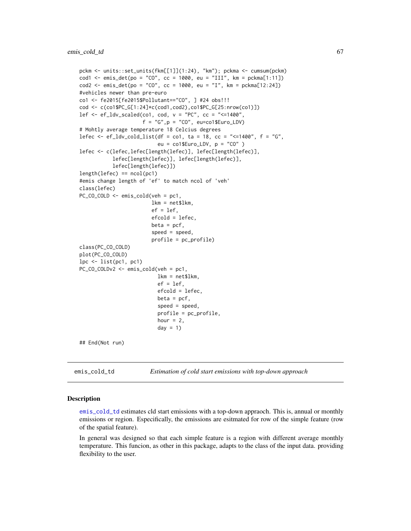```
pckm <- units::set_units(fkm[[1]](1:24), "km"); pckma <- cumsum(pckm)
cod1 <- emis_det(po = "CO", cc = 1000, eu = "III", km = pckma[1:11])
cod2 <- emis_det(po = "CO", cc = 1000, eu = "I", km = pckma[12:24])
#vehicles newer than pre-euro
co1 <- fe2015[fe2015$Pollutant=="CO", ] #24 obs!!!
cod <- c(co1$PC_G[1:24]*c(cod1,cod2),co1$PC_G[25:nrow(co1)])
lef \leq ef_ldv_scaled(co1, cod, v = "PC", cc = "\leq=1400",
                     f = "G", p = "CO", eu=co1$Euro_LDV)# Mohtly average temperature 18 Celcius degrees
lefec <- ef_ldv_cold_list(df = co1, ta = 18, cc = "<=1400", f = "G",
                          eu = co1$Euro_LDV, p = "CO" )
lefec <- c(lefec,lefec[length(lefec)], lefec[length(lefec)],
           lefec[length(lefec)], lefec[length(lefec)],
           lefec[length(lefec)])
length(lefcc) == ncol(pc1)#emis change length of 'ef' to match ncol of 'veh'
class(lefec)
PC_CO_COLD <- emis_cold(veh = pc1,
                        lkm = net$lkm,
                        ef = lef,efcold = lefec,
                        beta = pcf,
                        speed = speed,
                        profile = pc_profile)
class(PC_CO_COLD)
plot(PC_CO_COLD)
lpc < - list(pc1, pc1)
PC_CO_COLDv2 <- emis_cold(veh = pc1,
                          lkm = net$lkm,
                          ef = lef,efcold = lefec,
                          beta = pcf,
                          speed = speed,
                          profile = pc_profile,
                          hour = 2,
                          day = 1)
## End(Not run)
```
<span id="page-66-0"></span>emis\_cold\_td *Estimation of cold start emissions with top-down approach*

#### Description

[emis\\_cold\\_td](#page-66-0) estimates cld start emissions with a top-down appraoch. This is, annual or monthly emissions or region. Especifically, the emissions are esitmated for row of the simple feature (row of the spatial feature).

In general was designed so that each simple feature is a region with different average monthly temperature. This funcion, as other in this package, adapts to the class of the input data. providing flexibility to the user.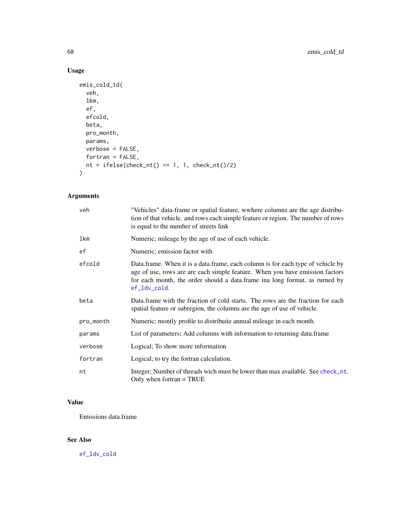# Usage

```
emis_cold_td(
  veh,
  lkm,
  ef,
  efcold,
  beta,
  pro_month,
  params,
  verbose = FALSE,
  fortran = FALSE,
  nt = ifelse(check_nt() == 1, 1, check_nt() / 2)\mathcal{L}
```
# Arguments

| veh        | "Vehicles" data-frame or spatial feature, wwhere columns are the age distribu-<br>tion of that vehicle. and rows each simple feature or region. The number of rows<br>is equal to the number of streets link                                                   |
|------------|----------------------------------------------------------------------------------------------------------------------------------------------------------------------------------------------------------------------------------------------------------------|
| <b>lkm</b> | Numeric; mileage by the age of use of each vehicle.                                                                                                                                                                                                            |
| ef         | Numeric; emission factor with                                                                                                                                                                                                                                  |
| efcold     | Data.frame. When it is a data.frame, each column is for each type of vehicle by<br>age of use, rows are are each simple feature. When you have emission factors<br>for each month, the order should a data.frame ina long format, as rurned by<br>ef_ldv_cold. |
| beta       | Data frame with the fraction of cold starts. The rows are the fraction for each<br>spatial feature or subregion, the columns are the age of use of vehicle.                                                                                                    |
| pro_month  | Numeric; montly profile to distribuite annual mileage in each month.                                                                                                                                                                                           |
| params     | List of parameters; Add columns with information to returning data.frame                                                                                                                                                                                       |
| verbose    | Logical; To show more information                                                                                                                                                                                                                              |
| fortran    | Logical; to try the fortran calculation.                                                                                                                                                                                                                       |
| nt         | Integer; Number of threads wich must be lower than max available. See check_nt.<br>Only when fortran $=$ TRUE                                                                                                                                                  |

# Value

Emissions data.frame

# See Also

[ef\\_ldv\\_cold](#page-38-0)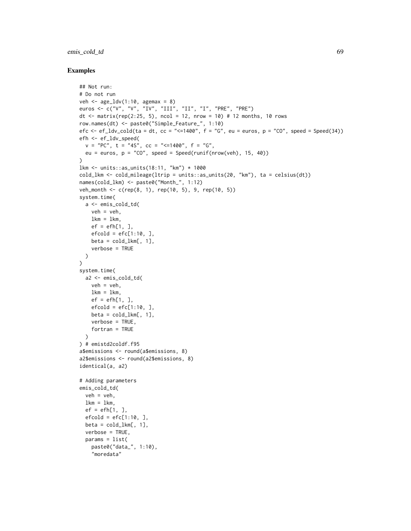### emis\_cold\_td 69

```
## Not run:
# Do not run
veh \leq age_ldv(1:10, agemax = 8)
euros <- c("V", "V", "IV", "III", "II", "I", "PRE", "PRE")
dt <- matrix(rep(2:25, 5), ncol = 12, nrow = 10) # 12 months, 10 rows
row.names(dt) <- paste0("Simple_Feature_", 1:10)
efc \leq - ef_ldv_cold(ta = dt, cc = "\leq 1400", f = "G", eu = euros, p = "CO", speed = Speed(34))
efh <- ef_ldv_speed(
  v = "PC", t = "4S", cc = "<=1400", f = "G",eu = euros, p = "CO", speed = Speed(runif(nrow(veh), 15, 40)))
lkm <- units::as_units(18:11, "km") * 1000
cold_lkm <- cold_mileage(ltrip = units::as_units(20, "km"), ta = celsius(dt))
names(cold_lkm) <- paste0("Month_", 1:12)
veh_month <- c(rep(8, 1), rep(10, 5), 9, rep(10, 5))
system.time(
  a <- emis_cold_td(
   veh = veh,lkm = lkm,
   ef = efh[1, ],
   efcold = efc[1:10, ]beta = cold_lkm[, 1],verbose = TRUE
 )
\lambdasystem.time(
 a2 <- emis_cold_td(
   veh = veh,
   lkm = lkm,
   ef = efh[1, ],
   efcold = efc[1:10, ]beta = cold_lkm[, 1],verbose = TRUE,
   fortran = TRUE
  \lambda) # emistd2coldf.f95
a$emissions <- round(a$emissions, 8)
a2$emissions <- round(a2$emissions, 8)
identical(a, a2)
# Adding parameters
emis_cold_td(
 veh = veh,
  lkm = lkm,
  ef = efh[1, ],
  efcold = efc[1:10, ],
  beta = cold_lkm[, 1],verbose = TRUE,
  params = list(
   paste0("data_", 1:10),
    "moredata"
```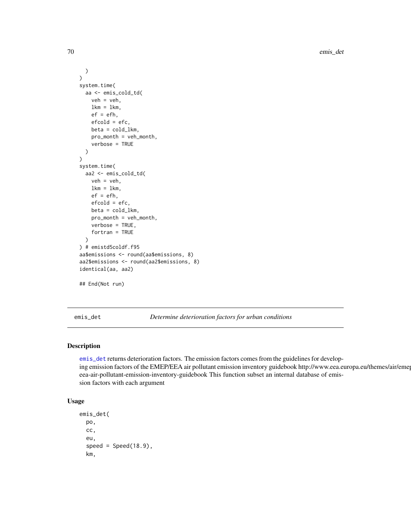```
)
\mathcal{L}system.time(
 aa <- emis_cold_td(
   veh = veh,lkm = lkm,ef = efh,
   efcold = efc,
   beta = cold_lkm,
   pro_month = veh_month,
   verbose = TRUE
 )
)
system.time(
 aa2 <- emis_cold_td(
   veh = veh,
   lkm = 1km,ef = efh,
   efcold = efc,
   beta = cold_lkm,pro_month = veh_month,
   verbose = TRUE,
    fortran = TRUE
 )
) # emistd5coldf.f95
aa$emissions <- round(aa$emissions, 8)
aa2$emissions <- round(aa2$emissions, 8)
identical(aa, aa2)
## End(Not run)
```
<span id="page-69-0"></span>emis\_det *Determine deterioration factors for urban conditions*

#### Description

[emis\\_det](#page-69-0) returns deterioration factors. The emission factors comes from the guidelines for developing emission factors of the EMEP/EEA air pollutant emission inventory guidebook http://www.eea.europa.eu/themes/air/eme eea-air-pollutant-emission-inventory-guidebook This function subset an internal database of emission factors with each argument

### Usage

```
emis_det(
 po,
  cc,
  eu,
  speed = Speed(18.9),
  km,
```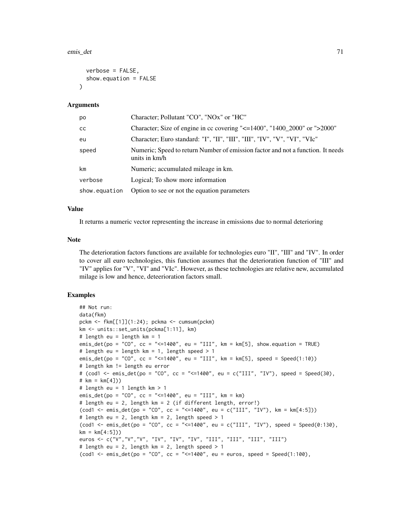#### emis\_det 71

```
verbose = FALSE,
  show.equation = FALSE
\lambda
```
#### Arguments

| po            | Character; Pollutant "CO", "NOx" or "HC"                                                         |
|---------------|--------------------------------------------------------------------------------------------------|
| <b>CC</b>     | Character; Size of engine in cc covering " $\leq$ =1400", "1400_2000" or ">2000"                 |
| eu            | Character; Euro standard: "I", "II", "III", "III", "IV", "V", "VI", "VIc"                        |
| speed         | Numeric; Speed to return Number of emission factor and not a function. It needs<br>units in km/h |
| km            | Numeric; accumulated mileage in km.                                                              |
| verbose       | Logical; To show more information                                                                |
| show.equation | Option to see or not the equation parameters                                                     |

#### Value

It returns a numeric vector representing the increase in emissions due to normal deterioring

#### Note

The deterioration factors functions are available for technologies euro "II", "III" and "IV". In order to cover all euro technologies, this function assumes that the deterioration function of "III" and "IV" applies for "V", "VI" and "VIc". However, as these technologies are relative new, accumulated milage is low and hence, deteerioration factors small.

```
## Not run:
data(fkm)
pckm <- fkm[[1]](1:24); pckma <- cumsum(pckm)
km <- units::set_units(pckma[1:11], km)
# length eu = length km = 1
emis_det(po = "CO", cc = "<=1400", eu = "III", km = km[5], show.equation = TRUE)
# length eu = length km = 1, length speed > 1
emis_det(po = "CO", cc = "<=1400", eu = "III", km = km[5], speed = Speed(1:10))
# length km != length eu error
# (cod1 < - emis_det(po = "CO", cc = "<=1400", eu = c("III", "IV"), speed = Speed(30),
# km = km[4])# length eu = 1 length km > 1
emis_det(po = "CO", cc = "<=1400", eu = "III", km = km)
# length eu = 2, length km = 2 (if different length, error!)
(cod1 <- emis_det(po = "CO", cc = "<=1400", eu = c("III", "IV"), km = km[4:5]))
# length eu = 2, length km = 2, length speed > 1
(cod1 <- emis_det(po = "CO", cc = "<=1400", eu = c("III", "IV"), speed = Speed(0:130),
km = km[4:5])euros <- c("V","V","V", "IV", "IV", "IV", "III", "III", "III", "III")
# length eu = 2, length km = 2, length speed > 1
(cod1 < - emis_det(po = "CO", cc = "<=1400", eu = euros, speed = Speed(1:100),
```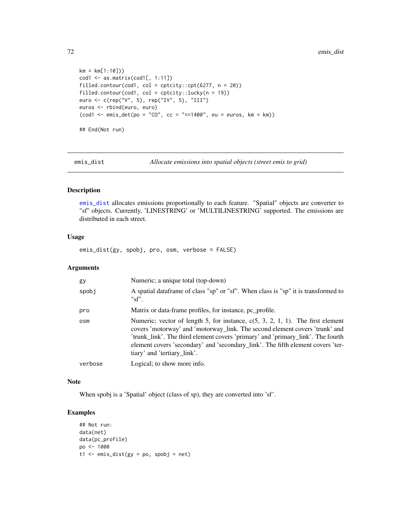```
km = km[1:10])cod1 \leq as.matrix(cod1[, 1:11])filled.contour(cod1, col = cptcity::cpt(6277, n = 20))
filled.contour(cod1, col = cptcity::lucky(n = 19))
euro <- c(rep("V", 5), rep("IV", 5), "III")
euros <- rbind(euro, euro)
(cod1 \le - \text{emis}\_det(po = "CO", cc = "<=1400", eu = euros, km = km))## End(Not run)
```
<span id="page-71-0"></span>emis\_dist *Allocate emissions into spatial objects (street emis to grid)*

# Description

[emis\\_dist](#page-71-0) allocates emissions proportionally to each feature. "Spatial" objects are converter to "sf" objects. Currently, 'LINESTRING' or 'MULTILINESTRING' supported. The emissions are distributed in each street.

#### Usage

emis\_dist(gy, spobj, pro, osm, verbose = FALSE)

### Arguments

| gy      | Numeric; a unique total (top-down)                                                                                                                                                                                                                                                                                                                                    |
|---------|-----------------------------------------------------------------------------------------------------------------------------------------------------------------------------------------------------------------------------------------------------------------------------------------------------------------------------------------------------------------------|
| spobj   | A spatial data frame of class "sp" or "sf". When class is "sp" it is transformed to<br>"sf".                                                                                                                                                                                                                                                                          |
| pro     | Matrix or data-frame profiles, for instance, pc profile.                                                                                                                                                                                                                                                                                                              |
| osm     | Numeric; vector of length 5, for instance, $c(5, 3, 2, 1, 1)$ . The first element<br>covers 'motorway' and 'motorway_link. The second element covers 'trunk' and<br>'trunk_link'. The third element covers 'primary' and 'primary_link'. The fourth<br>element covers 'secondary' and 'secondary_link'. The fifth element covers 'ter-<br>tiary' and 'tertiary_link'. |
| verbose | Logical; to show more info.                                                                                                                                                                                                                                                                                                                                           |

#### Note

When spobj is a 'Spatial' object (class of sp), they are converted into 'sf'.

```
## Not run:
data(net)
data(pc_profile)
po <- 1000
t1 <- emis\_dist(gy = po, spobj = net)
```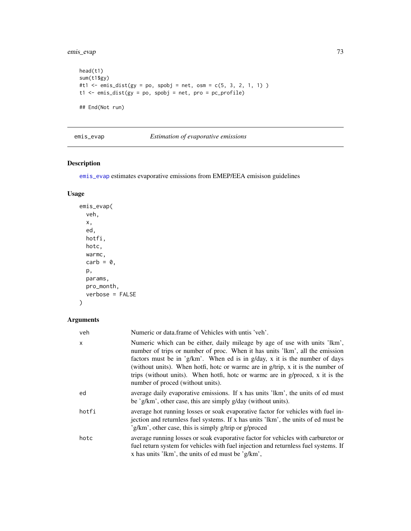emis\_evap 73

```
head(t1)
sum(t1$gy)
#t1 <- emis\_dist(gy = po, spobj = net, osm = c(5, 3, 2, 1, 1) )t1 <- emis_dist(gy = po, spobj = net, pro = pc_profile)
## End(Not run)
```
## <span id="page-72-0"></span>emis\_evap *Estimation of evaporative emissions*

# Description

[emis\\_evap](#page-72-0) estimates evaporative emissions from EMEP/EEA emisison guidelines

## Usage

```
emis_evap(
 veh,
 x,
 ed,
 hotfi,
 hotc,
 warmc,
 carb = 0,
 p,
 params,
 pro_month,
 verbose = FALSE
)
```

| veh   | Numeric or data frame of Vehicles with untis 'veh'.                                                                                                                                                                                                                                                                                                                                                                                                  |
|-------|------------------------------------------------------------------------------------------------------------------------------------------------------------------------------------------------------------------------------------------------------------------------------------------------------------------------------------------------------------------------------------------------------------------------------------------------------|
| x     | Numeric which can be either, daily mileage by age of use with units 'lkm',<br>number of trips or number of proc. When it has units 'lkm', all the emission<br>factors must be in 'g/km'. When ed is in g/day, x it is the number of days<br>(without units). When hotfi, hotc or warme are in $g$ /trip, x it is the number of<br>trips (without units). When hotfi, hotc or warme are in g/proced, x it is the<br>number of proced (without units). |
| ed    | average daily evaporative emissions. If x has units 'lkm', the units of ed must<br>be 'g/km', other case, this are simply $g$ /day (without units).                                                                                                                                                                                                                                                                                                  |
| hotfi | average hot running losses or soak evaporative factor for vehicles with fuel in-<br>jection and returnless fuel systems. If x has units 'lkm', the units of ed must be<br>'g/km', other case, this is simply g/trip or g/proced                                                                                                                                                                                                                      |
| hotc  | average running losses or soak evaporative factor for vehicles with carburetor or<br>fuel return system for vehicles with fuel injection and returnless fuel systems. If<br>x has units 'lkm', the units of ed must be 'g/km',                                                                                                                                                                                                                       |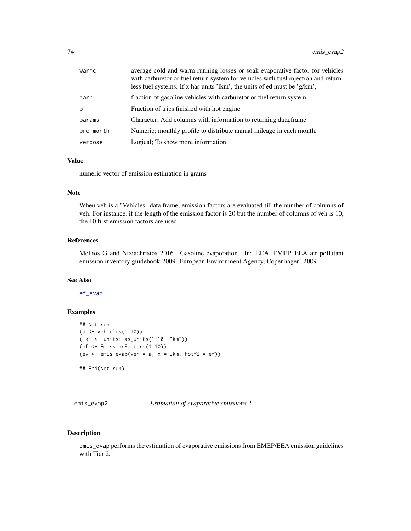| warmc     | average cold and warm running losses or soak evaporative factor for vehicles<br>with carburetor or fuel return system for vehicles with fuel injection and return-<br>less fuel systems. If x has units 'lkm', the units of ed must be 'g/km', |
|-----------|------------------------------------------------------------------------------------------------------------------------------------------------------------------------------------------------------------------------------------------------|
| carb      | fraction of gasoline vehicles with carburetor or fuel return system.                                                                                                                                                                           |
| b.        | Fraction of trips finished with hot engine                                                                                                                                                                                                     |
| params    | Character; Add columns with information to returning data.frame                                                                                                                                                                                |
| pro_month | Numeric; monthly profile to distribute annual mileage in each month.                                                                                                                                                                           |
| verbose   | Logical; To show more information                                                                                                                                                                                                              |

#### Value

numeric vector of emission estimation in grams

## Note

When veh is a "Vehicles" data.frame, emission factors are evaluated till the number of columns of veh. For instance, if the length of the emission factor is 20 but the number of columns of veh is 10, the 10 first emission factors are used.

## References

Mellios G and Ntziachristos 2016. Gasoline evaporation. In: EEA, EMEP. EEA air pollutant emission inventory guidebook-2009. European Environment Agency, Copenhagen, 2009

# See Also

[ef\\_evap](#page-28-0)

# Examples

```
## Not run:
(a <- Vehicles(1:10))
(lkm <- units::as_units(1:10, "km"))
(ef <- EmissionFactors(1:10))
(ev < - emis_evap(veh = a, x = 1km, hotfi = ef))
## End(Not run)
```
emis\_evap2 *Estimation of evaporative emissions 2*

## Description

emis\_evap performs the estimation of evaporative emissions from EMEP/EEA emission guidelines with Tier 2.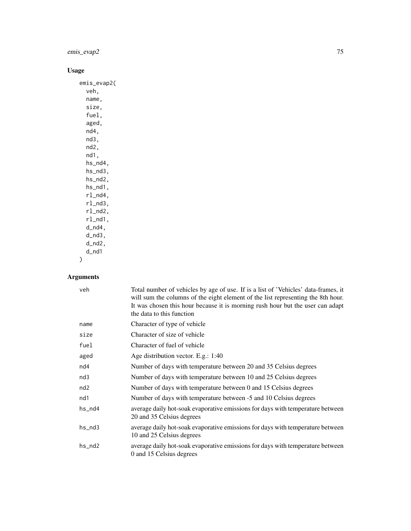# emis\_evap2 75

# Usage

emis\_evap2( veh, name, size, fuel, aged, nd4, nd3, nd2, nd1, hs\_nd4, hs\_nd3, hs\_nd2, hs\_nd1, rl\_nd4, rl\_nd3, rl\_nd2, rl\_nd1, d\_nd4, d\_nd3, d\_nd2, d\_nd1 )

| veh       | Total number of vehicles by age of use. If is a list of 'Vehicles' data-frames, it<br>will sum the columns of the eight element of the list representing the 8th hour.<br>It was chosen this hour because it is morning rush hour but the user can adapt<br>the data to this function |
|-----------|---------------------------------------------------------------------------------------------------------------------------------------------------------------------------------------------------------------------------------------------------------------------------------------|
| name      | Character of type of vehicle                                                                                                                                                                                                                                                          |
| size      | Character of size of vehicle                                                                                                                                                                                                                                                          |
| fuel      | Character of fuel of vehicle                                                                                                                                                                                                                                                          |
| aged      | Age distribution vector. E.g.: 1:40                                                                                                                                                                                                                                                   |
| nd4       | Number of days with temperature between 20 and 35 Celsius degrees                                                                                                                                                                                                                     |
| nd3       | Number of days with temperature between 10 and 25 Celsius degrees                                                                                                                                                                                                                     |
| nd2       | Number of days with temperature between 0 and 15 Celsius degrees                                                                                                                                                                                                                      |
| nd1       | Number of days with temperature between -5 and 10 Celsius degrees                                                                                                                                                                                                                     |
| $hs_n$ d4 | average daily hot-soak evaporative emissions for days with temperature between<br>20 and 35 Celsius degrees                                                                                                                                                                           |
| hs_nd3    | average daily hot-soak evaporative emissions for days with temperature between<br>10 and 25 Celsius degrees                                                                                                                                                                           |
| $hs\_nd2$ | average daily hot-soak evaporative emissions for days with temperature between<br>0 and 15 Celsius degrees                                                                                                                                                                            |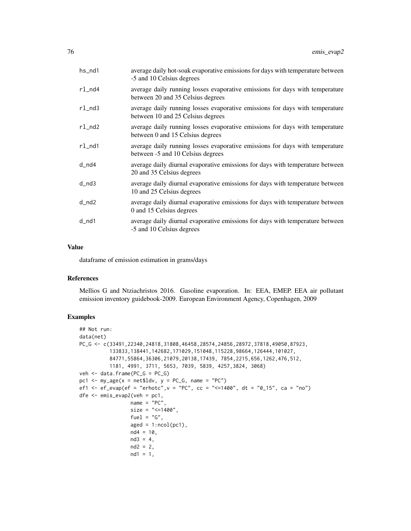| hs_nd1 | average daily hot-soak evaporative emissions for days with temperature between<br>-5 and 10 Celsius degrees       |
|--------|-------------------------------------------------------------------------------------------------------------------|
| rl_nd4 | average daily running losses evaporative emissions for days with temperature<br>between 20 and 35 Celsius degrees |
| rl_nd3 | average daily running losses evaporative emissions for days with temperature<br>between 10 and 25 Celsius degrees |
| rl_nd2 | average daily running losses evaporative emissions for days with temperature<br>between 0 and 15 Celsius degrees  |
| rl_nd1 | average daily running losses evaporative emissions for days with temperature<br>between -5 and 10 Celsius degrees |
| d_nd4  | average daily diurnal evaporative emissions for days with temperature between<br>20 and 35 Celsius degrees        |
| d_nd3  | average daily diurnal evaporative emissions for days with temperature between<br>10 and 25 Celsius degrees        |
| d_nd2  | average daily diurnal evaporative emissions for days with temperature between<br>0 and 15 Celsius degrees         |
| d_nd1  | average daily diurnal evaporative emissions for days with temperature between<br>-5 and 10 Celsius degrees        |
|        |                                                                                                                   |

# Value

dataframe of emission estimation in grams/days

## References

Mellios G and Ntziachristos 2016. Gasoline evaporation. In: EEA, EMEP. EEA air pollutant emission inventory guidebook-2009. European Environment Agency, Copenhagen, 2009

```
## Not run:
data(net)
PC_G <- c(33491,22340,24818,31808,46458,28574,24856,28972,37818,49050,87923,
          133833,138441,142682,171029,151048,115228,98664,126444,101027,
          84771,55864,36306,21079,20138,17439, 7854,2215,656,1262,476,512,
          1181, 4991, 3711, 5653, 7039, 5839, 4257,3824, 3068)
veh <- data.frame(PC_G = PC_G)
pc1 \leq my_age(x = net$ldv, y = PC_G, name = "PC")
ef1 <- ef_evap(ef = "erhotc", v = "PC", cc = "<=1400", dt = "0_15", ca = "no")
dfe <- emis_evap2(veh = pc1,
                 name = "PC",
                 size = "<=1400",
                 fuel = "G",aged = 1:ncol(pc1),nd4 = 10,
                 nd3 = 4,nd2 = 2,nd1 = 1,
```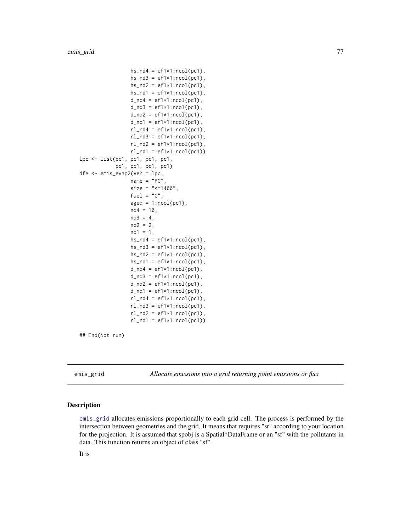```
hs\_nd4 = eff1*1:ncol(pc1),
                 hs\_nd3 = ef1*1:ncol(pc1),hs\_nd2 = eff1*1:ncol(pc1),hs\_nd1 = ef1*1:ncol(pc1),d_{nd4} = ef1*1:ncol(pc1),d\_nd3 = ef1*1:ncol(pc1),d\_nd2 = ef1*1:ncol(pc1),d_{nd1} = ef1*1:ncol(pc1),rl\_nd4 = ef1*1:ncol(pc1),rl\_nd3 = ef1*1:ncol(pc1),rl\_nd2 = ef1*1:ncol(pc1),rl\_nd1 = ef1*1:ncol(pc1))lpc <- list(pc1, pc1, pc1, pc1,
            pc1, pc1, pc1, pc1)
dfe <- emis_evap2(veh = lpc,
                 name = "PC",size = "<=1400",fuel = "G",aged = 1:ncol(pc1),nd4 = 10,
                 nd3 = 4,
                 nd2 = 2,
                 nd1 = 1,hs\_nd4 = eff1*1:ncol(pc1),
                 hs\_nd3 = ef1*1:ncol(pc1),hs\_nd2 = eff1*1:ncol(pc1),hs\_nd1 = eff1*1:ncol(pc1),
                 d_{nd4} = ef1*1:ncol(pc1),d\_nd3 = ef1*1:ncol(pc1),d_{nd2} = ef1*1:ncol(pc1),d_{nd1} = ef1*1:ncol(pc1),rl\_nd4 = ef1*1:ncol(pc1),rl\_nd3 = ef1*1:ncol(pc1),rl\_nd2 = ef1*1:ncol(pc1),rl\_nd1 = ef1*1:ncol(pc1))
```
## End(Not run)

<span id="page-76-0"></span>emis\_grid *Allocate emissions into a grid returning point emissions or flux*

#### Description

[emis\\_grid](#page-76-0) allocates emissions proportionally to each grid cell. The process is performed by the intersection between geometries and the grid. It means that requires "sr" according to your location for the projection. It is assumed that spobj is a Spatial\*DataFrame or an "sf" with the pollutants in data. This function returns an object of class "sf".

It is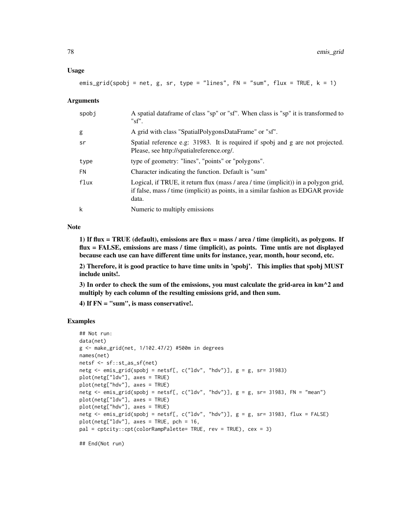emis\_grid(spobj = net, g, sr, type = "lines",  $FN =$  "sum",  $flux = TRUE, k = 1)$ 

#### Arguments

| spobj     | A spatial data frame of class "sp" or "sf". When class is "sp" it is transformed to<br>"sf".                                                                                      |
|-----------|-----------------------------------------------------------------------------------------------------------------------------------------------------------------------------------|
| g         | A grid with class "SpatialPolygonsDataFrame" or "sf".                                                                                                                             |
| sr        | Spatial reference e.g. 31983. It is required if spobj and g are not projected.<br>Please, see http://spatialreference.org/.                                                       |
| type      | type of geometry: "lines", "points" or "polygons".                                                                                                                                |
| <b>FN</b> | Character indicating the function. Default is "sum"                                                                                                                               |
| flux      | Logical, if TRUE, it return flux (mass / area / time (implicit)) in a polygon grid,<br>if false, mass / time (implicit) as points, in a similar fashion as EDGAR provide<br>data. |
| k         | Numeric to multiply emissions                                                                                                                                                     |

#### Note

1) If flux = TRUE (default), emissions are flux = mass / area / time (implicit), as polygons. If flux = FALSE, emissions are mass / time (implicit), as points. Time untis are not displayed because each use can have different time units for instance, year, month, hour second, etc.

2) Therefore, it is good practice to have time units in 'spobj'. This implies that spobj MUST include units!.

3) In order to check the sum of the emissions, you must calculate the grid-area in km^2 and multiply by each column of the resulting emissions grid, and then sum.

4) If  $FN = "sum",$  is mass conservative!.

## Examples

```
## Not run:
data(net)
g <- make_grid(net, 1/102.47/2) #500m in degrees
names(net)
netsf <- sf::st_as_sf(net)
netg \le emis_grid(spobj = netsf[, c("ldv", "hdv")], g = g, sr= 31983)
plot(netg["ldv"], axes = TRUE)
plot(netg["hdv"], axes = TRUE)
netg \le emis_grid(spobj = netsf[, c("ldv", "hdv")], g = g, sr= 31983, FN = "mean")
plot(netg["ldv"], axes = TRUE)
plot(netg["hdv"], axes = TRUE)
netg <- emis_grid(spobj = netsf[, c("ldv", "hdv")], g = g, sr= 31983, flux = FALSE)
plot(netg["ldv"], axes = TRUE, pch = 16,
pal = cptcity::cpt(colorRampPalette= TRUE, rev = TRUE), cex = 3)
```
## End(Not run)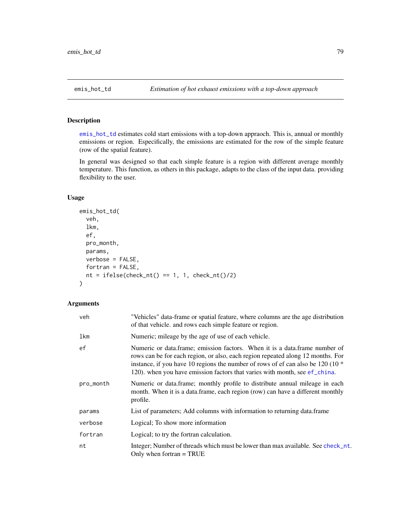# <span id="page-78-0"></span>Description

[emis\\_hot\\_td](#page-78-0) estimates cold start emissions with a top-down appraoch. This is, annual or monthly emissions or region. Especifically, the emissions are estimated for the row of the simple feature (row of the spatial feature).

In general was designed so that each simple feature is a region with different average monthly temperature. This function, as others in this package, adapts to the class of the input data. providing flexibility to the user.

## Usage

```
emis_hot_td(
  veh,
  lkm,
  ef,
 pro_month,
 params,
 verbose = FALSE,
  fortran = FALSE,nt = ifelse(check_nt() == 1, 1, check_nt() / 2))
```

| veh       | "Vehicles" data-frame or spatial feature, where columns are the age distribution<br>of that vehicle. and rows each simple feature or region.                                                                                                                                                                                     |
|-----------|----------------------------------------------------------------------------------------------------------------------------------------------------------------------------------------------------------------------------------------------------------------------------------------------------------------------------------|
| lkm       | Numeric; mileage by the age of use of each vehicle.                                                                                                                                                                                                                                                                              |
| ef        | Numeric or data.frame; emission factors. When it is a data.frame number of<br>rows can be for each region, or also, each region repeated along 12 months. For<br>instance, if you have 10 regions the number of rows of ef can also be 120 (10 $*$<br>120). when you have emission factors that varies with month, see ef_china. |
| pro_month | Numeric or data.frame; monthly profile to distribute annual mileage in each<br>month. When it is a data.frame, each region (row) can have a different monthly<br>profile.                                                                                                                                                        |
| params    | List of parameters; Add columns with information to returning data.frame                                                                                                                                                                                                                                                         |
| verbose   | Logical; To show more information                                                                                                                                                                                                                                                                                                |
| fortran   | Logical; to try the fortran calculation.                                                                                                                                                                                                                                                                                         |
| nt        | Integer; Number of threads which must be lower than max available. See check_nt.<br>Only when fortran $=$ TRUE                                                                                                                                                                                                                   |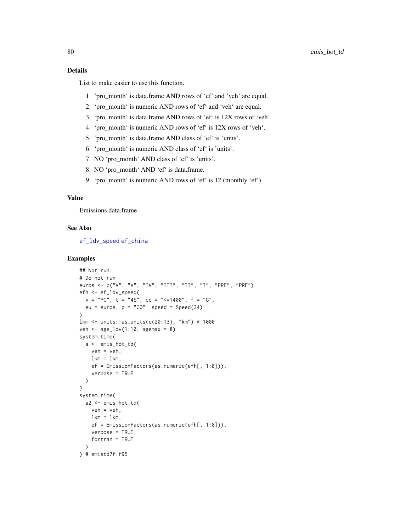## Details

List to make easier to use this function.

- 1. 'pro\_month' is data.frame AND rows of 'ef' and 'veh' are equal.
- 2. 'pro\_month' is numeric AND rows of 'ef' and 'veh' are equal.
- 3. 'pro\_month' is data.frame AND rows of 'ef' is 12X rows of 'veh'.
- 4. 'pro\_month' is numeric AND rows of 'ef' is 12X rows of 'veh'.
- 5. 'pro\_month' is data,frame AND class of 'ef' is 'units'.
- 6. 'pro\_month' is numeric AND class of 'ef' is 'units'.
- 7. NO 'pro\_month' AND class of 'ef' is 'units'.
- 8. NO 'pro\_month' AND 'ef' is data.frame.
- 9. 'pro\_month' is numeric AND rows of 'ef' is 12 (monthly 'ef').

#### Value

Emissions data.frame

#### See Also

[ef\\_ldv\\_speed](#page-42-0) [ef\\_china](#page-23-0)

```
## Not run:
# Do not run
euros <- c("V", "V", "IV", "III", "II", "I", "PRE", "PRE")
efh <- ef_ldv_speed(
  v = "PC", t = "4S", cc = "<=1400", f = "G",eu = euros, p = "CO", speed = Speed(34)\lambdalkm <- units::as_units(c(20:13), "km") * 1000
veh \leq age_ldv(1:10, agemax = 8)
system.time(
  a <- emis_hot_td(
    veh = veh,lkm = lkm,
    ef = EmissionFactors(as.numeric(efh[, 1:8])),
    verbose = TRUE
  \lambda\mathcal{L}system.time(
  a2 <- emis_hot_td(
    veh = veh,lkm = lkm,ef = EmissionFactors(as.numeric(efh[, 1:8])),
    verbose = TRUE,
    fortran = TRUE
  \lambda) # emistd7f.f95
```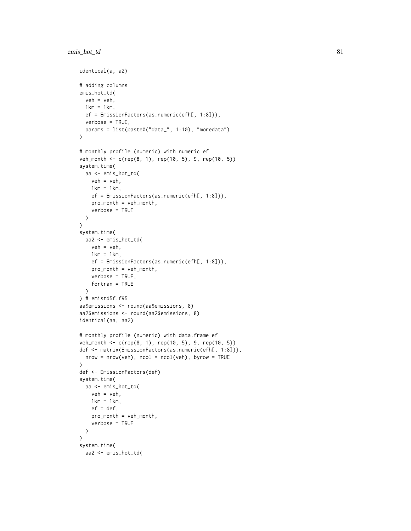## emis\_hot\_td 81

```
identical(a, a2)
# adding columns
emis_hot_td(
  veh = veh,
  lkm = lkm,
  ef = EmissionFactors(as.numeric(efh[, 1:8])),
  verbose = TRUE,
  params = list(paste0("data_", 1:10), "moredata")
\mathcal{L}# monthly profile (numeric) with numeric ef
veh_month <- c(rep(8, 1), rep(10, 5), 9, rep(10, 5))
system.time(
  aa <- emis_hot_td(
   veh = veh,lkm = lkm,
   ef = EmissionFactors(as.numeric(efh[, 1:8])),
   pro_month = veh_month,
   verbose = TRUE
 )
\lambdasystem.time(
  aa2 <- emis_hot_td(
   veh = veh,lkm = lkm,ef = EmissionFactors(as.numeric(efh[, 1:8])),
   pro_month = veh_month,
   verbose = TRUE,
   fortran = TRUE
  )
) # emistd5f.f95
aa$emissions <- round(aa$emissions, 8)
aa2$emissions <- round(aa2$emissions, 8)
identical(aa, aa2)
# monthly profile (numeric) with data.frame ef
veh_month <- c(rep(8, 1), rep(10, 5), 9, rep(10, 5))
def <- matrix(EmissionFactors(as.numeric(efh[, 1:8])),
  nrow = nrow(veh), ncol = ncol(veh), byrow = TRUE)
def <- EmissionFactors(def)
system.time(
  aa <- emis_hot_td(
   veh = veh,lkm = lkm,ef = def,
   pro_month = veh_month,
    verbose = TRUE
  )
\mathcal{L}system.time(
  aa2 <- emis_hot_td(
```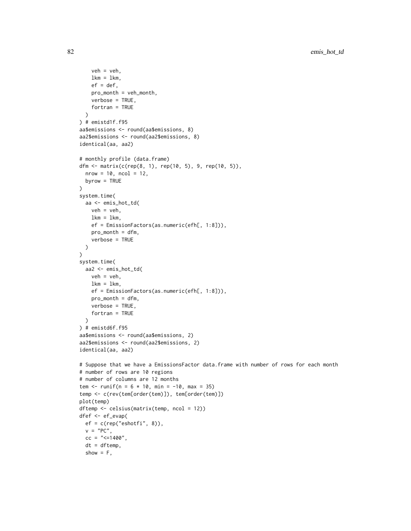```
veh = veh,
   lkm = lkm,
    ef = def,
   pro_month = veh_month,
   verbose = TRUE,
   fortran = TRUE
  )
) # emistd1f.f95
aa$emissions <- round(aa$emissions, 8)
aa2$emissions <- round(aa2$emissions, 8)
identical(aa, aa2)
# monthly profile (data.frame)
dfm <- matrix(c(rep(8, 1), rep(10, 5), 9, rep(10, 5)),
  nrow = 10, ncol = 12,
  byrow = TRUE
)
system.time(
  aa <- emis_hot_td(
   veh = veh,lkm = lkm,
   ef = EmissionFactors(as.numeric(efh[, 1:8])),
   pro_month = dfm,
   verbose = TRUE
  )
)
system.time(
 aa2 <- emis_hot_td(
   veh = veh,lkm = lkm,
   ef = EmissionFactors(as.numeric(efh[, 1:8])),
   pro_month = dfm,
   verbose = TRUE,
    fortran = TRUE
  \lambda) # emistd6f.f95
aa$emissions <- round(aa$emissions, 2)
aa2$emissions <- round(aa2$emissions, 2)
identical(aa, aa2)
# Suppose that we have a EmissionsFactor data.frame with number of rows for each month
# number of rows are 10 regions
# number of columns are 12 months
tem <- runif(n = 6 * 10, min = -10, max = 35)
temp <- c(rev(tem[order(tem)]), tem[order(tem)])
plot(temp)
dftemp <- celsius(matrix(temp, ncol = 12))
dfef <- ef_evap(
  ef = c(rep("eshotfi", 8)),
  v = "PC",cc = "<=1400",
  dt = dftemp,
  show = F,
```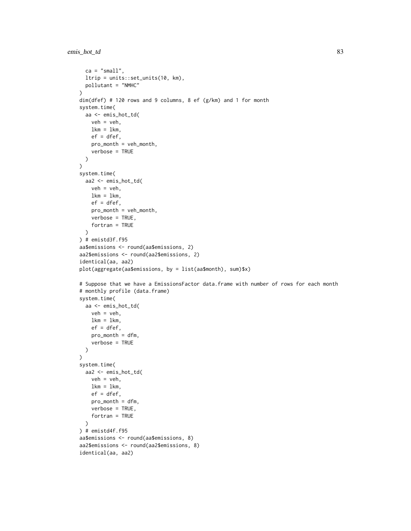```
ca = "small",ltrip = units::set_units(10, km),
  pollutant = "NMHC"
\mathcal{L}dim(dfef) # 120 rows and 9 columns, 8 ef (g/km) and 1 for month
system.time(
  aa <- emis_hot_td(
    veh = veh,lkm = 1km,
    ef = dfef,
    pro_month = veh_month,
    verbose = TRUE
  )
\mathcal{L}system.time(
 aa2 <- emis_hot_td(
   veh = veh,lkm = lkm,ef = dfef,
    pro_month = veh_month,
    verbose = TRUE,
    fortran = TRUE
 )
) # emistd3f.f95
aa$emissions <- round(aa$emissions, 2)
aa2$emissions <- round(aa2$emissions, 2)
identical(aa, aa2)
plot(aggregate(aa$emissions, by = list(aa$month), sum)$x)
# Suppose that we have a EmissionsFactor data.frame with number of rows for each month
# monthly profile (data.frame)
system.time(
  aa <- emis_hot_td(
    veh = veh,lkm = 1km,
    ef = dfef,
    pro_month = dfm,
    verbose = TRUE
  )
\mathcal{L}system.time(
  aa2 <- emis_hot_td(
    veh = veh,lkm = lkm,ef = dfef,
    pro_month = dfm,
    verbose = TRUE,
    fortran = TRUE
  \lambda) # emistd4f.f95
aa$emissions <- round(aa$emissions, 8)
aa2$emissions <- round(aa2$emissions, 8)
identical(aa, aa2)
```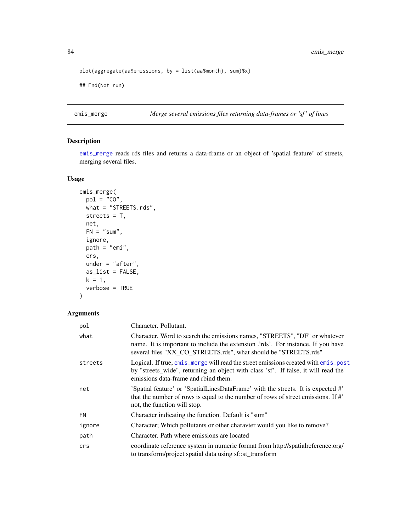```
plot(aggregate(aa$emissions, by = list(aa$month), sum)$x)
## End(Not run)
```
<span id="page-83-0"></span>emis\_merge *Merge several emissions files returning data-frames or 'sf ' of lines*

## Description

[emis\\_merge](#page-83-0) reads rds files and returns a data-frame or an object of 'spatial feature' of streets, merging several files.

## Usage

```
emis_merge(
 pol = "CO",what = "STREETS.rds",
  streets = T,
 net,
 FN = "sum",ignore,
 path = "emi",crs,
 under = "after",
 as_list = FALSE,
 k = 1,verbose = TRUE
```
# )

| pol       | Character. Pollutant.                                                                                                                                                                                                                      |
|-----------|--------------------------------------------------------------------------------------------------------------------------------------------------------------------------------------------------------------------------------------------|
| what      | Character. Word to search the emissions names, "STREETS", "DF" or whatever<br>name. It is important to include the extension <i>compare</i> . For instance, If you have<br>several files "XX_CO_STREETS.rds", what should be "STREETS.rds" |
| streets   | Logical. If true, emis_merge will read the street emissions created with emis_post<br>by "streets_wide", returning an object with class 'sf'. If false, it will read the<br>emissions data-frame and rhind them.                           |
| net       | 'Spatial feature' or 'SpatialLinesDataFrame' with the streets. It is expected #'<br>that the number of rows is equal to the number of rows of street emissions. If #'<br>not, the function will stop.                                      |
| <b>FN</b> | Character indicating the function. Default is "sum"                                                                                                                                                                                        |
| ignore    | Character; Which pollutants or other charavter would you like to remove?                                                                                                                                                                   |
| path      | Character. Path where emissions are located                                                                                                                                                                                                |
| crs       | coordinate reference system in numeric format from http://spatialreference.org/<br>to transform/project spatial data using sf::st_transform                                                                                                |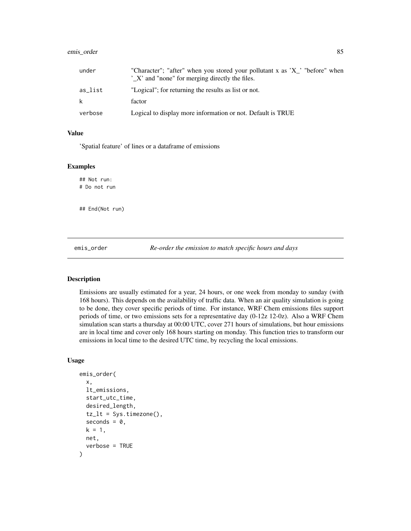## emis\_order 85

| under   | "Character"; "after" when you stored your pollutant x as 'X'' "before" when<br>'X' and "none" for merging directly the files. |
|---------|-------------------------------------------------------------------------------------------------------------------------------|
| as list | "Logical"; for returning the results as list or not.                                                                          |
| k       | factor                                                                                                                        |
| verbose | Logical to display more information or not. Default is TRUE                                                                   |

## Value

'Spatial feature' of lines or a dataframe of emissions

### Examples

## Not run: # Do not run

## End(Not run)

emis\_order *Re-order the emission to match specific hours and days*

## Description

Emissions are usually estimated for a year, 24 hours, or one week from monday to sunday (with 168 hours). This depends on the availability of traffic data. When an air quality simulation is going to be done, they cover specific periods of time. For instance, WRF Chem emissions files support periods of time, or two emissions sets for a representative day (0-12z 12-0z). Also a WRF Chem simulation scan starts a thursday at 00:00 UTC, cover 271 hours of simulations, but hour emissions are in local time and cover only 168 hours starting on monday. This function tries to transform our emissions in local time to the desired UTC time, by recycling the local emissions.

#### Usage

```
emis_order(
  x,
  lt_emissions,
  start_utc_time,
  desired_length,
  tz_l = Sys.timezone(),
  seconds = 0,k = 1,
 net,
  verbose = TRUE
)
```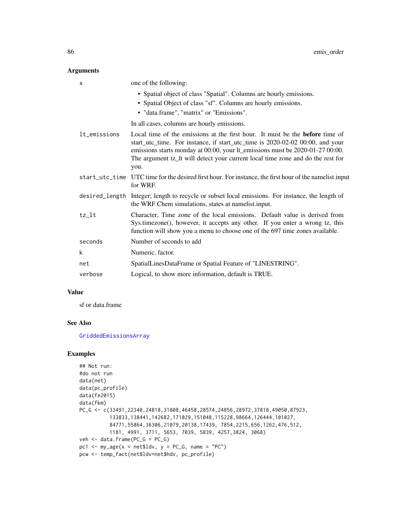## Arguments

| X            | one of the following:                                                                                                                                                                                                                                                                                                                            |
|--------------|--------------------------------------------------------------------------------------------------------------------------------------------------------------------------------------------------------------------------------------------------------------------------------------------------------------------------------------------------|
|              | • Spatial object of class "Spatial". Columns are hourly emissions.<br>• Spatial Object of class "sf". Columns are hourly emissions.<br>• "data.frame", "matrix" or "Emissions".                                                                                                                                                                  |
|              | In all cases, columns are hourly emissions.                                                                                                                                                                                                                                                                                                      |
| lt_emissions | Local time of the emissions at the first hour. It must be the <b>before</b> time of<br>start_utc_time. For instance, if start_utc_time is 2020-02-02 00:00, and your<br>emissions starts monday at 00:00, your lt_emissions must be 2020-01-27 00:00.<br>The argument tz_lt will detect your current local time zone and do the rest for<br>you. |
|              | start_utc_time UTC time for the desired first hour. For instance, the first hour of the namelist.input<br>for WRF.                                                                                                                                                                                                                               |
|              | desired_length Integer; length to recycle or subset local emissions. For instance, the length of<br>the WRF Chem simulations, states at namelist.input.                                                                                                                                                                                          |
| tz_lt        | Character, Time zone of the local emissions. Default value is derived from<br>Sys.timezone(), however, it accepts any other. If you enter a wrong tz, this<br>function will show you a menu to choose one of the 697 time zones available.                                                                                                       |
| seconds      | Number of seconds to add                                                                                                                                                                                                                                                                                                                         |
| k            | Numeric, factor.                                                                                                                                                                                                                                                                                                                                 |
| net          | SpatialLinesDataFrame or Spatial Feature of "LINESTRING".                                                                                                                                                                                                                                                                                        |
| verbose      | Logical, to show more information, default is TRUE.                                                                                                                                                                                                                                                                                              |

## Value

sf or data.frame

## See Also

[GriddedEmissionsArray](#page-97-0)

```
## Not run:
#do not run
data(net)
data(pc_profile)
data(fe2015)
data(fkm)
PC_G <- c(33491,22340,24818,31808,46458,28574,24856,28972,37818,49050,87923,
          133833,138441,142682,171029,151048,115228,98664,126444,101027,
          84771,55864,36306,21079,20138,17439, 7854,2215,656,1262,476,512,
          1181, 4991, 3711, 5653, 7039, 5839, 4257,3824, 3068)
veh <- data.frame(PC_G = PC_G)
pc1 <- my\_{age}(x = net$1dv, y = PC_G, name = "PC")pcw <- temp_fact(net$ldv+net$hdv, pc_profile)
```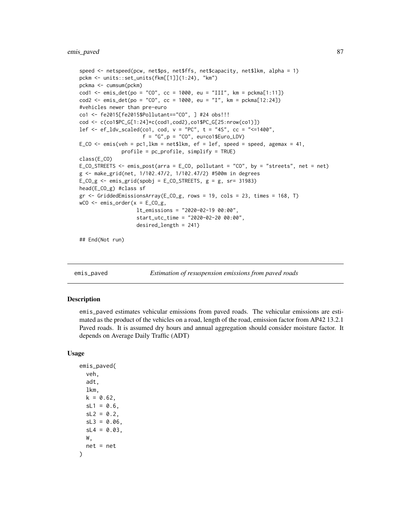```
speed <- netspeed(pcw, net$ps, net$ffs, net$capacity, net$lkm, alpha = 1)
pckm <- units::set_units(fkm[[1]](1:24), "km")
pckma <- cumsum(pckm)
cod1 \le emis_det(po = "CO", cc = 1000, eu = "III", km = pckma[1:11])
cod2 \le - emis_det(po = "CO", cc = 1000, eu = "I", km = pckma[12:24])
#vehicles newer than pre-euro
co1 <- fe2015[fe2015$Pollutant=="CO", ] #24 obs!!!
cod <- c(co1$PC_G[1:24]*c(cod1,cod2),co1$PC_G[25:nrow(co1)])
lef \leq ef_ldv_scaled(co1, cod, v = "PC", t = "4S", cc = "<=1400",f = "G", p = "CO", eu=co1$Euro_LDV)E_{C}CO <- emis(veh = pc1,1km = net$1km, ef = lef, speed = speed, agemax = 41,
              profile = pc_profile, simplify = TRUE)
class(E_CO)
E_CO_STREETS <- emis_post(arra = E_CO, pollutant = "CO", by = "streets", net = net)
g <- make_grid(net, 1/102.47/2, 1/102.47/2) #500m in degrees
E_{C}O_{g} <- emis_grid(spobj = E_{C}O_{g}STREETS, g = g, sr= 31983)
head(E_CO_g) #class sf
gr <- GriddedEmissionsArray(E_CO_g, rows = 19, cols = 23, times = 168, T)
wCO \le - emis_order(x = ECO-g,
                   lt_emissions = "2020-02-19 00:00",
                   start_utc_time = "2020-02-20 00:00",
                   desired_length = 241)
```
## End(Not run)

emis\_paved *Estimation of resuspension emissions from paved roads*

#### Description

emis\_paved estimates vehicular emissions from paved roads. The vehicular emissions are estimated as the product of the vehicles on a road, length of the road, emission factor from AP42 13.2.1 Paved roads. It is assumed dry hours and annual aggregation should consider moisture factor. It depends on Average Daily Traffic (ADT)

#### Usage

```
emis_paved(
  veh,
  adt,
  lkm,
  k = 0.62,
  sL1 = 0.6,
  sL2 = 0.2,
  sL3 = 0.06,
  sL4 = 0.03,
 W,
  net = net
)
```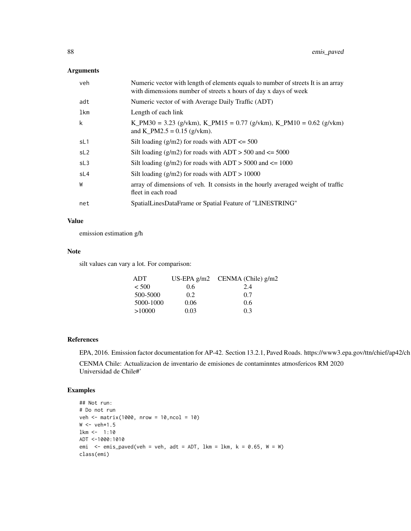## Arguments

| veh             | Numeric vector with length of elements equals to number of streets It is an array<br>with dimensions number of streets x hours of day x days of week |
|-----------------|------------------------------------------------------------------------------------------------------------------------------------------------------|
| adt             | Numeric vector of with Average Daily Traffic (ADT)                                                                                                   |
| lkm             | Length of each link                                                                                                                                  |
| k               | K_PM30 = 3.23 (g/vkm), K_PM15 = 0.77 (g/vkm), K_PM10 = 0.62 (g/vkm)<br>and K PM2.5 = $0.15$ (g/vkm).                                                 |
| sL1             | Silt loading $(g/m2)$ for roads with ADT $\leq 500$                                                                                                  |
| SL <sub>2</sub> | Silt loading $(g/m2)$ for roads with ADT > 500 and $\leq$ 5000                                                                                       |
| SL <sub>3</sub> | Silt loading ( $g/m2$ ) for roads with ADT > 5000 and $\leq$ 1000                                                                                    |
| sL4             | Silt loading $(g/m2)$ for roads with $ADT > 10000$                                                                                                   |
| W               | array of dimensions of veh. It consists in the hourly averaged weight of traffic<br>fleet in each road                                               |
| net             | SpatialLinesDataFrame or Spatial Feature of "LINESTRING"                                                                                             |

## Value

emission estimation g/h

#### Note

silt values can vary a lot. For comparison:

| <b>ADT</b> |      | US-EPA $g/m2$ CENMA (Chile) $g/m2$ |
|------------|------|------------------------------------|
| $<$ 500    | 0.6  | 2.4                                |
| 500-5000   | 0.2  | 0.7                                |
| 5000-1000  | 0.06 | 0.6                                |
| >10000     | 0.03 | 0.3                                |

## References

EPA, 2016. Emission factor documentation for AP-42. Section 13.2.1, Paved Roads. https://www3.epa.gov/ttn/chief/ap42/ch

CENMA Chile: Actualizacion de inventario de emisiones de contaminntes atmosfericos RM 2020 Universidad de Chile#'

```
## Not run:
# Do not run
veh <- matrix(1000, nrow = 10,ncol = 10)
W < - veh*1.5
lkm <- 1:10
ADT <-1000:1010
emi \le emis_paved(veh = veh, adt = ADT, lkm = lkm, k = 0.65, W = W)
class(emi)
```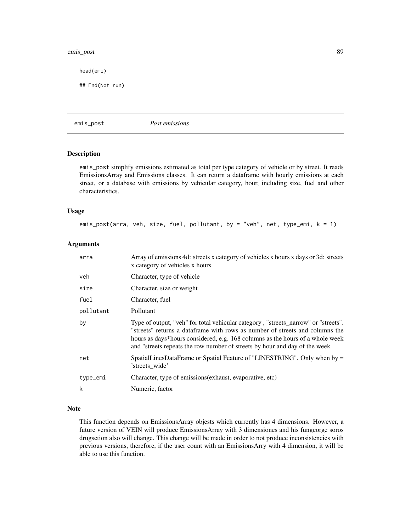#### emis\_post 89

head(emi)

## End(Not run)

<span id="page-88-0"></span>emis\_post *Post emissions*

#### Description

emis\_post simplify emissions estimated as total per type category of vehicle or by street. It reads EmissionsArray and Emissions classes. It can return a dataframe with hourly emissions at each street, or a database with emissions by vehicular category, hour, including size, fuel and other characteristics.

## Usage

emis\_post(arra, veh, size, fuel, pollutant, by = "veh", net, type\_emi,  $k = 1$ )

#### Arguments

| arra      | Array of emissions 4d: streets x category of vehicles x hours x days or 3d: streets<br>x category of vehicles x hours                                                                                                                                                                                                             |
|-----------|-----------------------------------------------------------------------------------------------------------------------------------------------------------------------------------------------------------------------------------------------------------------------------------------------------------------------------------|
| veh.      | Character, type of vehicle                                                                                                                                                                                                                                                                                                        |
| size      | Character, size or weight                                                                                                                                                                                                                                                                                                         |
| fuel      | Character, fuel                                                                                                                                                                                                                                                                                                                   |
| pollutant | Pollutant                                                                                                                                                                                                                                                                                                                         |
| by        | Type of output, "veh" for total vehicular category, "streets_narrow" or "streets".<br>"streets" returns a dataframe with rows as number of streets and columns the<br>hours as days*hours considered, e.g. 168 columns as the hours of a whole week<br>and "streets repeats the row number of streets by hour and day of the week |
| net       | SpatialLinesDataFrame or Spatial Feature of "LINESTRING". Only when by =<br>'streets wide'                                                                                                                                                                                                                                        |
| type_emi  | Character, type of emissions (exhaust, evaporative, etc)                                                                                                                                                                                                                                                                          |
| k         | Numeric, factor                                                                                                                                                                                                                                                                                                                   |
|           |                                                                                                                                                                                                                                                                                                                                   |

## Note

This function depends on EmissionsArray objests which currently has 4 dimensions. However, a future version of VEIN will produce EmissionsArray with 3 dimensiones and his fungeorge soros drugsction also will change. This change will be made in order to not produce inconsistencies with previous versions, therefore, if the user count with an EmissionsArry with 4 dimension, it will be able to use this function.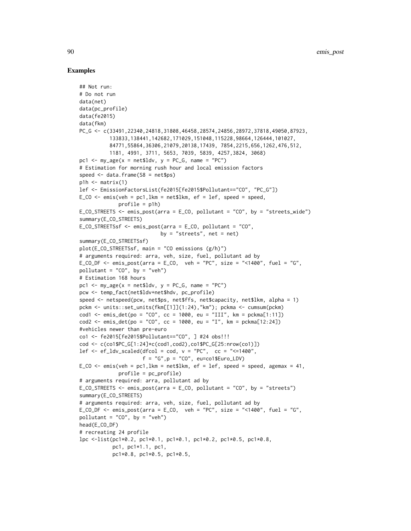```
## Not run:
# Do not run
data(net)
data(pc_profile)
data(fe2015)
data(fkm)
PC_G <- c(33491,22340,24818,31808,46458,28574,24856,28972,37818,49050,87923,
          133833,138441,142682,171029,151048,115228,98664,126444,101027,
          84771,55864,36306,21079,20138,17439, 7854,2215,656,1262,476,512,
          1181, 4991, 3711, 5653, 7039, 5839, 4257,3824, 3068)
pc1 \leq my_age(x = net$ldv, y = PC_G, name = "PC")
# Estimation for morning rush hour and local emission factors
speed \leq data.frame(S8 = net$ps)
p1h \leq - matrix(1)
lef <- EmissionFactorsList(fe2015[fe2015$Pollutant=="CO", "PC_G"])
E_{C}CO <- emis(veh = pc1,1km = net$1km, ef = lef, speed = speed,
             profile = p1h)
E\_CO\_SIREETS \le - emis_post(arra = E\_CO, pollutant = "CO", by = "streets_wide")
summary(E_CO_STREETS)
E_CO_STREETSsf <- emis_post(arra = E_CO, pollutant = "CO",
                           by = "streets", net = net)
summary(E_CO_STREETSsf)
plot(E_CO_STREETSsf, main = "CO emissions (g/h)")
# arguments required: arra, veh, size, fuel, pollutant ad by
E_CO_DF \le - emis_post(arra = E_CO, veh = "PC", size = "<1400", fuel = "G",
pollutant = "CO", by = "veh")
# Estimation 168 hours
pc1 \leq my_age(x = net$ldv, y = PC_G, name = "PC")
pcw <- temp_fact(net$ldv+net$hdv, pc_profile)
speed <- netspeed(pcw, net$ps, net$ffs, net$capacity, net$lkm, alpha = 1)
pckm <- units::set_units(fkm[[1]](1:24),"km"); pckma <- cumsum(pckm)
cod1 <- emis_det(po = "CO", cc = 1000, eu = "III", km = pckma[1:11])
\text{cod2} \leq \text{emis}\_det(\text{po} = \text{"CO", cc} = 1000, \text{eu} = \text{"I", km} = \text{pckm}[12:24])#vehicles newer than pre-euro
co1 <- fe2015[fe2015$Pollutant=="CO", ] #24 obs!!!
cod <- c(co1$PC_G[1:24]*c(cod1,cod2),co1$PC_G[25:nrow(co1)])
lef \le ef_ldv_scaled(dfcol = cod, v = "PC", cc = "\le=1400",
                      f = "G", p = "CO", eu=co1$Euro_LDV)E_CO \leq emis(veh = pc1, lkm = net$lkm, ef = lef, speed = speed, agemax = 41,
             profile = pc_profile)
# arguments required: arra, pollutant ad by
E_CO_STREETS <- emis_post(arra = E_CO, pollutant = "CO", by = "streets")
summary(E_CO_STREETS)
# arguments required: arra, veh, size, fuel, pollutant ad by
E_CO_DF <- emis_post(arra = E_CO, veh = "PC", size = "<1400", fuel = "G",
pollutant = "CO", by = "veh")
head(E_CO_DF)
# recreating 24 profile
lpc <-list(pc1*0.2, pc1*0.1, pc1*0.1, pc1*0.2, pc1*0.5, pc1*0.8,
           pc1, pc1*1.1, pc1,
           pc1*0.8, pc1*0.5, pc1*0.5,
```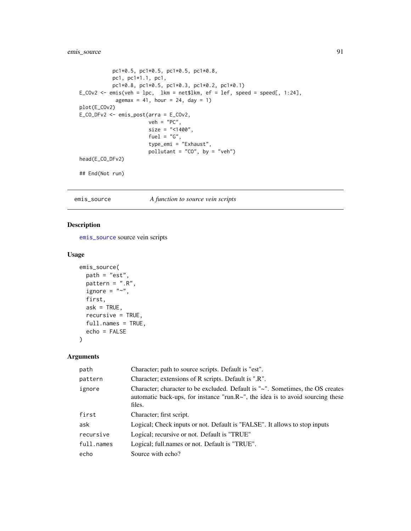## emis\_source 91

```
pc1*0.5, pc1*0.5, pc1*0.5, pc1*0.8,
          pc1, pc1*1.1, pc1,
          pc1*0.8, pc1*0.5, pc1*0.3, pc1*0.2, pc1*0.1)
E_COv2 <- emis(veh = lpc, lkm = net$lkm, ef = lef, speed = speed[, 1:24],
           agemax = 41, hour = 24, day = 1)
plot(E_COv2)
E_CO_DFv2 <- emis_post(arra = E_COv2,
                      veh = "PC",size = "<1400",
                      fuel = "G",type_emi = "Exhaust",
                      pollutant = "CO", by = "veh")head(E_CO_DFv2)
## End(Not run)
```
<span id="page-90-0"></span>emis\_source *A function to source vein scripts*

## Description

[emis\\_source](#page-90-0) source vein scripts

## Usage

```
emis_source(
 path = "est",
 pattern = ".R",
 ignore = "~,
 first,
 ask = TRUE,recursive = TRUE,
 full.names = TRUE,
 echo = FALSE
)
```

| path       | Character; path to source scripts. Default is "est".                                                                                                                              |
|------------|-----------------------------------------------------------------------------------------------------------------------------------------------------------------------------------|
| pattern    | Character; extensions of R scripts. Default is ".R".                                                                                                                              |
| ignore     | Character; character to be excluded. Default is "~". Sometimes, the OS creates<br>automatic back-ups, for instance "run. $R\sim$ ", the idea is to avoid sourcing these<br>files. |
| first      | Character; first script.                                                                                                                                                          |
| ask        | Logical; Check inputs or not. Default is "FALSE". It allows to stop inputs                                                                                                        |
| recursive  | Logical; recursive or not. Default is "TRUE"                                                                                                                                      |
| full.names | Logical; full.names or not. Default is "TRUE".                                                                                                                                    |
| echo       | Source with echo?                                                                                                                                                                 |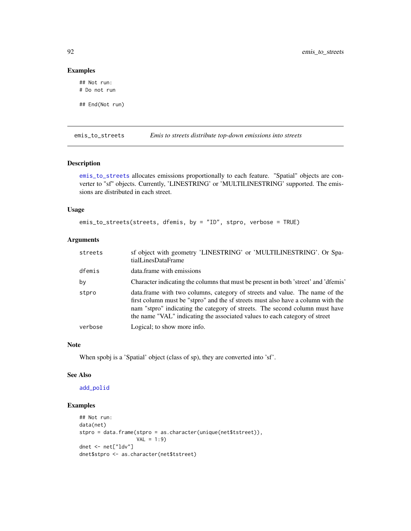## Examples

## Not run: # Do not run

## End(Not run)

<span id="page-91-0"></span>emis\_to\_streets *Emis to streets distribute top-down emissions into streets*

## Description

[emis\\_to\\_streets](#page-91-0) allocates emissions proportionally to each feature. "Spatial" objects are converter to "sf" objects. Currently, 'LINESTRING' or 'MULTILINESTRING' supported. The emissions are distributed in each street.

## Usage

emis\_to\_streets(streets, dfemis, by = "ID", stpro, verbose = TRUE)

## Arguments

| streets | sf object with geometry 'LINESTRING' or 'MULTILINESTRING'. Or Spa-<br>tialLinesDataFrame                                                                                                                                                                                                                                     |
|---------|------------------------------------------------------------------------------------------------------------------------------------------------------------------------------------------------------------------------------------------------------------------------------------------------------------------------------|
| dfemis  | data.frame with emissions                                                                                                                                                                                                                                                                                                    |
| by      | Character indicating the columns that must be present in both 'street' and 'dfemis'                                                                                                                                                                                                                                          |
| stpro   | data.frame with two columns, category of streets and value. The name of the<br>first column must be "stpro" and the sf streets must also have a column with the<br>nam "stpro" indicating the category of streets. The second column must have<br>the name "VAL" indicating the associated values to each category of street |
| verbose | Logical; to show more info.                                                                                                                                                                                                                                                                                                  |

## Note

When spobj is a 'Spatial' object (class of sp), they are converted into 'sf'.

#### See Also

[add\\_polid](#page-4-0)

```
## Not run:
data(net)
stpro = data.frame(stpro = as.character(unique(net$tstreet)),
                  VAL = 1:9dnet <- net["ldv"]
dnet$stpro <- as.character(net$tstreet)
```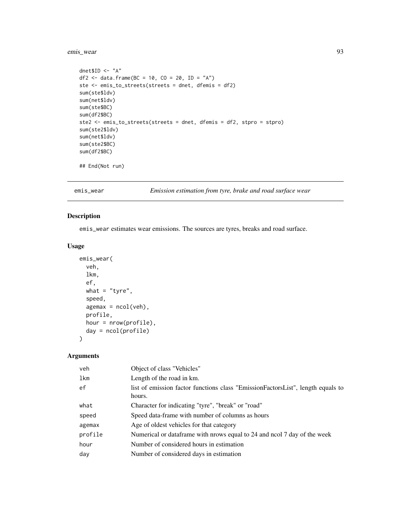## emis\_wear 93

```
dnet$ID <- "A"
df2 <- data.frame(BC = 10, CO = 20, ID = "A")
ste <- emis_to_streets(streets = dnet, dfemis = df2)
sum(ste$ldv)
sum(net$ldv)
sum(ste$BC)
sum(df2$BC)
ste2 <- emis_to_streets(streets = dnet, dfemis = df2, stpro = stpro)
sum(ste2$ldv)
sum(net$ldv)
sum(ste2$BC)
sum(df2$BC)
```
## End(Not run)

emis\_wear *Emission estimation from tyre, brake and road surface wear*

### Description

emis\_wear estimates wear emissions. The sources are tyres, breaks and road surface.

### Usage

```
emis_wear(
  veh,
  lkm,
  ef,
  what = "tyre",
  speed,
  agemax = ncol(veh),
  profile,
  hour = nrow(profile),
  day = ncol(profile)
\mathcal{L}
```

| veh     | Object of class "Vehicles"                                                                |
|---------|-------------------------------------------------------------------------------------------|
| lkm     | Length of the road in km.                                                                 |
| ef      | list of emission factor functions class "EmissionFactorsList", length equals to<br>hours. |
| what    | Character for indicating "tyre", "break" or "road"                                        |
| speed   | Speed data-frame with number of columns as hours                                          |
| agemax  | Age of oldest vehicles for that category                                                  |
| profile | Numerical or dataframe with prows equal to 24 and nool 7 day of the week                  |
| hour    | Number of considered hours in estimation                                                  |
| day     | Number of considered days in estimation                                                   |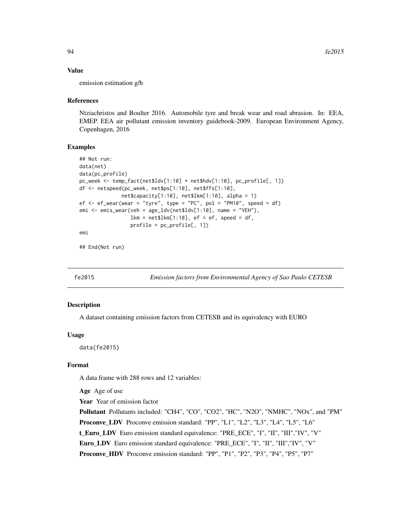#### Value

emission estimation g/h

#### References

Ntziachristos and Boulter 2016. Automobile tyre and break wear and road abrasion. In: EEA, EMEP. EEA air pollutant emission inventory guidebook-2009. European Environment Agency, Copenhagen, 2016

## Examples

```
## Not run:
data(net)
data(pc_profile)
pc_week <- temp_fact(net$ldv[1:10] + net$hdv[1:10], pc_profile[, 1])
df <- netspeed(pc_week, net$ps[1:10], net$ffs[1:10],
              net$capacity[1:10], net$lkm[1:10], alpha = 1)
ef \leq ef_wear(wear = "tyre", type = "PC", pol = "PM10", speed = df)
emi <- emis_wear(veh = age_ldv(net$ldv[1:10], name = "VEH"),
                 lkm = net$lkm[1:10], ef = ef, speed = df,profile = pc_profile[, 1])
emi
```
## End(Not run)

fe2015 *Emission factors from Environmental Agency of Sao Paulo CETESB*

#### **Description**

A dataset containing emission factors from CETESB and its equivalency with EURO

#### Usage

data(fe2015)

## Format

A data frame with 288 rows and 12 variables:

Age Age of use

Year Year of emission factor

Pollutant Pollutants included: "CH4", "CO", "CO2", "HC", "N2O", "NMHC", "NOx", and "PM" Proconve\_LDV Proconve emission standard: "PP", "L1", "L2", "L3", "L4", "L5", "L6" t\_Euro\_LDV Euro emission standard equivalence: "PRE\_ECE", "I", "II", "III","IV", "V" Euro\_LDV Euro emission standard equivalence: "PRE\_ECE", "I", "II", "III","IV", "V" Proconve\_HDV Proconve emission standard: "PP", "P1", "P2", "P3", "P4", "P5", "P7"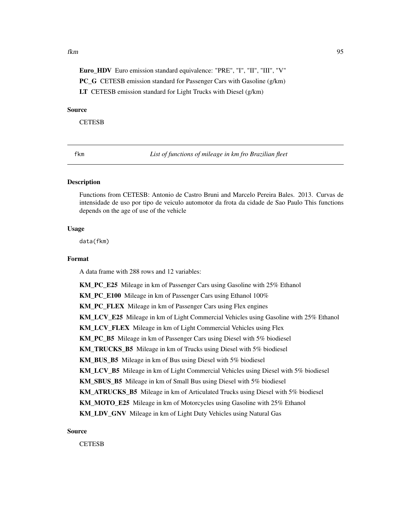#### fkm 35

Euro\_HDV Euro emission standard equivalence: "PRE", "I", "II", "III", "V" PC\_G CETESB emission standard for Passenger Cars with Gasoline (g/km) LT CETESB emission standard for Light Trucks with Diesel (g/km)

#### Source

**CETESB** 

fkm *List of functions of mileage in km fro Brazilian fleet*

## Description

Functions from CETESB: Antonio de Castro Bruni and Marcelo Pereira Bales. 2013. Curvas de intensidade de uso por tipo de veiculo automotor da frota da cidade de Sao Paulo This functions depends on the age of use of the vehicle

### Usage

data(fkm)

## Format

A data frame with 288 rows and 12 variables:

KM\_PC\_E25 Mileage in km of Passenger Cars using Gasoline with 25% Ethanol KM PC E100 Mileage in km of Passenger Cars using Ethanol 100% KM\_PC\_FLEX Mileage in km of Passenger Cars using Flex engines KM\_LCV\_E25 Mileage in km of Light Commercial Vehicles using Gasoline with 25% Ethanol KM\_LCV\_FLEX Mileage in km of Light Commercial Vehicles using Flex KM\_PC\_B5 Mileage in km of Passenger Cars using Diesel with 5% biodiesel KM\_TRUCKS\_B5 Mileage in km of Trucks using Diesel with 5% biodiesel KM\_BUS\_B5 Mileage in km of Bus using Diesel with 5% biodiesel KM\_LCV\_B5 Mileage in km of Light Commercial Vehicles using Diesel with 5% biodiesel KM\_SBUS\_B5 Mileage in km of Small Bus using Diesel with 5% biodiesel KM\_ATRUCKS\_B5 Mileage in km of Articulated Trucks using Diesel with 5% biodiesel KM\_MOTO\_E25 Mileage in km of Motorcycles using Gasoline with 25% Ethanol KM\_LDV\_GNV\_Mileage in km of Light Duty Vehicles using Natural Gas

Source

**CETESB**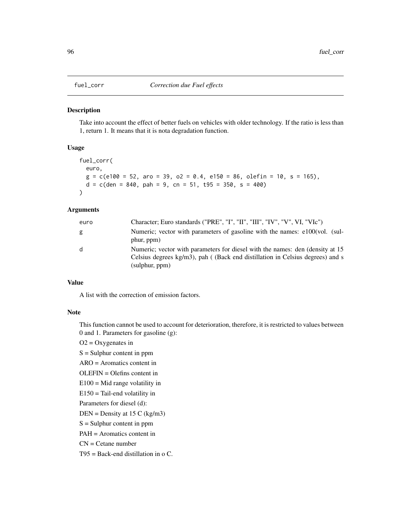## Description

Take into account the effect of better fuels on vehicles with older technology. If the ratio is less than 1, return 1. It means that it is nota degradation function.

## Usage

```
fuel_corr(
  euro,
  g = c(e100 = 52, aro = 39, o2 = 0.4, e150 = 86, oleft in = 10, s = 165),d = c(den = 840, pah = 9, cn = 51, t95 = 350, s = 400)\lambda
```
## Arguments

| euro | Character; Euro standards ("PRE", "I", "II", "III", "IV", "V", VI, "VIc")                                                                                                          |
|------|------------------------------------------------------------------------------------------------------------------------------------------------------------------------------------|
| g    | Numeric; vector with parameters of gasoline with the names: e100(vol. (sul-<br>phur, ppm)                                                                                          |
| d    | Numeric; vector with parameters for diesel with the names: den (density at 15)<br>Celsius degrees $kg/m3$ , pah (Back end distillation in Celsius degrees) and s<br>(sulphur, ppm) |

## Value

A list with the correction of emission factors.

#### Note

This function cannot be used to account for deterioration, therefore, it is restricted to values between 0 and 1. Parameters for gasoline (g):

 $O2 = Oxy$ genates in

 $S =$  Sulphur content in ppm

ARO = Aromatics content in

OLEFIN = Olefins content in

 $E100 = Mid range volatility in$ 

 $E150$  = Tail-end volatility in

Parameters for diesel (d):

 $DEN = Density at 15 C (kg/m3)$ 

S = Sulphur content in ppm

PAH = Aromatics content in

 $CN =$ Cetane number

T95 = Back-end distillation in o C.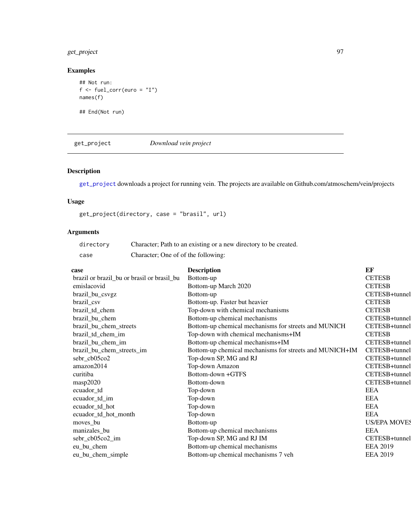# get\_project 97

# Examples

```
## Not run:
f \leftarrow \text{fuel\_corr}(\text{euro} = "I")names(f)
```
## End(Not run)

<span id="page-96-0"></span>get\_project *Download vein project*

# Description

[get\\_project](#page-96-0) downloads a project for running vein. The projects are available on Github.com/atmoschem/vein/projects

## Usage

get\_project(directory, case = "brasil", url)

| directory | Character; Path to an existing or a new directory to be created. |
|-----------|------------------------------------------------------------------|
| case      | Character; One of of the following:                              |

| case                                       | <b>Description</b>                                      | EF                  |
|--------------------------------------------|---------------------------------------------------------|---------------------|
| brazil or brazil_bu or brasil or brasil_bu | Bottom-up                                               | <b>CETESB</b>       |
| emislacovid                                | Bottom-up March 2020                                    | <b>CETESB</b>       |
| brazil_bu_csvgz                            | Bottom-up                                               | CETESB+tunnel       |
| brazil_csv                                 | Bottom-up. Faster but heavier                           | <b>CETESB</b>       |
| brazil_td_chem                             | Top-down with chemical mechanisms                       | <b>CETESB</b>       |
| brazil_bu_chem                             | Bottom-up chemical mechanisms                           | CETESB+tunnel       |
| brazil_bu_chem_streets                     | Bottom-up chemical mechanisms for streets and MUNICH    | CETESB+tunnel       |
| brazil_td_chem_im                          | Top-down with chemical mechanisms+IM                    | <b>CETESB</b>       |
| brazil_bu_chem_im                          | Bottom-up chemical mechanisms+IM                        | CETESB+tunnel       |
| brazil_bu_chem_streets_im                  | Bottom-up chemical mechanisms for streets and MUNICH+IM | CETESB+tunnel       |
| sebr_cb05co2                               | Top-down SP, MG and RJ                                  | CETESB+tunnel       |
| amazon2014                                 | Top-down Amazon                                         | CETESB+tunnel       |
| curitiba                                   | Bottom-down +GTFS                                       | CETESB+tunnel       |
| masp2020                                   | Bottom-down                                             | CETESB+tunnel       |
| ecuador_td                                 | Top-down                                                | <b>EEA</b>          |
| ecuador_td_im                              | Top-down                                                | <b>EEA</b>          |
| ecuador_td_hot                             | Top-down                                                | <b>EEA</b>          |
| ecuador_td_hot_month                       | Top-down                                                | <b>EEA</b>          |
| moves bu                                   | Bottom-up                                               | <b>US/EPA MOVES</b> |
| manizales_bu                               | Bottom-up chemical mechanisms                           | <b>EEA</b>          |
| sebr_cb05co2_im                            | Top-down SP, MG and RJ IM                               | CETESB+tunnel       |
| eu bu chem                                 | Bottom-up chemical mechanisms                           | <b>EEA 2019</b>     |
| eu_bu_chem_simple                          | Bottom-up chemical mechanisms 7 veh                     | <b>EEA 2019</b>     |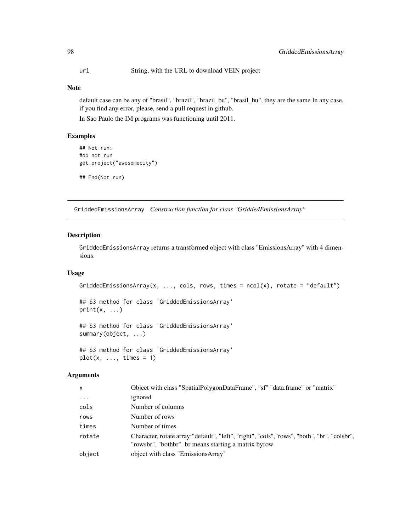url String, with the URL to download VEIN project

## Note

default case can be any of "brasil", "brazil", "brazil\_bu", "brasil\_bu", they are the same In any case, if you find any error, please, send a pull request in github.

In Sao Paulo the IM programs was functioning until 2011.

## Examples

```
## Not run:
#do not run
get_project("awesomecity")
```
## End(Not run)

<span id="page-97-0"></span>GriddedEmissionsArray *Construction function for class "GriddedEmissionsArray"*

#### Description

GriddedEmissionsArray returns a transformed object with class "EmissionsArray" with 4 dimensions.

## Usage

```
GriddedEmissionsArray(x, ..., cols, rows, times = ncol(x), rotate = "default")
```
## S3 method for class 'GriddedEmissionsArray'  $print(x, \ldots)$ 

## S3 method for class 'GriddedEmissionsArray' summary(object, ...)

## S3 method for class 'GriddedEmissionsArray'  $plot(x, ..., times = 1)$ 

| $\mathsf{x}$ | Object with class "SpatialPolygonDataFrame", "sf" "data.frame" or "matrix"                                                                           |
|--------------|------------------------------------------------------------------------------------------------------------------------------------------------------|
| $\ddots$     | ignored                                                                                                                                              |
| cols         | Number of columns                                                                                                                                    |
| rows         | Number of rows                                                                                                                                       |
| times        | Number of times                                                                                                                                      |
| rotate       | Character, rotate array: "default", "left", "right", "cols", "rows", "both", "br", "colsbr",<br>"rowsbr", "bothbr". br means starting a matrix byrow |
| object       | object with class "EmissionsArray"                                                                                                                   |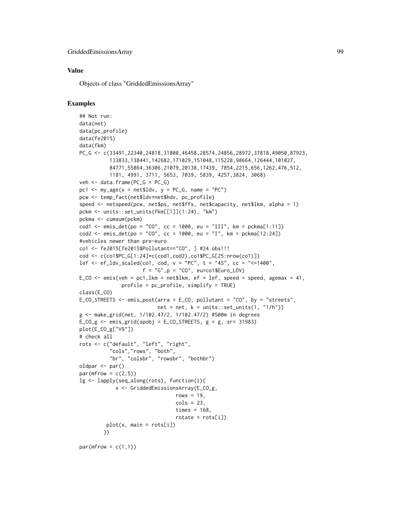#### Value

Objects of class "GriddedEmissionsArray"

## Examples

```
## Not run:
data(net)
data(pc_profile)
data(fe2015)
data(fkm)
PC_G <- c(33491,22340,24818,31808,46458,28574,24856,28972,37818,49050,87923,
          133833,138441,142682,171029,151048,115228,98664,126444,101027,
          84771,55864,36306,21079,20138,17439, 7854,2215,656,1262,476,512,
          1181, 4991, 3711, 5653, 7039, 5839, 4257,3824, 3068)
veh \leq data.frame(PC_G = PC_G)
pc1 <- my\_\text{age}(x = net$1dv, y = PC_G, name = "PC")pcw <- temp_fact(net$ldv+net$hdv, pc_profile)
speed <- netspeed(pcw, net$ps, net$ffs, net$capacity, net$lkm, alpha = 1)
pckm <- units::set_units(fkm[[1]](1:24), "km")
pckma <- cumsum(pckm)
cod1 <- emis_det(po = "CO", cc = 1000, eu = "III", km = pckma[1:11])
cod2 \le - \text{emis\_det}(po = "CO", cc = 1000, eu = "I", km = pckma[12:24])#vehicles newer than pre-euro
co1 <- fe2015[fe2015$Pollutant=="CO", ] #24 obs!!!
cod <- c(co1$PC_G[1:24]*c(cod1,cod2),co1$PC_G[25:nrow(co1)])
lef \leq ef_ldv_scaled(co1, cod, v = "PC", t = "4S", cc = "\leq1400",
                     f = "G", p = "CO", eu=co1$Euro_LDV)E_CO \leq emis(veh = pc1, lkm = net$lkm, ef = lef, speed = speed, agemax = 41,
              profile = pc_profile, simplify = TRUE)
class(E_CO)
E_CO_STREETS <- emis_post(arra = E_CO, pollutant = "CO", by = "streets",
                          net = net, k = units::set\_units(1, "1/h"))g <- make_grid(net, 1/102.47/2, 1/102.47/2) #500m in degrees
E_{C}O_{g} <- emis_grid(spobj = E_{C}O_{g}STREETS, g = g, sr= 31983)
plot(E_CO_g["V9"])
# check all
rots <- c("default", "left", "right",
          "cols","rows", "both",
          "br", "colsbr", "rowsbr", "bothbr")
oldpar <- par()
par(mfrow = c(2,5))lg <- lapply(seq_along(rots), function(i){
            x <- GriddedEmissionsArray(E_CO_g,
                                 rows = 19,
                                 cols = 23,
                                 times = 168,
                                 rotate = rots[i]plot(x, main = rots[i])})
```
 $par(mfrow = c(1,1))$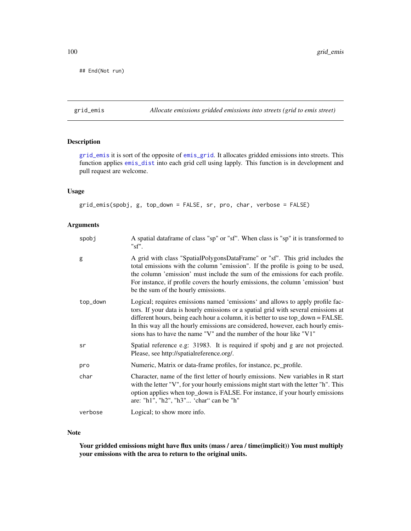## End(Not run)

<span id="page-99-0"></span>grid\_emis *Allocate emissions gridded emissions into streets (grid to emis street)*

## Description

[grid\\_emis](#page-99-0) it is sort of the opposite of [emis\\_grid](#page-76-0). It allocates gridded emissions into streets. This function applies [emis\\_dist](#page-71-0) into each grid cell using lapply. This function is in development and pull request are welcome.

## Usage

grid\_emis(spobj, g, top\_down = FALSE, sr, pro, char, verbose = FALSE)

## Arguments

| spobj    | A spatial dataframe of class "sp" or "sf". When class is "sp" it is transformed to<br>"sf'.                                                                                                                                                                                                                                                                                                                        |
|----------|--------------------------------------------------------------------------------------------------------------------------------------------------------------------------------------------------------------------------------------------------------------------------------------------------------------------------------------------------------------------------------------------------------------------|
| g        | A grid with class "SpatialPolygonsDataFrame" or "sf". This grid includes the<br>total emissions with the column "emission". If the profile is going to be used,<br>the column 'emission' must include the sum of the emissions for each profile.<br>For instance, if profile covers the hourly emissions, the column 'emission' bust<br>be the sum of the hourly emissions.                                        |
| top_down | Logical; requires emissions named 'emissions' and allows to apply profile fac-<br>tors. If your data is hourly emissions or a spatial grid with several emissions at<br>different hours, being each hour a column, it is better to use top_down = FALSE.<br>In this way all the hourly emissions are considered, however, each hourly emis-<br>sions has to have the name "V" and the number of the hour like "V1" |
| sr       | Spatial reference e.g: 31983. It is required if spobj and g are not projected.<br>Please, see http://spatialreference.org/.                                                                                                                                                                                                                                                                                        |
| pro      | Numeric, Matrix or data-frame profiles, for instance, pc_profile.                                                                                                                                                                                                                                                                                                                                                  |
| char     | Character, name of the first letter of hourly emissions. New variables in R start<br>with the letter "V", for your hourly emissions might start with the letter "h". This<br>option applies when top_down is FALSE. For instance, if your hourly emissions<br>are: "h1", "h2", "h3" 'char" can be "h"                                                                                                              |
| verbose  | Logical; to show more info.                                                                                                                                                                                                                                                                                                                                                                                        |

## Note

Your gridded emissions might have flux units (mass / area / time(implicit)) You must multiply your emissions with the area to return to the original units.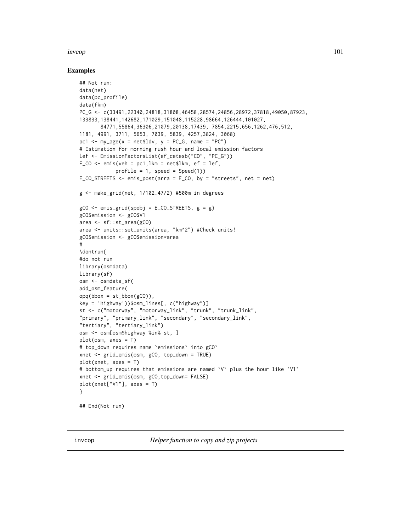#### invcop 101

#### Examples

```
## Not run:
data(net)
data(pc_profile)
data(fkm)
PC_G <- c(33491,22340,24818,31808,46458,28574,24856,28972,37818,49050,87923,
133833,138441,142682,171029,151048,115228,98664,126444,101027,
       84771,55864,36306,21079,20138,17439, 7854,2215,656,1262,476,512,
1181, 4991, 3711, 5653, 7039, 5839, 4257,3824, 3068)
pc1 <- my\_\text{age}(x = net$1dv, y = PC_G, name = "PC")# Estimation for morning rush hour and local emission factors
lef <- EmissionFactorsList(ef_cetesb("CO", "PC_G"))
E_{C}CO <- emis(veh = pc1, lkm = net$lkm, ef = lef,
            profile = 1, speed = Speed(1))
E_CO_STREETS \le emis_post(arra = E_CO, by = "streets", net = net)
g <- make_grid(net, 1/102.47/2) #500m in degrees
gCO \le - emis_grid(spobj = E_CO_STREETS, g = g)
gCO$emission <- gCO$V1
area <- sf::st_area(gCO)
area <- units::set_units(area, "km^2") #Check units!
gCO$emission <- gCO$emission*area
#
\dontrun{
#do not run
library(osmdata)
library(sf)
osm <- osmdata_sf(
add_osm_feature(
opq(bbox = st_bbox(gCO)),
key = 'highway'))$osm_lines[, c("highway")]
st <- c("motorway", "motorway_link", "trunk", "trunk_link",
"primary", "primary_link", "secondary", "secondary_link",
"tertiary", "tertiary_link")
osm <- osm[osm$highway %in% st, ]
plot(osm, axes = T)
# top_down requires name `emissions` into gCO`
xnet <- grid_emis(osm, gCO, top_down = TRUE)
plot(xnet, axes = T)
# bottom_up requires that emissions are named `V` plus the hour like `V1`
xnet <- grid_emis(osm, gCO,top_down= FALSE)
plot(xnet["V1"], axes = T)
}
## End(Not run)
```
invcop *Helper function to copy and zip projects*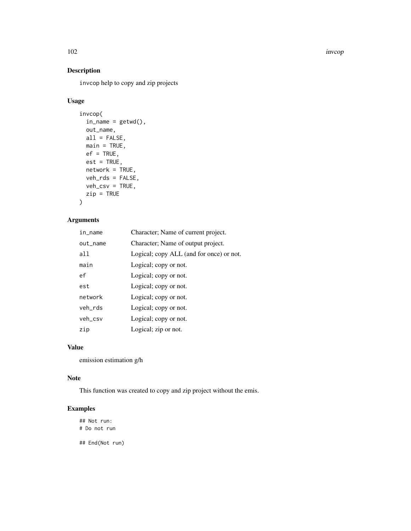102 invcop

# Description

invcop help to copy and zip projects

# Usage

```
invcop(
 in\_name = getwd(),
 out_name,
 all = FALSE,main = TRUE,ef = TRUE,est = TRUE,network = TRUE,
 veh_rds = FALSE,
 veh_csv = TRUE,
 zip = TRUE)
```
# Arguments

| in_name  | Character; Name of current project.      |
|----------|------------------------------------------|
| out_name | Character; Name of output project.       |
| all      | Logical; copy ALL (and for once) or not. |
| main     | Logical; copy or not.                    |
| ef       | Logical; copy or not.                    |
| est      | Logical; copy or not.                    |
| network  | Logical; copy or not.                    |
| veh_rds  | Logical; copy or not.                    |
| veh_csv  | Logical; copy or not.                    |
| zip      | Logical; zip or not.                     |

# Value

emission estimation g/h

## Note

This function was created to copy and zip project without the emis.

# Examples

## Not run: # Do not run

## End(Not run)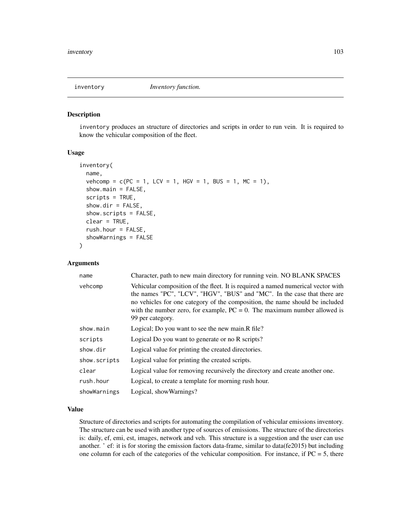#### Description

inventory produces an structure of directories and scripts in order to run vein. It is required to know the vehicular composition of the fleet.

#### Usage

```
inventory(
  name,
  vehcomp = c(PC = 1, LCV = 1, HGV = 1, BUS = 1, MC = 1),show.main = FALSE,
  scripts = TRUE,
  show-dir = FALSE,show.scripts = FALSE,
  clear = TRUE,
  rush.hour = FALSE,
  showWarnings = FALSE
)
```
#### Arguments

| name         | Character, path to new main directory for running vein. NO BLANK SPACES                                                                                                                                                                                                                                                                         |
|--------------|-------------------------------------------------------------------------------------------------------------------------------------------------------------------------------------------------------------------------------------------------------------------------------------------------------------------------------------------------|
| vehcomp      | Vehicular composition of the fleet. It is required a named numerical vector with<br>the names "PC", "LCV", "HGV", "BUS" and "MC". In the case that there are<br>no vehicles for one category of the composition, the name should be included<br>with the number zero, for example, $PC = 0$ . The maximum number allowed is<br>99 per category. |
| show.main    | Logical; Do you want to see the new main. R file?                                                                                                                                                                                                                                                                                               |
| scripts      | Logical Do you want to generate or no R scripts?                                                                                                                                                                                                                                                                                                |
| show.dir     | Logical value for printing the created directories.                                                                                                                                                                                                                                                                                             |
| show.scripts | Logical value for printing the created scripts.                                                                                                                                                                                                                                                                                                 |
| clear        | Logical value for removing recursively the directory and create another one.                                                                                                                                                                                                                                                                    |
| rush.hour    | Logical, to create a template for morning rush hour.                                                                                                                                                                                                                                                                                            |
| showWarnings | Logical, show Warnings?                                                                                                                                                                                                                                                                                                                         |

## Value

Structure of directories and scripts for automating the compilation of vehicular emissions inventory. The structure can be used with another type of sources of emissions. The structure of the directories is: daily, ef, emi, est, images, network and veh. This structure is a suggestion and the user can use another. ' ef: it is for storing the emission factors data-frame, similar to data(fe2015) but including one column for each of the categories of the vehicular composition. For instance, if  $PC = 5$ , there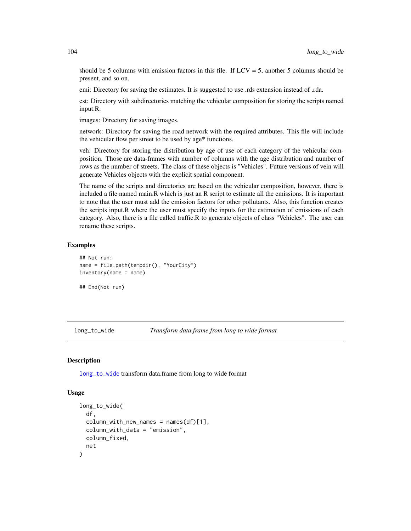should be 5 columns with emission factors in this file. If  $LCV = 5$ , another 5 columns should be present, and so on.

emi: Directory for saving the estimates. It is suggested to use .rds extension instead of .rda.

est: Directory with subdirectories matching the vehicular composition for storing the scripts named input.R.

images: Directory for saving images.

network: Directory for saving the road network with the required attributes. This file will include the vehicular flow per street to be used by age\* functions.

veh: Directory for storing the distribution by age of use of each category of the vehicular composition. Those are data-frames with number of columns with the age distribution and number of rows as the number of streets. The class of these objects is "Vehicles". Future versions of vein will generate Vehicles objects with the explicit spatial component.

The name of the scripts and directories are based on the vehicular composition, however, there is included a file named main.R which is just an R script to estimate all the emissions. It is important to note that the user must add the emission factors for other pollutants. Also, this function creates the scripts input.R where the user must specify the inputs for the estimation of emissions of each category. Also, there is a file called traffic.R to generate objects of class "Vehicles". The user can rename these scripts.

## Examples

```
## Not run:
name = file.path(tempdir(), "YourCity")
inventory(name = name)
```
## End(Not run)

<span id="page-103-0"></span>long\_to\_wide *Transform data.frame from long to wide format*

#### Description

[long\\_to\\_wide](#page-103-0) transform data.frame from long to wide format

#### Usage

```
long_to_wide(
  df,
  column\_with_new\_names = names(df)[1],column_with_data = "emission",
  column_fixed,
  net
)
```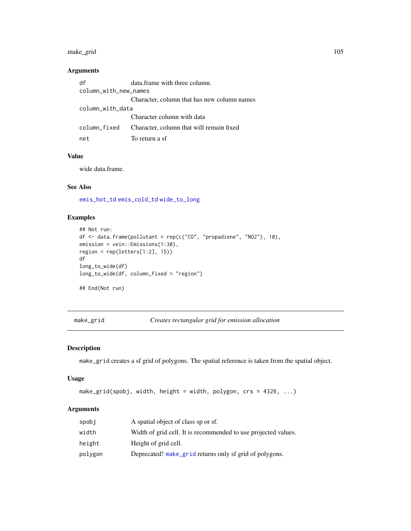## make\_grid 105

## Arguments

| df                    | data.frame with three column.               |  |
|-----------------------|---------------------------------------------|--|
| column_with_new_names |                                             |  |
|                       | Character, column that has new column names |  |
| column_with_data      |                                             |  |
|                       | Character column with data                  |  |
| column fixed          | Character, column that will remain fixed    |  |
| net                   | To return a sf                              |  |

## Value

wide data.frame.

# See Also

[emis\\_hot\\_td](#page-78-0) [emis\\_cold\\_td](#page-66-0) [wide\\_to\\_long](#page-134-0)

## Examples

```
## Not run:
df \le data.frame(pollutant = rep(c("CO", "propadiene", "NO2"), 10),
emission = vein::Emissions(1:30),
region = rep(leftters[1:2], 15))df
long_to_wide(df)
long_to_wide(df, column_fixed = "region")
```
## End(Not run)

<span id="page-104-0"></span>make\_grid *Creates rectangular grid for emission allocation*

## Description

make\_grid creates a sf grid of polygons. The spatial reference is taken from the spatial object.

#### Usage

```
make_grid(spobj, width, height = width, polygon, crs = 4326, ...)
```

| spobj   | A spatial object of class sp or sf.                            |
|---------|----------------------------------------------------------------|
| width   | Width of grid cell. It is recommended to use projected values. |
| height  | Height of grid cell.                                           |
| polvgon | Deprecated! make_grid returns only sf grid of polygons.        |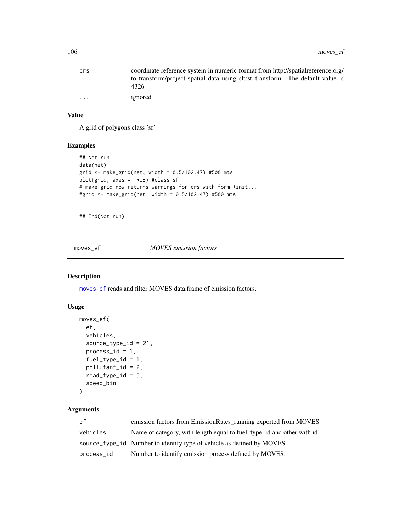| crs                     | coordinate reference system in numeric format from http://spatialreference.org/        |
|-------------------------|----------------------------------------------------------------------------------------|
|                         | to transform/project spatial data using sf::st_transform. The default value is<br>4326 |
| $\cdot$ $\cdot$ $\cdot$ | ignored                                                                                |

# Value

A grid of polygons class 'sf'

## Examples

```
## Not run:
data(net)
grid <- make_grid(net, width = 0.5/102.47) #500 mts
plot(grid, axes = TRUE) #class sf
# make grid now returns warnings for crs with form +init...
#grid <- make_grid(net, width = 0.5/102.47) #500 mts
```
## End(Not run)

<span id="page-105-0"></span>moves\_ef *MOVES emission factors*

# Description

[moves\\_ef](#page-105-0) reads and filter MOVES data.frame of emission factors.

## Usage

```
moves_ef(
  ef,
  vehicles,
  source_type_id = 21,
  process_id = 1,
  fuel_type_id = 1,
  pollutant_id = 2,
  road_type_id = 5,
  speed_bin
\mathcal{L}
```

| ef.        | emission factors from EmissionRates_running exported from MOVES        |
|------------|------------------------------------------------------------------------|
| vehicles   | Name of category, with length equal to fuel_type_id and other with id  |
|            | source_type_id Number to identify type of vehicle as defined by MOVES. |
| process_id | Number to identify emission process defined by MOVES.                  |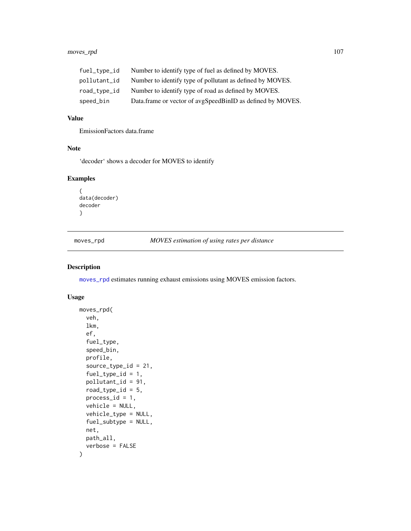## moves\_rpd 107

| fuel_type_id | Number to identify type of fuel as defined by MOVES.       |
|--------------|------------------------------------------------------------|
| pollutant_id | Number to identify type of pollutant as defined by MOVES.  |
| road_type_id | Number to identify type of road as defined by MOVES.       |
| speed_bin    | Data.frame or vector of avgSpeedBinID as defined by MOVES. |

# Value

EmissionFactors data.frame

## Note

'decoder' shows a decoder for MOVES to identify

## Examples

```
{
data(decoder)
decoder
}
```
<span id="page-106-0"></span>moves\_rpd *MOVES estimation of using rates per distance*

## Description

[moves\\_rpd](#page-106-0) estimates running exhaust emissions using MOVES emission factors.

## Usage

```
moves_rpd(
  veh,
  lkm,
  ef,
  fuel_type,
  speed_bin,
  profile,
  source_type_id = 21,
  fuel_type_id = 1,pollutant_id = 91,
  road_type_id = 5,
 process_id = 1,
  vehicle = NULL,
  vehicle_type = NULL,
  fuel_subtype = NULL,
  net,
 path_all,
  verbose = FALSE
\mathcal{E}
```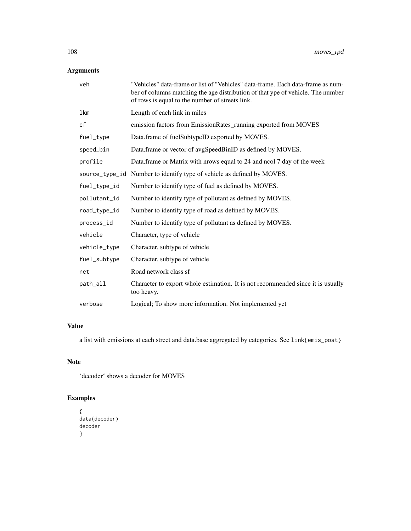# Arguments

| veh            | "Vehicles" data-frame or list of "Vehicles" data-frame. Each data-frame as num-<br>ber of columns matching the age distribution of that ype of vehicle. The number<br>of rows is equal to the number of streets link. |
|----------------|-----------------------------------------------------------------------------------------------------------------------------------------------------------------------------------------------------------------------|
| lkm            | Length of each link in miles                                                                                                                                                                                          |
| ef             | emission factors from EmissionRates_running exported from MOVES                                                                                                                                                       |
| fuel_type      | Data.frame of fuelSubtypeID exported by MOVES.                                                                                                                                                                        |
| speed_bin      | Data.frame or vector of avgSpeedBinID as defined by MOVES.                                                                                                                                                            |
| profile        | Data.frame or Matrix with nrows equal to 24 and ncol 7 day of the week                                                                                                                                                |
| source_type_id | Number to identify type of vehicle as defined by MOVES.                                                                                                                                                               |
| fuel_type_id   | Number to identify type of fuel as defined by MOVES.                                                                                                                                                                  |
| pollutant_id   | Number to identify type of pollutant as defined by MOVES.                                                                                                                                                             |
| road_type_id   | Number to identify type of road as defined by MOVES.                                                                                                                                                                  |
| process_id     | Number to identify type of pollutant as defined by MOVES.                                                                                                                                                             |
| vehicle        | Character, type of vehicle                                                                                                                                                                                            |
| vehicle_type   | Character, subtype of vehicle                                                                                                                                                                                         |
| fuel_subtype   | Character, subtype of vehicle                                                                                                                                                                                         |
| net            | Road network class sf                                                                                                                                                                                                 |
| path_all       | Character to export whole estimation. It is not recommended since it is usually<br>too heavy.                                                                                                                         |
| verbose        | Logical; To show more information. Not implemented yet                                                                                                                                                                |

# Value

a list with emissions at each street and data.base aggregated by categories. See link{emis\_post}

# Note

'decoder' shows a decoder for MOVES

```
{
data(decoder)
decoder
}
```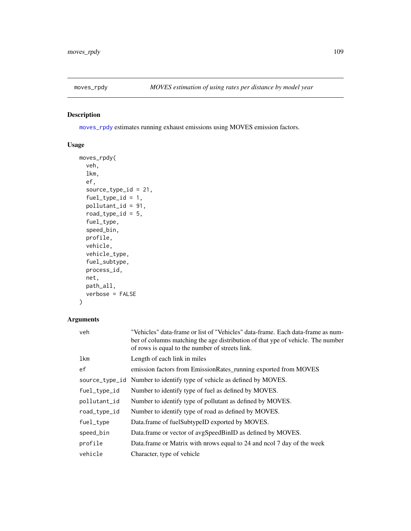<span id="page-108-1"></span><span id="page-108-0"></span>

[moves\\_rpdy](#page-108-0) estimates running exhaust emissions using MOVES emission factors.

## Usage

```
moves_rpdy(
  veh,
 lkm,
 ef,
  source_type_id = 21,
  fuel_type_id = 1,pollutant_id = 91,
  road_type_id = 5,
  fuel_type,
  speed_bin,
 profile,
 vehicle,
  vehicle_type,
  fuel_subtype,
 process_id,
 net,
 path_all,
  verbose = FALSE
)
```
## Arguments

| veh            | "Vehicles" data-frame or list of "Vehicles" data-frame. Each data-frame as num-<br>ber of columns matching the age distribution of that ype of vehicle. The number<br>of rows is equal to the number of streets link. |
|----------------|-----------------------------------------------------------------------------------------------------------------------------------------------------------------------------------------------------------------------|
| lkm            | Length of each link in miles                                                                                                                                                                                          |
| ef             | emission factors from EmissionRates_running exported from MOVES                                                                                                                                                       |
| source_type_id | Number to identify type of vehicle as defined by MOVES.                                                                                                                                                               |
| fuel_type_id   | Number to identify type of fuel as defined by MOVES.                                                                                                                                                                  |
| pollutant_id   | Number to identify type of pollutant as defined by MOVES.                                                                                                                                                             |
| road_type_id   | Number to identify type of road as defined by MOVES.                                                                                                                                                                  |
| fuel_type      | Data.frame of fuelSubtypeID exported by MOVES.                                                                                                                                                                        |
| speed_bin      | Data.frame or vector of avgSpeedBinID as defined by MOVES.                                                                                                                                                            |
| profile        | Data.frame or Matrix with prows equal to 24 and nool 7 day of the week                                                                                                                                                |
| vehicle        | Character, type of vehicle                                                                                                                                                                                            |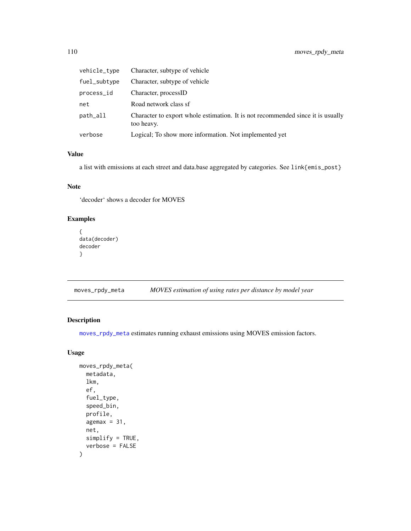<span id="page-109-1"></span>

| vehicle_type | Character, subtype of vehicle                                                                 |
|--------------|-----------------------------------------------------------------------------------------------|
| fuel_subtype | Character, subtype of vehicle                                                                 |
| process_id   | Character, processID                                                                          |
| net          | Road network class sf                                                                         |
| path_all     | Character to export whole estimation. It is not recommended since it is usually<br>too heavy. |
| verbose      | Logical; To show more information. Not implemented yet                                        |

## Value

a list with emissions at each street and data.base aggregated by categories. See link{emis\_post}

## Note

'decoder' shows a decoder for MOVES

# Examples

```
{
data(decoder)
decoder
}
```
<span id="page-109-0"></span>moves\_rpdy\_meta *MOVES estimation of using rates per distance by model year*

## Description

[moves\\_rpdy\\_meta](#page-109-0) estimates running exhaust emissions using MOVES emission factors.

## Usage

```
moves_rpdy_meta(
  metadata,
  lkm,
  ef,
  fuel_type,
  speed_bin,
  profile,
  agemax = 31,
  net,
  simplify = TRUE,
  verbose = FALSE
\mathcal{E}
```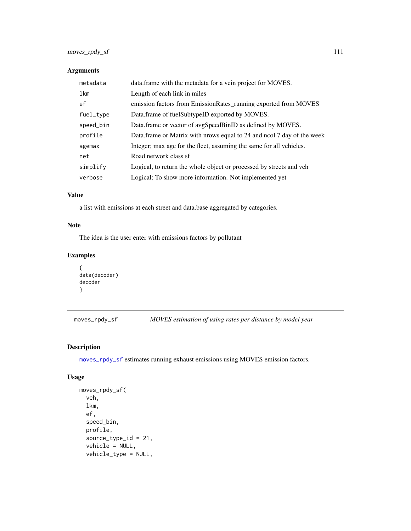# <span id="page-110-1"></span>Arguments

| metadata  | data.frame with the metadata for a vein project for MOVES.             |
|-----------|------------------------------------------------------------------------|
| lkm       | Length of each link in miles                                           |
| ef        | emission factors from EmissionRates_running exported from MOVES        |
| fuel_type | Data.frame of fuelSubtypeID exported by MOVES.                         |
| speed_bin | Data.frame or vector of avgSpeedBinID as defined by MOVES.             |
| profile   | Data.frame or Matrix with prows equal to 24 and nool 7 day of the week |
| agemax    | Integer; max age for the fleet, assuming the same for all vehicles.    |
| net       | Road network class sf                                                  |
| simplify  | Logical, to return the whole object or processed by streets and veh    |
| verbose   | Logical; To show more information. Not implemented yet                 |

## Value

a list with emissions at each street and data.base aggregated by categories.

## Note

The idea is the user enter with emissions factors by pollutant

## Examples

```
{
data(decoder)
decoder
}
```
<span id="page-110-0"></span>moves\_rpdy\_sf *MOVES estimation of using rates per distance by model year*

## Description

[moves\\_rpdy\\_sf](#page-110-0) estimates running exhaust emissions using MOVES emission factors.

#### Usage

```
moves_rpdy_sf(
  veh,
  lkm,
  ef,
  speed_bin,
 profile,
  source_type_id = 21,
  vehicle = NULL,
  vehicle_type = NULL,
```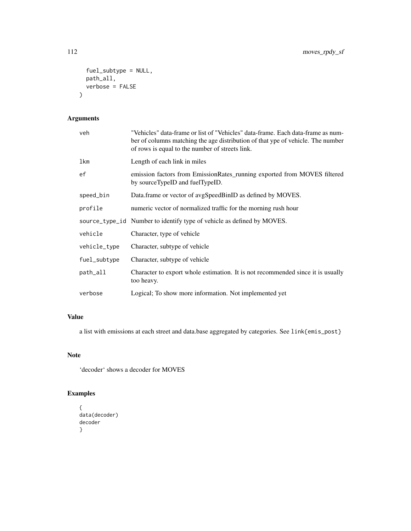```
fuel_subtype = NULL,
  path_all,
  verbose = FALSE
\mathcal{L}
```
# Arguments

| veh          | "Vehicles" data-frame or list of "Vehicles" data-frame. Each data-frame as num-<br>ber of columns matching the age distribution of that ype of vehicle. The number<br>of rows is equal to the number of streets link. |
|--------------|-----------------------------------------------------------------------------------------------------------------------------------------------------------------------------------------------------------------------|
| lkm          | Length of each link in miles                                                                                                                                                                                          |
| ef           | emission factors from EmissionRates_running exported from MOVES filtered<br>by sourceTypeID and fuelTypeID.                                                                                                           |
| speed_bin    | Data.frame or vector of avgSpeedBinID as defined by MOVES.                                                                                                                                                            |
| profile      | numeric vector of normalized traffic for the morning rush hour                                                                                                                                                        |
|              | source_type_id Number to identify type of vehicle as defined by MOVES.                                                                                                                                                |
| vehicle      | Character, type of vehicle                                                                                                                                                                                            |
| vehicle_type | Character, subtype of vehicle                                                                                                                                                                                         |
| fuel_subtype | Character, subtype of vehicle                                                                                                                                                                                         |
| path_all     | Character to export whole estimation. It is not recommended since it is usually<br>too heavy.                                                                                                                         |
| verbose      | Logical; To show more information. Not implemented yet                                                                                                                                                                |

# Value

a list with emissions at each street and data.base aggregated by categories. See link{emis\_post}

# Note

'decoder' shows a decoder for MOVES

```
{
data(decoder)
decoder
}
```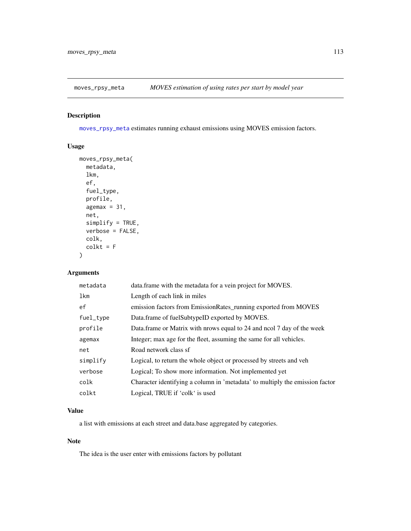<span id="page-112-1"></span><span id="page-112-0"></span>

[moves\\_rpsy\\_meta](#page-112-0) estimates running exhaust emissions using MOVES emission factors.

# Usage

```
moves_rpsy_meta(
  metadata,
  lkm,
  ef,
  fuel_type,
  profile,
  agemax = 31,
  net,
  simplify = TRUE,
  verbose = FALSE,
  colk,
  colkt = F\mathcal{L}
```
# Arguments

| metadata  | data.frame with the metadata for a vein project for MOVES.                   |
|-----------|------------------------------------------------------------------------------|
| lkm       | Length of each link in miles                                                 |
| ef        | emission factors from EmissionRates_running exported from MOVES              |
| fuel_type | Data.frame of fuelSubtypeID exported by MOVES.                               |
| profile   | Data.frame or Matrix with prows equal to 24 and nool 7 day of the week       |
| agemax    | Integer; max age for the fleet, assuming the same for all vehicles.          |
| net       | Road network class sf                                                        |
| simplify  | Logical, to return the whole object or processed by streets and veh          |
| verbose   | Logical; To show more information. Not implemented yet                       |
| colk      | Character identifying a column in 'metadata' to multiply the emission factor |
| colkt     | Logical, TRUE if 'colk' is used                                              |

## Value

a list with emissions at each street and data.base aggregated by categories.

## Note

The idea is the user enter with emissions factors by pollutant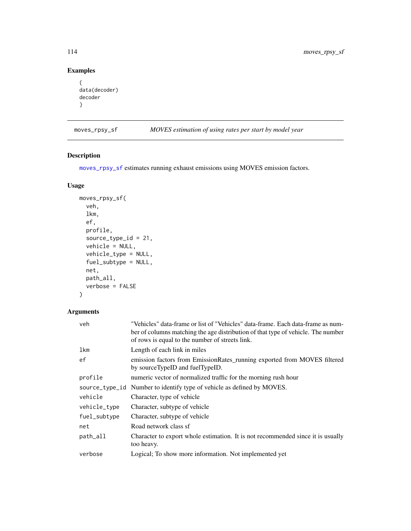# Examples

```
{
data(decoder)
decoder
}
```
<span id="page-113-0"></span>moves\_rpsy\_sf *MOVES estimation of using rates per start by model year*

## Description

[moves\\_rpsy\\_sf](#page-113-0) estimates running exhaust emissions using MOVES emission factors.

## Usage

```
moves_rpsy_sf(
  veh,
  lkm,
  ef,
  profile,
  source_type_id = 21,
  vehicle = NULL,
  vehicle_type = NULL,
  fuel_subtype = NULL,
  net,
  path_all,
  verbose = FALSE
)
```
## Arguments

| veh            | "Vehicles" data-frame or list of "Vehicles" data-frame. Each data-frame as num-<br>ber of columns matching the age distribution of that type of vehicle. The number<br>of rows is equal to the number of streets link. |
|----------------|------------------------------------------------------------------------------------------------------------------------------------------------------------------------------------------------------------------------|
| lkm            | Length of each link in miles                                                                                                                                                                                           |
| ef             | emission factors from EmissionRates_running exported from MOVES filtered<br>by sourceTypeID and fuelTypeID.                                                                                                            |
| profile        | numeric vector of normalized traffic for the morning rush hour                                                                                                                                                         |
| source_type_id | Number to identify type of vehicle as defined by MOVES.                                                                                                                                                                |
| vehicle        | Character, type of vehicle                                                                                                                                                                                             |
| vehicle_type   | Character, subtype of vehicle                                                                                                                                                                                          |
| fuel_subtype   | Character, subtype of vehicle                                                                                                                                                                                          |
| net            | Road network class sf                                                                                                                                                                                                  |
| path_all       | Character to export whole estimation. It is not recommended since it is usually<br>too heavy.                                                                                                                          |
| verbose        | Logical; To show more information. Not implemented yet                                                                                                                                                                 |

<span id="page-113-1"></span>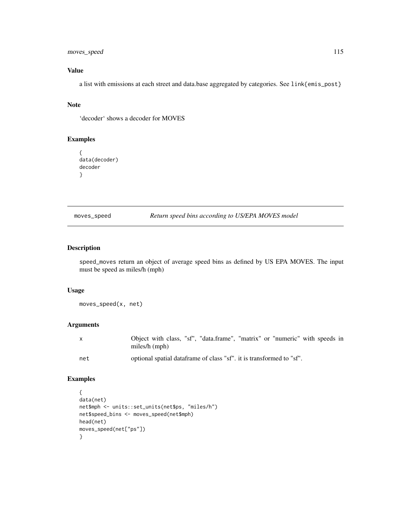## <span id="page-114-0"></span>moves\_speed 115

# Value

a list with emissions at each street and data.base aggregated by categories. See link{emis\_post}

## Note

'decoder' shows a decoder for MOVES

# Examples

```
{
data(decoder)
decoder
}
```
moves\_speed *Return speed bins according to US/EPA MOVES model*

## Description

speed\_moves return an object of average speed bins as defined by US EPA MOVES. The input must be speed as miles/h (mph)

#### Usage

moves\_speed(x, net)

## Arguments

| X   | Object with class, "sf", "data.frame", "matrix" or "numeric" with speeds in<br>miles/ $h$ (mph) |
|-----|-------------------------------------------------------------------------------------------------|
| net | optional spatial data frame of class "sf", it is transformed to "sf".                           |

```
{
data(net)
net$mph <- units::set_units(net$ps, "miles/h")
net$speed_bins <- moves_speed(net$mph)
head(net)
moves_speed(net["ps"])
}
```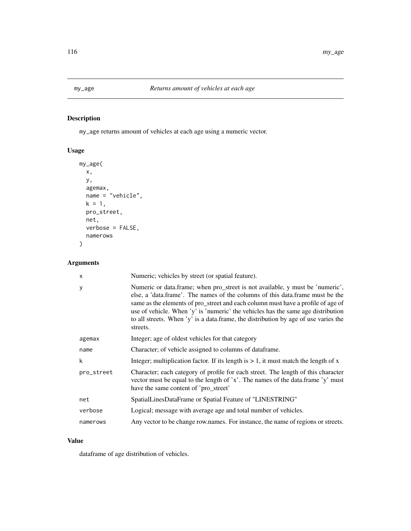<span id="page-115-1"></span><span id="page-115-0"></span>

my\_age returns amount of vehicles at each age using a numeric vector.

# Usage

```
my_age(
 x,
 y,
 agemax,
 name = "vehicle",
 k = 1,pro_street,
 net,
 verbose = FALSE,
 namerows
)
```
# Arguments

| $\times$   | Numeric; vehicles by street (or spatial feature).                                                                                                                                                                                                                                                                                                                                                                                         |
|------------|-------------------------------------------------------------------------------------------------------------------------------------------------------------------------------------------------------------------------------------------------------------------------------------------------------------------------------------------------------------------------------------------------------------------------------------------|
| У          | Numeric or data.frame; when pro_street is not available, y must be 'numeric',<br>else, a 'data.frame'. The names of the columns of this data.frame must be the<br>same as the elements of pro_street and each column must have a profile of age of<br>use of vehicle. When 'y' is 'numeric' the vehicles has the same age distribution<br>to all streets. When 'y' is a data.frame, the distribution by age of use varies the<br>streets. |
| agemax     | Integer; age of oldest vehicles for that category                                                                                                                                                                                                                                                                                                                                                                                         |
| name       | Character; of vehicle assigned to columns of dataframe.                                                                                                                                                                                                                                                                                                                                                                                   |
| k          | Integer; multiplication factor. If its length is $> 1$ , it must match the length of x                                                                                                                                                                                                                                                                                                                                                    |
| pro_street | Character; each category of profile for each street. The length of this character<br>vector must be equal to the length of 'x'. The names of the data.frame 'y' must<br>have the same content of 'pro_street'                                                                                                                                                                                                                             |
| net        | SpatialLinesDataFrame or Spatial Feature of "LINESTRING"                                                                                                                                                                                                                                                                                                                                                                                  |
| verbose    | Logical; message with average age and total number of vehicles.                                                                                                                                                                                                                                                                                                                                                                           |
| namerows   | Any vector to be change row.names. For instance, the name of regions or streets.                                                                                                                                                                                                                                                                                                                                                          |

## Value

dataframe of age distribution of vehicles.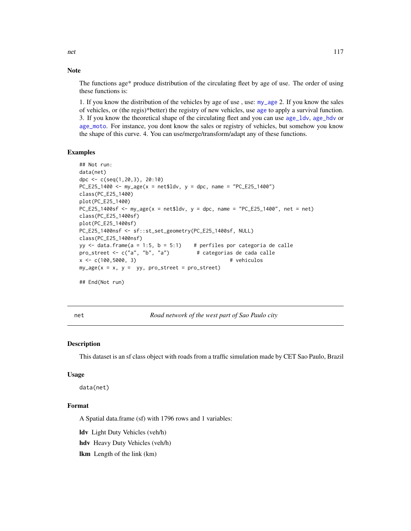The functions age\* produce distribution of the circulating fleet by age of use. The order of using these functions is:

1. If you know the distribution of the vehicles by age of use , use: [my\\_age](#page-115-0) 2. If you know the sales of vehicles, or (the regis)\*better) the registry of new vehicles, use [age](#page-6-0) to apply a survival function. 3. If you know the theoretical shape of the circulating fleet and you can use [age\\_ldv](#page-10-0), [age\\_hdv](#page-8-0) or [age\\_moto](#page-11-0). For instance, you dont know the sales or registry of vehicles, but somehow you know the shape of this curve. 4. You can use/merge/transform/adapt any of these functions.

## Examples

```
## Not run:
data(net)
dpc <- c(seq(1,20,3), 20:10)
PC_E25_1400 \leq my_age(x = net$ldv, y = dpc, name = "PC_E25_1400")
class(PC_E25_1400)
plot(PC_E25_1400)
PC_E25_1400sf \leq my_age(x = net$ldv, y = dpc, name = "PC_E25_1400", net = net)
class(PC_E25_1400sf)
plot(PC_E25_1400sf)
PC_E25_1400nsf <- sf::st_set_geometry(PC_E25_1400sf, NULL)
class(PC_E25_1400nsf)
yy \le- data.frame(a = 1:5, b = 5:1) # perfiles por categoria de calle
pro_street <- c("a", "b", "a") # categorias de cada calle
x <- c(100,5000, 3) # vehiculos
my\_\{age(x = x, y = yy, pro\_\{street} = pro\_\{street})## End(Not run)
```
net *Road network of the west part of Sao Paulo city*

#### **Description**

This dataset is an sf class object with roads from a traffic simulation made by CET Sao Paulo, Brazil

#### Usage

data(net)

## Format

A Spatial data.frame (sf) with 1796 rows and 1 variables:

ldv Light Duty Vehicles (veh/h)

hdv Heavy Duty Vehicles (veh/h)

lkm Length of the link (km)

<span id="page-116-0"></span>

**Note**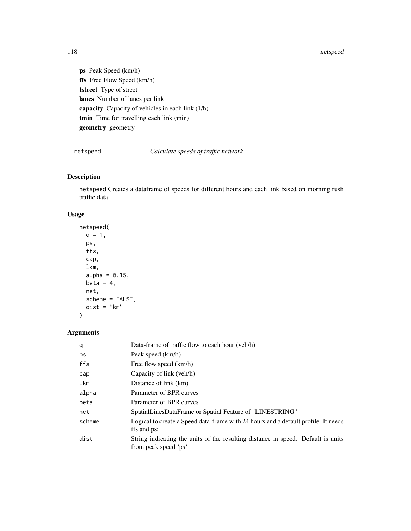#### netspeed and the contract of the contract of the contract of the contract of the contract of the contract of the contract of the contract of the contract of the contract of the contract of the contract of the contract of t

ps Peak Speed (km/h) ffs Free Flow Speed (km/h) tstreet Type of street lanes Number of lanes per link capacity Capacity of vehicles in each link (1/h) tmin Time for travelling each link (min) geometry geometry

netspeed *Calculate speeds of traffic network*

# Description

netspeed Creates a dataframe of speeds for different hours and each link based on morning rush traffic data

## Usage

netspeed(  $q = 1$ , ps, ffs, cap, lkm, alpha =  $0.15$ , beta =  $4$ , net, scheme = FALSE, dist = "km" )

# Arguments

| q      | Data-frame of traffic flow to each hour (veh/h)                                                          |
|--------|----------------------------------------------------------------------------------------------------------|
| ps     | Peak speed (km/h)                                                                                        |
| ffs    | Free flow speed (km/h)                                                                                   |
| cap    | Capacity of link (veh/h)                                                                                 |
| lkm    | Distance of link (km)                                                                                    |
| alpha  | Parameter of BPR curves                                                                                  |
| beta   | Parameter of BPR curves                                                                                  |
| net    | SpatialLinesDataFrame or Spatial Feature of "LINESTRING"                                                 |
| scheme | Logical to create a Speed data-frame with 24 hours and a default profile. It needs<br>ffs and ps:        |
| dist   | String indicating the units of the resulting distance in speed. Default is units<br>from peak speed 'ps' |

<span id="page-117-0"></span>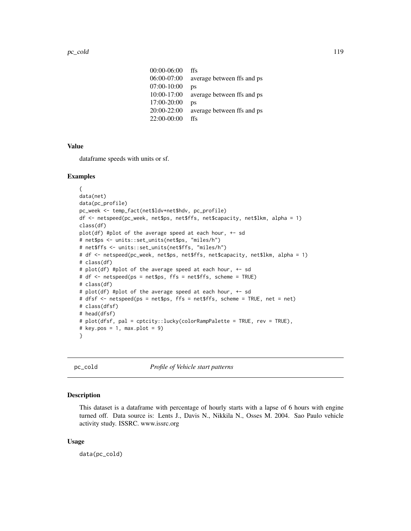<span id="page-118-0"></span>

| $00:00-06:00$   | ffs                        |
|-----------------|----------------------------|
| 06:00-07:00     | average between ffs and ps |
| 07:00-10:00     | ps                         |
| $10:00 - 17:00$ | average between ffs and ps |
| 17:00-20:00     | ps                         |
| $20:00-22:00$   | average between ffs and ps |
| $22:00-00:00$   | ffs                        |

#### Value

dataframe speeds with units or sf.

## Examples

```
{
data(net)
data(pc_profile)
pc_week <- temp_fact(net$ldv+net$hdv, pc_profile)
df <- netspeed(pc_week, net$ps, net$ffs, net$capacity, net$lkm, alpha = 1)
class(df)
plot(df) #plot of the average speed at each hour, +- sd
# net$ps <- units::set_units(net$ps, "miles/h")
# net$ffs <- units::set_units(net$ffs, "miles/h")
# df <- netspeed(pc_week, net$ps, net$ffs, net$capacity, net$lkm, alpha = 1)
# class(df)
# plot(df) #plot of the average speed at each hour, +- sd
# df <- netspeed(ps = net$ps, ffs = net$ffs, scheme = TRUE)
# class(df)
# plot(df) #plot of the average speed at each hour, +- sd
# dfsf <- netspeed(ps = net$ps, ffs = net$ffs, scheme = TRUE, net = net)
# class(dfsf)
# head(dfsf)
# plot(dfsf, pal = cptcity::lucky(colorRampPalette = TRUE, rev = TRUE),
# key.pos = 1, max.plot = 9)}
```
pc\_cold *Profile of Vehicle start patterns*

#### Description

This dataset is a dataframe with percentage of hourly starts with a lapse of 6 hours with engine turned off. Data source is: Lents J., Davis N., Nikkila N., Osses M. 2004. Sao Paulo vehicle activity study. ISSRC. www.issrc.org

## Usage

data(pc\_cold)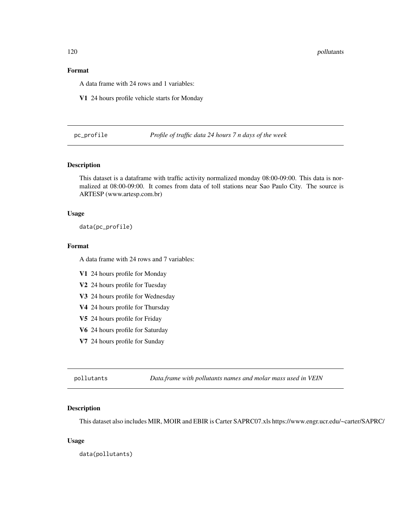## <span id="page-119-0"></span>Format

A data frame with 24 rows and 1 variables:

V1 24 hours profile vehicle starts for Monday

pc\_profile *Profile of traffic data 24 hours 7 n days of the week*

## Description

This dataset is a dataframe with traffic activity normalized monday 08:00-09:00. This data is normalized at 08:00-09:00. It comes from data of toll stations near Sao Paulo City. The source is ARTESP (www.artesp.com.br)

#### Usage

data(pc\_profile)

## Format

A data frame with 24 rows and 7 variables:

V1 24 hours profile for Monday

V2 24 hours profile for Tuesday

V3 24 hours profile for Wednesday

V4 24 hours profile for Thursday

V5 24 hours profile for Friday

V6 24 hours profile for Saturday

V7 24 hours profile for Sunday

pollutants *Data.frame with pollutants names and molar mass used in VEIN*

#### Description

This dataset also includes MIR, MOIR and EBIR is Carter SAPRC07.xls https://www.engr.ucr.edu/~carter/SAPRC/

#### Usage

data(pollutants)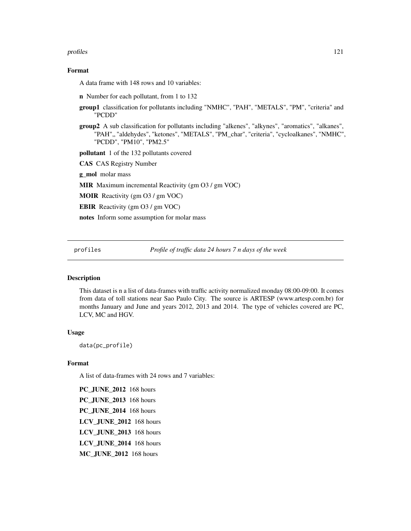#### <span id="page-120-0"></span>profiles and the contract of the contract of the contract of the contract of the contract of the contract of the contract of the contract of the contract of the contract of the contract of the contract of the contract of t

#### Format

A data frame with 148 rows and 10 variables:

n Number for each pollutant, from 1 to 132

- group1 classification for pollutants including "NMHC", "PAH", "METALS", "PM", "criteria" and "PCDD"
- group2 A sub classification for pollutants including "alkenes", "alkynes", "aromatics", "alkanes", "PAH",, "aldehydes", "ketones", "METALS", "PM\_char", "criteria", "cycloalkanes", "NMHC", "PCDD", "PM10", "PM2.5"

pollutant 1 of the 132 pollutants covered

CAS CAS Registry Number

g\_mol molar mass

MIR Maximum incremental Reactivity (gm O3 / gm VOC)

MOIR Reactivity (gm O3 / gm VOC)

EBIR Reactivity (gm O3 / gm VOC)

notes Inform some assumption for molar mass

profiles *Profile of traffic data 24 hours 7 n days of the week*

#### **Description**

This dataset is n a list of data-frames with traffic activity normalized monday 08:00-09:00. It comes from data of toll stations near Sao Paulo City. The source is ARTESP (www.artesp.com.br) for months January and June and years 2012, 2013 and 2014. The type of vehicles covered are PC, LCV, MC and HGV.

#### Usage

data(pc\_profile)

## Format

A list of data-frames with 24 rows and 7 variables:

PC\_JUNE\_2012 168 hours PC\_JUNE\_2013 168 hours PC\_JUNE\_2014 168 hours LCV\_JUNE\_2012 168 hours LCV\_JUNE\_2013 168 hours LCV\_JUNE\_2014 168 hours MC\_JUNE\_2012 168 hours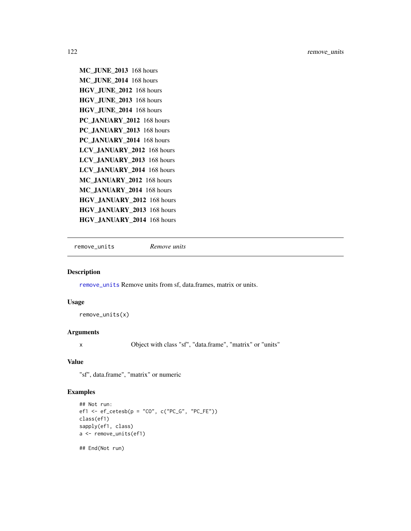```
MC_JUNE_2013 168 hours
MC_JUNE_2014 168 hours
HGV_JUNE_2012 168 hours
HGV_JUNE_2013 168 hours
HGV_JUNE_2014 168 hours
PC_JANUARY_2012 168 hours
PC_JANUARY_2013 168 hours
PC_JANUARY_2014 168 hours
LCV_JANUARY_2012 168 hours
LCV_JANUARY_2013 168 hours
LCV_JANUARY_2014 168 hours
MC_JANUARY_2012 168 hours
MC_JANUARY_2014 168 hours
HGV_JANUARY_2012 168 hours
HGV_JANUARY_2013 168 hours
HGV_JANUARY_2014 168 hours
```
<span id="page-121-0"></span>remove\_units *Remove units*

#### Description

[remove\\_units](#page-121-0) Remove units from sf, data.frames, matrix or units.

## Usage

remove\_units(x)

## Arguments

x Object with class "sf", "data.frame", "matrix" or "units"

# Value

"sf", data.frame", "matrix" or numeric

```
## Not run:
ef1 <- ef\_cetesb(p = "CO", c("PC_G", "PC_FE"))class(ef1)
sapply(ef1, class)
a <- remove_units(ef1)
## End(Not run)
```
<span id="page-121-1"></span>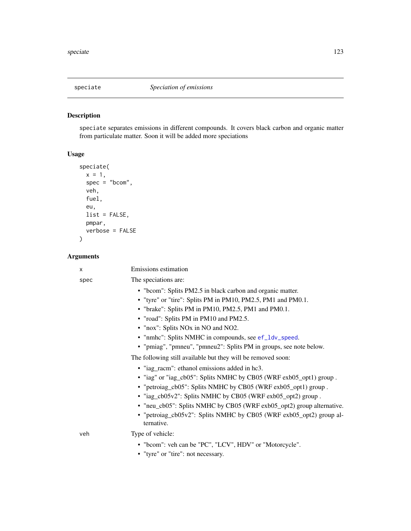<span id="page-122-0"></span>speciate separates emissions in different compounds. It covers black carbon and organic matter from particulate matter. Soon it will be added more speciations

# Usage

```
speciate(
 x = 1,
  spec = "bcom",
 veh,
  fuel,
 eu,
 list = FALSE,
 pmpar,
 verbose = FALSE
)
```
# Arguments

| X    | Emissions estimation                                                              |
|------|-----------------------------------------------------------------------------------|
| spec | The speciations are:                                                              |
|      | • "bcom": Splits PM2.5 in black carbon and organic matter.                        |
|      | • "tyre" or "tire": Splits PM in PM10, PM2.5, PM1 and PM0.1.                      |
|      | • "brake": Splits PM in PM10, PM2.5, PM1 and PM0.1.                               |
|      | • "road": Splits PM in PM10 and PM2.5.                                            |
|      | • "nox": Splits NOx in NO and NO2.                                                |
|      | • "nmhc": Splits NMHC in compounds, see ef_ldv_speed.                             |
|      | • "pmiag", "pmneu", "pmneu2": Splits PM in groups, see note below.                |
|      | The following still available but they will be removed soon:                      |
|      | · "iag_racm": ethanol emissions added in hc3.                                     |
|      | • "iag" or "iag_cb05": Splits NMHC by CB05 (WRF exb05_opt1) group.                |
|      | • "petroiag_cb05": Splits NMHC by CB05 (WRF exb05_opt1) group.                    |
|      | • "iag_cb05v2": Splits NMHC by CB05 (WRF exb05_opt2) group.                       |
|      | • "neu_cb05": Splits NMHC by CB05 (WRF exb05_opt2) group alternative.             |
|      | • "petroiag_cb05v2": Splits NMHC by CB05 (WRF exb05_opt2) group al-<br>ternative. |
| veh  | Type of vehicle:                                                                  |
|      | • "bcom": veh can be "PC", "LCV", HDV" or "Motorcycle".                           |
|      | • "tyre" or "tire": not necessary.                                                |
|      |                                                                                   |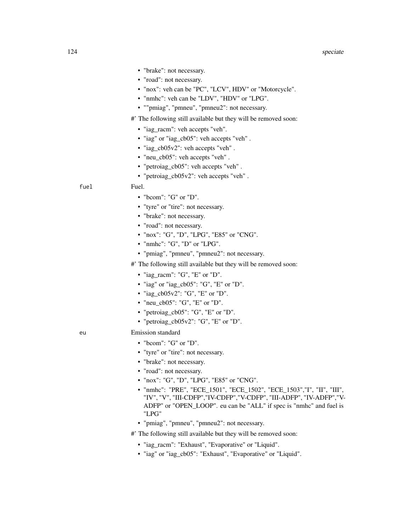- "brake": not necessary.
- "road": not necessary.
- "nox": veh can be "PC", "LCV", HDV" or "Motorcycle".
- "nmhc": veh can be "LDV", "HDV" or "LPG".
- ""pmiag", "pmneu", "pmneu2": not necessary.
- #' The following still available but they will be removed soon:
	- "iag\_racm": veh accepts "veh".
	- "iag" or "iag\_cb05": veh accepts "veh" .
	- "iag\_cb05v2": veh accepts "veh" .
	- "neu\_cb05": veh accepts "veh" .
	- "petroiag\_cb05": veh accepts "veh" .
	- "petroiag\_cb05v2": veh accepts "veh" .

fuel Fuel.

- "bcom": "G" or "D".
- "tyre" or "tire": not necessary.
- "brake": not necessary.
- "road": not necessary.
- "nox": "G", "D", "LPG", "E85" or "CNG".
- "nmhc": "G", "D" or "LPG".
- "pmiag", "pmneu", "pmneu2": not necessary.
- #' The following still available but they will be removed soon:
	- "iag\_racm": "G", "E" or "D".
	- "iag" or "iag\_cb05": "G", "E" or "D".
	- "iag\_cb05v2": "G", "E" or "D".
	- "neu\_cb05": "G", "E" or "D".
	- "petroiag\_cb05": "G", "E" or "D".
	- "petroiag\_cb05v2": "G", "E" or "D".

- eu Emission standard
	- "bcom": "G" or "D".
	- "tyre" or "tire": not necessary.
	- "brake": not necessary.
	- "road": not necessary.
	- "nox": "G", "D", "LPG", "E85" or "CNG".
	- "nmhc": "PRE", "ECE\_1501", "ECE\_1502", "ECE\_1503","I", "II", "III", "IV", "V", "III-CDFP","IV-CDFP","V-CDFP", "III-ADFP", "IV-ADFP","V-ADFP" or "OPEN\_LOOP". eu can be "ALL" if spec is "nmhc" and fuel is "LPG"
	- "pmiag", "pmneu", "pmneu2": not necessary.
	- #' The following still available but they will be removed soon:
		- "iag\_racm": "Exhaust", "Evaporative" or "Liquid".
		- "iag" or "iag\_cb05": "Exhaust", "Evaporative" or "Liquid".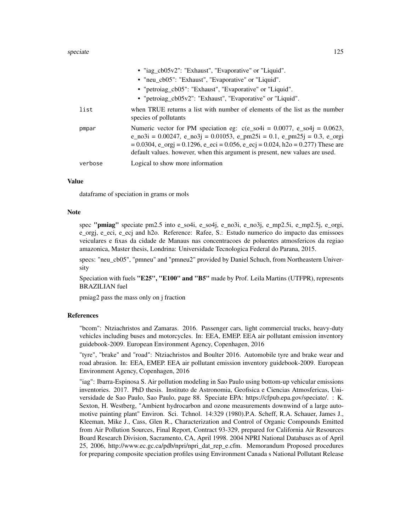|         | • "iag_cb05v2": "Exhaust", "Evaporative" or "Liquid".                                                                                                                                                                                                                                                                                                     |
|---------|-----------------------------------------------------------------------------------------------------------------------------------------------------------------------------------------------------------------------------------------------------------------------------------------------------------------------------------------------------------|
|         | • "neu_cb05": "Exhaust", "Evaporative" or "Liquid".                                                                                                                                                                                                                                                                                                       |
|         | • "petroiag_cb05": "Exhaust", "Evaporative" or "Liquid".                                                                                                                                                                                                                                                                                                  |
|         | • "petroiag_cb05v2": "Exhaust", "Evaporative" or "Liquid".                                                                                                                                                                                                                                                                                                |
| list    | when TRUE returns a list with number of elements of the list as the number<br>species of pollutants                                                                                                                                                                                                                                                       |
| pmpar   | Numeric vector for PM speciation eg: $c(e_s 0.0077, e_s 0.0623,$<br>$e_{103} = 0.00247$ , $e_{103} = 0.01053$ , $e_{102} = 0.1$ , $e_{11} = 0.3$ , $e_{103} = 0.3$ , $e_{11} = 0.3$<br>$= 0.0304$ , e_orgj = 0.1296, e_eci = 0.056, e_ecj = 0.024, h2o = 0.277) These are<br>default values. however, when this argument is present, new values are used. |
| verbose | Logical to show more information                                                                                                                                                                                                                                                                                                                          |

#### Value

dataframe of speciation in grams or mols

#### Note

spec "pmiag" speciate pm2.5 into e\_so4i, e\_so4j, e\_no3i, e\_no3j, e\_mp2.5i, e\_mp2.5j, e\_orgi, e\_orgj, e\_eci, e\_ecj and h2o. Reference: Rafee, S.: Estudo numerico do impacto das emissoes veiculares e fixas da cidade de Manaus nas concentracoes de poluentes atmosfericos da regiao amazonica, Master thesis, Londrina: Universidade Tecnologica Federal do Parana, 2015.

specs: "neu\_cb05", "pmneu" and "pmneu2" provided by Daniel Schuch, from Northeastern University

Speciation with fuels "E25", "E100" and "B5" made by Prof. Leila Martins (UTFPR), represents BRAZILIAN fuel

pmiag2 pass the mass only on j fraction

## **References**

"bcom": Ntziachristos and Zamaras. 2016. Passenger cars, light commercial trucks, heavy-duty vehicles including buses and motorcycles. In: EEA, EMEP. EEA air pollutant emission inventory guidebook-2009. European Environment Agency, Copenhagen, 2016

"tyre", "brake" and "road": Ntziachristos and Boulter 2016. Automobile tyre and brake wear and road abrasion. In: EEA, EMEP. EEA air pollutant emission inventory guidebook-2009. European Environment Agency, Copenhagen, 2016

"iag": Ibarra-Espinosa S. Air pollution modeling in Sao Paulo using bottom-up vehicular emissions inventories. 2017. PhD thesis. Instituto de Astronomia, Geofisica e Ciencias Atmosfericas, Universidade de Sao Paulo, Sao Paulo, page 88. Speciate EPA: https://cfpub.epa.gov/speciate/. : K. Sexton, H. Westberg, "Ambient hydrocarbon and ozone measurements downwind of a large automotive painting plant" Environ. Sci. Tchnol. 14:329 (1980).P.A. Scheff, R.A. Schauer, James J., Kleeman, Mike J., Cass, Glen R., Characterization and Control of Organic Compounds Emitted from Air Pollution Sources, Final Report, Contract 93-329, prepared for California Air Resources Board Research Division, Sacramento, CA, April 1998. 2004 NPRI National Databases as of April 25, 2006, http://www.ec.gc.ca/pdb/npri/npri\_dat\_rep\_e.cfm. Memorandum Proposed procedures for preparing composite speciation profiles using Environment Canada s National Pollutant Release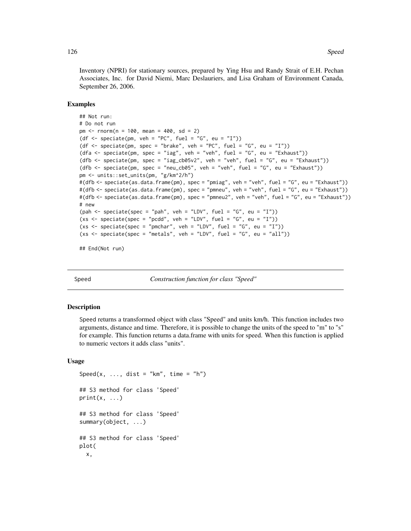<span id="page-125-0"></span>Inventory (NPRI) for stationary sources, prepared by Ying Hsu and Randy Strait of E.H. Pechan Associates, Inc. for David Niemi, Marc Deslauriers, and Lisa Graham of Environment Canada, September 26, 2006.

#### Examples

```
## Not run:
# Do not run
pm < - rnorm(n = 100, mean = 400, sd = 2)
(df <- speciate(pm, veh = "PC", fuel = "G", eu = "I"))
(df <- speciate(pm, spec = "brake", veh = "PC", fuel = "G", eu = "I"))
(dfa \leq speciate(pm, spec = "iag", veh = "veh", fuel = "G", eu = "Exhaust"))
(dfb <- speciate(pm, spec = "iag_cb05v2", veh = "veh", fuel = "G", eu = "Exhaust"))
(dfb \le speciate(pm, spec = "neu_cb05", veh = "veh", fuel = "G", eu = "Exhaust"))
pm <- units::set_units(pm, "g/km^2/h")
#(dfb <- speciate(as.data.frame(pm), spec = "pmiag", veh = "veh", fuel = "G", eu = "Exhaust"))
#(dfb <- speciate(as.data.frame(pm), spec = "pmneu", veh = "veh", fuel = "G", eu = "Exhaust"))
#(dfb <- speciate(as.data.frame(pm), spec = "pmneu2", veh = "veh", fuel = "G", eu = "Exhaust"))
# new
(pah <- speciate(spec = "pah", veh = "LDV", fuel = "G", eu = "I"))
(xs \leq speciate(spec = "pedd", veh = "LDV", fuel = "G", eu = "I")(xs <- speciate(spec = "pmchar", veh = "LDV", fuel = "G", eu = "I"))
(xs < -speciate(spec = "metals", veh = "LDV", fuel = "G", eu = "all"))
```
## End(Not run)

Speed *Construction function for class "Speed"*

#### **Description**

Speed returns a transformed object with class "Speed" and units km/h. This function includes two arguments, distance and time. Therefore, it is possible to change the units of the speed to "m" to "s" for example. This function returns a data.frame with units for speed. When this function is applied to numeric vectors it adds class "units".

#### Usage

```
Speed(x, ..., dist = "km", time = "h")
## S3 method for class 'Speed'
print(x, \ldots)## S3 method for class 'Speed'
summary(object, ...)
## S3 method for class 'Speed'
plot(
  x,
```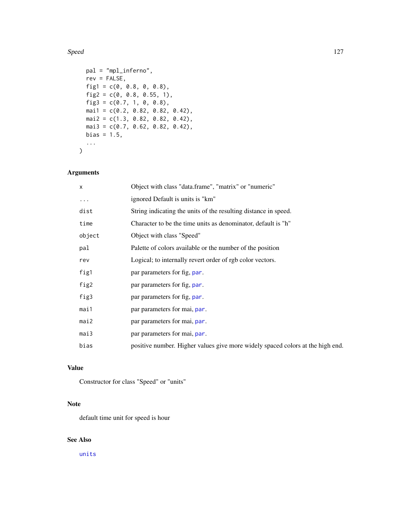#### <span id="page-126-0"></span>Speed 227

```
pal = "mpl_inferno",
 rev = FALSE,
 fig1 = c(0, 0.8, 0, 0.8),fig2 = c(0, 0.8, 0.55, 1),fig3 = c(0.7, 1, 0, 0.8),mai1 = c(0.2, 0.82, 0.82, 0.42),
 mai2 = c(1.3, 0.82, 0.82, 0.42),
 mai3 = c(0.7, 0.62, 0.82, 0.42),
 bias = 1.5,
  ...
\mathcal{L}
```
# Arguments

| $\mathsf{x}$ | Object with class "data.frame", "matrix" or "numeric"                          |
|--------------|--------------------------------------------------------------------------------|
| .            | ignored Default is units is "km"                                               |
| dist         | String indicating the units of the resulting distance in speed.                |
| time         | Character to be the time units as denominator, default is "h"                  |
| object       | Object with class "Speed"                                                      |
| pal          | Palette of colors available or the number of the position                      |
| rev          | Logical; to internally revert order of rgb color vectors.                      |
| fig1         | par parameters for fig, par.                                                   |
| fig2         | par parameters for fig, par.                                                   |
| fig3         | par parameters for fig, par.                                                   |
| mai1         | par parameters for mai, par.                                                   |
| mai2         | par parameters for mai, par.                                                   |
| mail3        | par parameters for mai, par.                                                   |
| bias         | positive number. Higher values give more widely spaced colors at the high end. |

## Value

Constructor for class "Speed" or "units"

## Note

default time unit for speed is hour

# See Also

[units](#page-0-0)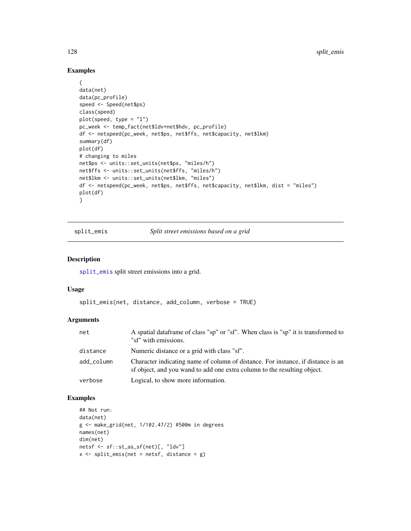## Examples

```
{
data(net)
data(pc_profile)
speed <- Speed(net$ps)
class(speed)
plot(speed, type = "l")
pc_week <- temp_fact(net$ldv+net$hdv, pc_profile)
df <- netspeed(pc_week, net$ps, net$ffs, net$capacity, net$lkm)
summary(df)
plot(df)
# changing to miles
net$ps <- units::set_units(net$ps, "miles/h")
net$ffs <- units::set_units(net$ffs, "miles/h")
net$lkm <- units::set_units(net$lkm, "miles")
df <- netspeed(pc_week, net$ps, net$ffs, net$capacity, net$lkm, dist = "miles")
plot(df)
}
```
<span id="page-127-0"></span>split\_emis *Split street emissions based on a grid*

## Description

[split\\_emis](#page-127-0) split street emissions into a grid.

## Usage

```
split_emis(net, distance, add_column, verbose = TRUE)
```
#### Arguments

| net        | A spatial data frame of class "sp" or "sf". When class is "sp" it is transformed to<br>"sf" with emissions.                                                  |
|------------|--------------------------------------------------------------------------------------------------------------------------------------------------------------|
| distance   | Numeric distance or a grid with class "sf".                                                                                                                  |
| add_column | Character indicating name of column of distance. For instance, if distance is an<br>sf object, and you wand to add one extra column to the resulting object. |
| verbose    | Logical, to show more information.                                                                                                                           |

```
## Not run:
data(net)
g <- make_grid(net, 1/102.47/2) #500m in degrees
names(net)
dim(net)
netsf <- sf::st_as_sf(net)[, "ldv"]
x \le split_emis(net = netsf, distance = g)
```
<span id="page-127-1"></span>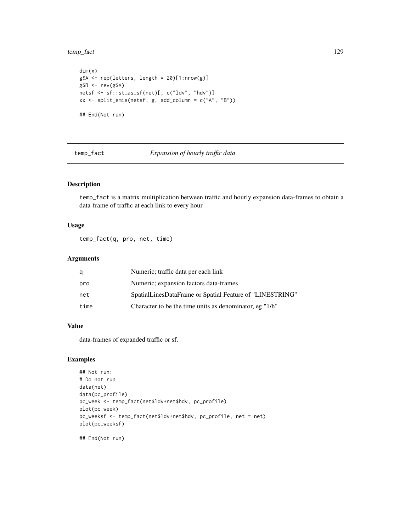#### <span id="page-128-0"></span>temp\_fact 129

```
dim(x)
g$A <- rep(letters, length = 20)[1:nrow(g)]
g$B <- rev(g$A)
netsf <- sf::st_as_sf(net)[, c("ldv", "hdv")]
xx <- split_emis(netsf, g, add_column = c("A", "B"))
## End(Not run)
```
temp\_fact *Expansion of hourly traffic data*

## Description

temp\_fact is a matrix multiplication between traffic and hourly expansion data-frames to obtain a data-frame of traffic at each link to every hour

## Usage

temp\_fact(q, pro, net, time)

## Arguments

| q    | Numeric; traffic data per each link                      |
|------|----------------------------------------------------------|
| pro  | Numeric; expansion factors data-frames                   |
| net  | SpatialLinesDataFrame or Spatial Feature of "LINESTRING" |
| time | Character to be the time units as denominator, eg "1/h"  |

## Value

data-frames of expanded traffic or sf.

## Examples

```
## Not run:
# Do not run
data(net)
data(pc_profile)
pc_week <- temp_fact(net$ldv+net$hdv, pc_profile)
plot(pc_week)
pc_weeksf <- temp_fact(net$ldv+net$hdv, pc_profile, net = net)
plot(pc_weeksf)
```
## End(Not run)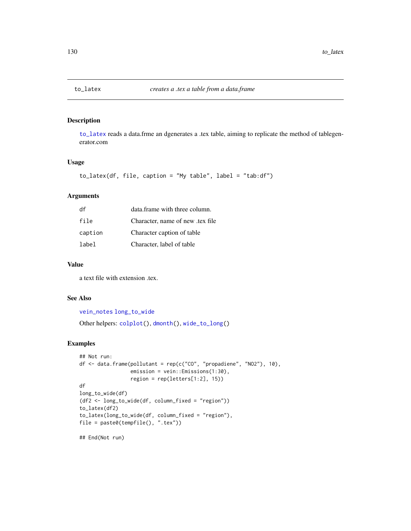<span id="page-129-1"></span><span id="page-129-0"></span>

[to\\_latex](#page-129-0) reads a data.frme an dgenerates a .tex table, aiming to replicate the method of tablegenerator.com

## Usage

```
to_latex(df, file, caption = "My table", label = "tab:df")
```
## Arguments

| df      | data.frame with three column.   |
|---------|---------------------------------|
| file    | Character, name of new tex file |
| caption | Character caption of table      |
| label   | Character, label of table       |

## Value

a text file with extension .tex.

# See Also

```
vein_notes long_to_wide
Other helpers: colplot(), dmonth(), wide_to_long()
```

```
## Not run:
df <- data.frame(pollutant = rep(c("CO", "propadiene", "NO2"), 10),
                 emission = vein::Emissions(1:30),
                 region = rep(letters[1:2], 15))
df
long_to_wide(df)
(df2 <- long_to_wide(df, column_fixed = "region"))
to_latex(df2)
to_latex(long_to_wide(df, column_fixed = "region"),
file = paste0(tempfile(), ".tex"))
## End(Not run)
```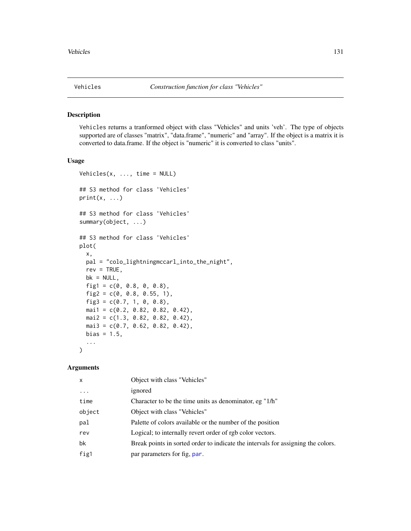<span id="page-130-0"></span>

Vehicles returns a tranformed object with class "Vehicles" and units 'veh'. The type of objects supported are of classes "matrix", "data.frame", "numeric" and "array". If the object is a matrix it is converted to data.frame. If the object is "numeric" it is converted to class "units".

#### Usage

```
Vehicles(x, \ldots, time = NULL)
## S3 method for class 'Vehicles'
print(x, \ldots)## S3 method for class 'Vehicles'
summary(object, ...)
## S3 method for class 'Vehicles'
plot(
  x,
 pal = "colo_lightningmccarl_into_the_night",
  rev = TRUE,bk = NULL,fig1 = c(0, 0.8, 0, 0.8),fig2 = c(0, 0.8, 0.55, 1),fig3 = c(0.7, 1, 0, 0.8),mail = c(0.2, 0.82, 0.82, 0.42),
 mail2 = c(1.3, 0.82, 0.82, 0.42),
 mai3 = c(0.7, 0.62, 0.82, 0.42),
 bias = 1.5,
  ...
\mathcal{L}
```
#### Arguments

| $\mathsf{x}$ | Object with class "Vehicles"                                                     |
|--------------|----------------------------------------------------------------------------------|
| $\ddotsc$    | ignored                                                                          |
| time         | Character to be the time units as denominator, eg "1/h"                          |
| object       | Object with class "Vehicles"                                                     |
| pal          | Palette of colors available or the number of the position                        |
| rev          | Logical; to internally revert order of rgb color vectors.                        |
| bk           | Break points in sorted order to indicate the intervals for assigning the colors. |
| fig1         | par parameters for fig. par.                                                     |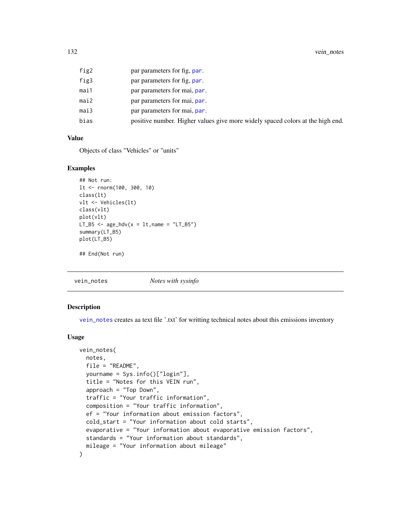<span id="page-131-1"></span>

| fig2 | par parameters for fig, par.                                                   |
|------|--------------------------------------------------------------------------------|
| fig3 | par parameters for fig. par.                                                   |
| mai1 | par parameters for mai, par.                                                   |
| mai2 | par parameters for mai, par.                                                   |
| mai3 | par parameters for mai, par.                                                   |
| bias | positive number. Higher values give more widely spaced colors at the high end. |

#### Value

Objects of class "Vehicles" or "units"

#### Examples

```
## Not run:
lt <- rnorm(100, 300, 10)
class(lt)
vlt <- Vehicles(lt)
class(vlt)
plot(vlt)
LT_B5 \leq age_hdv(x = lt, name = "LT_B5")
summary(LT_B5)
plot(LT_B5)
```
## End(Not run)

<span id="page-131-0"></span>vein\_notes *Notes with sysinfo*

#### Description

[vein\\_notes](#page-131-0) creates aa text file '.txt' for writting technical notes about this emissions inventory

#### Usage

```
vein_notes(
 notes,
  file = "README",yourname = Sys.info()["login"],
  title = "Notes for this VEIN run",
  approach = "Top Down",
  traffic = "Your traffic information",
  composition = "Your traffic information",
  ef = "Your information about emission factors",
 cold_start = "Your information about cold starts",
  evaporative = "Your information about evaporative emission factors",
 standards = "Your information about standards",
 mileage = "Your information about mileage"
)
```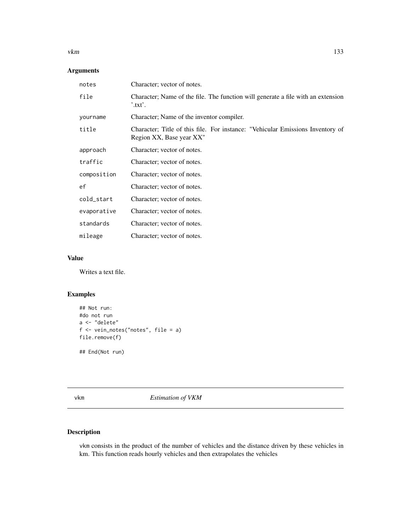#### <span id="page-132-0"></span>vkm and the state of the state of the state of the state of the state of the state of the state of the state of the state of the state of the state of the state of the state of the state of the state of the state of the st

# Arguments

| notes       | Character; vector of notes.                                                                                |
|-------------|------------------------------------------------------------------------------------------------------------|
| file        | Character; Name of the file. The function will generate a file with an extension<br>$^{\prime}$ .txt'.     |
| yourname    | Character; Name of the inventor compiler.                                                                  |
| title       | Character; Title of this file. For instance: "Vehicular Emissions Inventory of<br>Region XX, Base year XX" |
| approach    | Character; vector of notes.                                                                                |
| traffic     | Character; vector of notes.                                                                                |
| composition | Character; vector of notes.                                                                                |
| ef          | Character; vector of notes.                                                                                |
| cold_start  | Character; vector of notes.                                                                                |
| evaporative | Character; vector of notes.                                                                                |
| standards   | Character; vector of notes.                                                                                |
| mileage     | Character; vector of notes.                                                                                |

## Value

Writes a text file.

## Examples

```
## Not run:
#do not run
a <- "delete"
f <- vein_notes("notes", file = a)
file.remove(f)
## End(Not run)
```
vkm *Estimation of VKM*

# Description

vkm consists in the product of the number of vehicles and the distance driven by these vehicles in km. This function reads hourly vehicles and then extrapolates the vehicles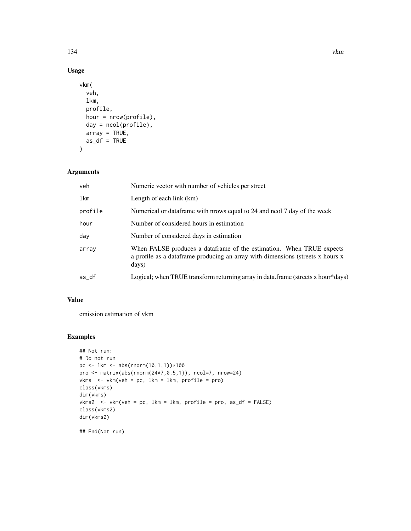# Usage

```
vkm(
  veh,
  lkm,
  profile,
  hour = nrow(profile),
  day = ncol(profile),
  array = TRUE,
  as_df = TRUE)
```
# Arguments

| veh     | Numeric vector with number of vehicles per street                                                                                                               |
|---------|-----------------------------------------------------------------------------------------------------------------------------------------------------------------|
| lkm     | Length of each link (km)                                                                                                                                        |
| profile | Numerical or data frame with prows equal to 24 and nool 7 day of the week                                                                                       |
| hour    | Number of considered hours in estimation                                                                                                                        |
| day     | Number of considered days in estimation                                                                                                                         |
| array   | When FALSE produces a dataframe of the estimation. When TRUE expects<br>a profile as a dataframe producing an array with dimensions (streets x hours x<br>days) |
| as_df   | Logical; when TRUE transform returning array in data.frame (streets x hour*days)                                                                                |

# Value

emission estimation of vkm

```
## Not run:
# Do not run
pc <- lkm <- abs(rnorm(10,1,1))*100
pro <- matrix(abs(rnorm(24*7,0.5,1)), ncol=7, nrow=24)
vkms <- vkm(veh = pc, lkm = lkm, profile = pro)
class(vkms)
dim(vkms)
vkms2 <- vkm(veh = pc, lkm = lkm, profile = pro, as_df = FALSE)
class(vkms2)
dim(vkms2)
## End(Not run)
```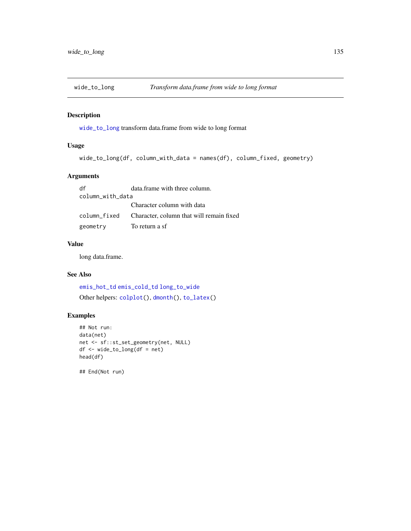<span id="page-134-1"></span><span id="page-134-0"></span>

[wide\\_to\\_long](#page-134-0) transform data.frame from wide to long format

# Usage

```
wide_to_long(df, column_with_data = names(df), column_fixed, geometry)
```
## Arguments

df data.frame with three column. column\_with\_data Character column with data column\_fixed Character, column that will remain fixed geometry To return a sf

## Value

long data.frame.

## See Also

[emis\\_hot\\_td](#page-78-0) [emis\\_cold\\_td](#page-66-0) [long\\_to\\_wide](#page-103-0) Other helpers: [colplot\(](#page-16-0)), [dmonth\(](#page-19-0)), [to\\_latex\(](#page-129-0))

## Examples

```
## Not run:
data(net)
net <- sf::st_set_geometry(net, NULL)
df <- wide_to_long(df = net)
head(df)
```
## End(Not run)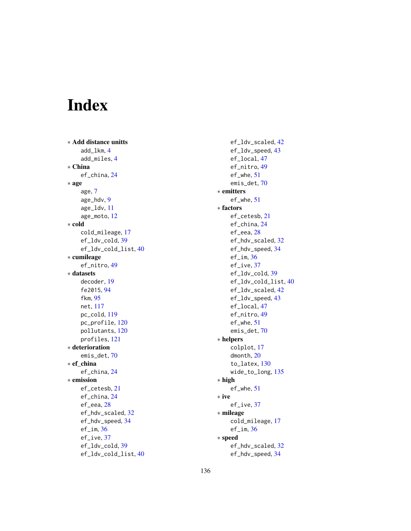# Index

∗ Add distance unitts add\_lkm, [4](#page-3-0) add\_miles, [4](#page-3-0) ∗ China ef\_china, [24](#page-23-0) ∗ age age, [7](#page-6-1) age\_hdv, [9](#page-8-1) age\_ldv, [11](#page-10-1) age\_moto, [12](#page-11-1) ∗ cold cold\_mileage, [17](#page-16-1) ef\_ldv\_cold, [39](#page-38-0) ef\_ldv\_cold\_list, [40](#page-39-0) ∗ cumileage ef\_nitro, [49](#page-48-0) ∗ datasets decoder, [19](#page-18-0) fe2015, [94](#page-93-0) fkm, [95](#page-94-0) net, [117](#page-116-0) pc\_cold, [119](#page-118-0) pc\_profile, [120](#page-119-0) pollutants, [120](#page-119-0) profiles, [121](#page-120-0) ∗ deterioration emis\_det, [70](#page-69-0) ∗ ef\_china ef\_china, [24](#page-23-0) ∗ emission ef\_cetesb, [21](#page-20-0) ef\_china, [24](#page-23-0) ef\_eea, [28](#page-27-0) ef\_hdv\_scaled, [32](#page-31-0) ef\_hdv\_speed, [34](#page-33-0)  $ef$ <sub> $im$ </sub>,  $36$ ef\_ive, [37](#page-36-0) ef\_ldv\_cold, [39](#page-38-0) ef\_ldv\_cold\_list, [40](#page-39-0)

ef\_ldv\_scaled, [42](#page-41-0) ef\_ldv\_speed, [43](#page-42-1) ef\_local, [47](#page-46-0) ef\_nitro, [49](#page-48-0) ef\_whe, [51](#page-50-0) emis\_det, [70](#page-69-0) ∗ emitters ef\_whe, [51](#page-50-0) ∗ factors ef\_cetesb, [21](#page-20-0) ef\_china, [24](#page-23-0) ef\_eea, [28](#page-27-0) ef\_hdv\_scaled, [32](#page-31-0) ef\_hdv\_speed, [34](#page-33-0) ef\_im,  $36$ ef\_ive, [37](#page-36-0) ef\_ldv\_cold, [39](#page-38-0) ef\_ldv\_cold\_list, [40](#page-39-0) ef\_ldv\_scaled, [42](#page-41-0) ef\_ldv\_speed, [43](#page-42-1) ef\_local, [47](#page-46-0) ef\_nitro, [49](#page-48-0) ef\_whe, [51](#page-50-0) emis\_det, [70](#page-69-0) ∗ helpers colplot, [17](#page-16-1) dmonth, [20](#page-19-1) to\_latex, [130](#page-129-1) wide\_to\_long, [135](#page-134-1) ∗ high ef\_whe, [51](#page-50-0) ∗ ive ef\_ive, [37](#page-36-0) ∗ mileage cold\_mileage, [17](#page-16-1) ef\_im,  $36$ ∗ speed ef\_hdv\_scaled, [32](#page-31-0) ef\_hdv\_speed, [34](#page-33-0)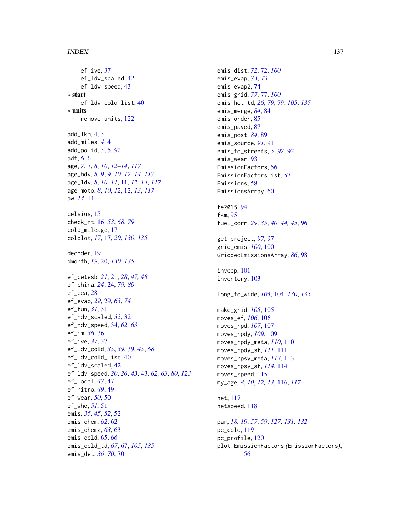#### INDEX  $137$

ef\_ive, [37](#page-36-0) ef\_ldv\_scaled, [42](#page-41-0) ef\_ldv\_speed, [43](#page-42-1) ∗ start ef\_ldv\_cold\_list, [40](#page-39-0) ∗ units remove\_units, [122](#page-121-1) add\_lkm, [4,](#page-3-0) *[5](#page-4-0)* add\_miles, *[4](#page-3-0)*, [4](#page-3-0) add\_polid, *[5](#page-4-0)*, [5,](#page-4-0) *[92](#page-91-0)* adt, *[6](#page-5-0)*, [6](#page-5-0) age, *[7](#page-6-1)*, [7,](#page-6-1) *[8](#page-7-0)*, *[10](#page-9-0)*, *[12](#page-11-1)[–14](#page-13-0)*, *[117](#page-116-0)* age\_hdv, *[8,](#page-7-0) [9](#page-8-1)*, [9,](#page-8-1) *[10](#page-9-0)*, *[12–](#page-11-1)[14](#page-13-0)*, *[117](#page-116-0)* age\_ldv, *[8](#page-7-0)*, *[10,](#page-9-0) [11](#page-10-1)*, [11,](#page-10-1) *[12–](#page-11-1)[14](#page-13-0)*, *[117](#page-116-0)* age\_moto, *[8](#page-7-0)*, *[10](#page-9-0)*, *[12](#page-11-1)*, [12,](#page-11-1) *[13](#page-12-0)*, *[117](#page-116-0)* aw, *[14](#page-13-0)*, [14](#page-13-0) celsius, [15](#page-14-0) check\_nt, [16,](#page-15-0) *[53](#page-52-0)*, *[68](#page-67-0)*, *[79](#page-78-1)* cold\_mileage, [17](#page-16-1) colplot, *[17](#page-16-1)*, [17,](#page-16-1) *[20](#page-19-1)*, *[130](#page-129-1)*, *[135](#page-134-1)* decoder, [19](#page-18-0) dmonth, *[19](#page-18-0)*, [20,](#page-19-1) *[130](#page-129-1)*, *[135](#page-134-1)* ef\_cetesb, *[21](#page-20-0)*, [21,](#page-20-0) *[28](#page-27-0)*, *[47,](#page-46-0) [48](#page-47-0)* ef\_china, *[24](#page-23-0)*, [24,](#page-23-0) *[79,](#page-78-1) [80](#page-79-0)* ef\_eea, [28](#page-27-0) ef\_evap, *[29](#page-28-0)*, [29,](#page-28-0) *[63](#page-62-0)*, *[74](#page-73-0)* ef\_fun, *[31](#page-30-0)*, [31](#page-30-0) ef\_hdv\_scaled, *[32](#page-31-0)*, [32](#page-31-0) ef\_hdv\_speed, [34,](#page-33-0) *[62,](#page-61-0) [63](#page-62-0)* ef\_im, *[36](#page-35-0)*, [36](#page-35-0) ef\_ive, *[37](#page-36-0)*, [37](#page-36-0) ef\_ldv\_cold, *[35](#page-34-0)*, *[39](#page-38-0)*, [39,](#page-38-0) *[45](#page-44-0)*, *[68](#page-67-0)* ef\_ldv\_cold\_list, [40](#page-39-0) ef\_ldv\_scaled, [42](#page-41-0) ef\_ldv\_speed, *[20](#page-19-1)*, *[26](#page-25-0)*, *[43](#page-42-1)*, [43,](#page-42-1) *[62,](#page-61-0) [63](#page-62-0)*, *[80](#page-79-0)*, *[123](#page-122-0)* ef\_local, *[47](#page-46-0)*, [47](#page-46-0) ef\_nitro, *[49](#page-48-0)*, [49](#page-48-0) ef\_wear, *[50](#page-49-0)*, [50](#page-49-0) ef\_whe, *[51](#page-50-0)*, [51](#page-50-0) emis, *[35](#page-34-0)*, *[45](#page-44-0)*, *[52](#page-51-0)*, [52](#page-51-0) emis\_chem, *[62](#page-61-0)*, [62](#page-61-0) emis\_chem2, *[63](#page-62-0)*, [63](#page-62-0) emis\_cold, [65,](#page-64-0) *[66](#page-65-0)* emis\_cold\_td, *[67](#page-66-1)*, [67,](#page-66-1) *[105](#page-104-0)*, *[135](#page-134-1)* emis\_det, *[36](#page-35-0)*, *[70](#page-69-0)*, [70](#page-69-0)

emis\_dist, *[72](#page-71-0)*, [72,](#page-71-0) *[100](#page-99-0)* emis\_evap, *[73](#page-72-0)*, [73](#page-72-0) emis\_evap2, [74](#page-73-0) emis\_grid, *[77](#page-76-0)*, [77,](#page-76-0) *[100](#page-99-0)* emis\_hot\_td, *[26](#page-25-0)*, *[79](#page-78-1)*, [79,](#page-78-1) *[105](#page-104-0)*, *[135](#page-134-1)* emis\_merge, *[84](#page-83-0)*, [84](#page-83-0) emis\_order, [85](#page-84-0) emis\_paved, [87](#page-86-0) emis\_post, *[84](#page-83-0)*, [89](#page-88-0) emis\_source, *[91](#page-90-0)*, [91](#page-90-0) emis\_to\_streets, *[5](#page-4-0)*, *[92](#page-91-0)*, [92](#page-91-0) emis\_wear, [93](#page-92-0) EmissionFactors, [56](#page-55-0) EmissionFactorsList, [57](#page-56-0) Emissions, [58](#page-57-0) EmissionsArray, [60](#page-59-0) fe2015, [94](#page-93-0) fkm, [95](#page-94-0)

fuel\_corr, *[29](#page-28-0)*, *[35](#page-34-0)*, *[40](#page-39-0)*, *[44,](#page-43-0) [45](#page-44-0)*, [96](#page-95-0) get\_project, *[97](#page-96-0)*, [97](#page-96-0)

grid\_emis, *[100](#page-99-0)*, [100](#page-99-0) GriddedEmissionsArray, *[86](#page-85-0)*, [98](#page-97-0)

invcop, [101](#page-100-0) inventory, [103](#page-102-0)

long\_to\_wide, *[104](#page-103-1)*, [104,](#page-103-1) *[130](#page-129-1)*, *[135](#page-134-1)*

make\_grid, *[105](#page-104-0)*, [105](#page-104-0) moves\_ef, *[106](#page-105-0)*, [106](#page-105-0) moves\_rpd, *[107](#page-106-0)*, [107](#page-106-0) moves\_rpdy, *[109](#page-108-1)*, [109](#page-108-1) moves\_rpdy\_meta, *[110](#page-109-1)*, [110](#page-109-1) moves\_rpdy\_sf, *[111](#page-110-1)*, [111](#page-110-1) moves\_rpsy\_meta, *[113](#page-112-1)*, [113](#page-112-1) moves\_rpsy\_sf, *[114](#page-113-1)*, [114](#page-113-1) moves\_speed, [115](#page-114-0) my\_age, *[8](#page-7-0)*, *[10](#page-9-0)*, *[12,](#page-11-1) [13](#page-12-0)*, [116,](#page-115-1) *[117](#page-116-0)*

net, [117](#page-116-0) netspeed, [118](#page-117-0)

par, *[18,](#page-17-0) [19](#page-18-0)*, *[57](#page-56-0)*, *[59](#page-58-0)*, *[127](#page-126-0)*, *[131,](#page-130-0) [132](#page-131-1)* pc\_cold, [119](#page-118-0) pc\_profile, [120](#page-119-0) plot.EmissionFactors *(*EmissionFactors*)*, [56](#page-55-0)